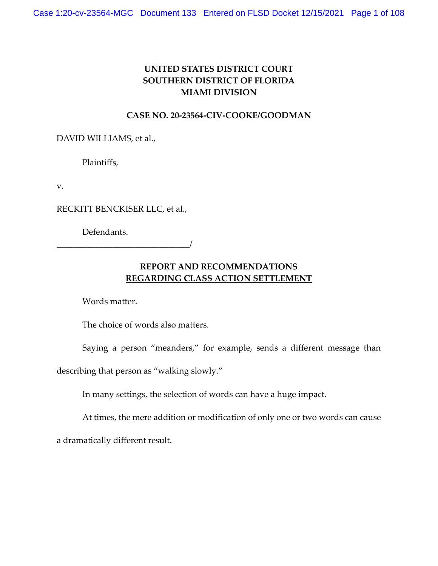# **UNITED STATES DISTRICT COURT SOUTHERN DISTRICT OF FLORIDA MIAMI DIVISION**

## **CASE NO. 20-23564-CIV-COOKE/GOODMAN**

DAVID WILLIAMS, et al.,

Plaintiffs,

v.

RECKITT BENCKISER LLC, et al.,

Defendants.

\_\_\_\_\_\_\_\_\_\_\_\_\_\_\_\_\_\_\_\_\_\_\_\_\_\_\_\_\_\_\_/

## **REPORT AND RECOMMENDATIONS REGARDING CLASS ACTION SETTLEMENT**

Words matter.

The choice of words also matters.

Saying a person "meanders," for example, sends a different message than

describing that person as "walking slowly."

In many settings, the selection of words can have a huge impact.

At times, the mere addition or modification of only one or two words can cause

a dramatically different result.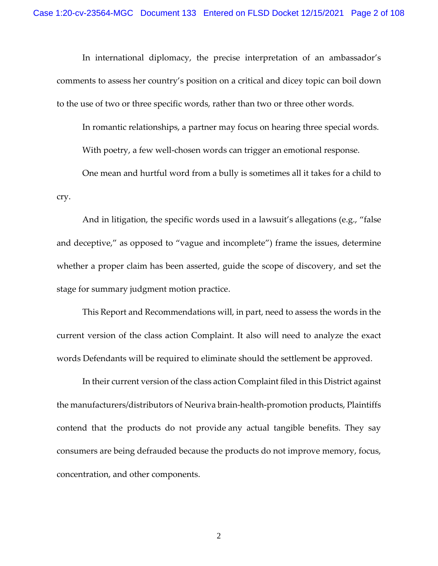In international diplomacy, the precise interpretation of an ambassador's comments to assess her country's position on a critical and dicey topic can boil down to the use of two or three specific words, rather than two or three other words.

In romantic relationships, a partner may focus on hearing three special words. With poetry, a few well-chosen words can trigger an emotional response.

One mean and hurtful word from a bully is sometimes all it takes for a child to cry.

And in litigation, the specific words used in a lawsuit's allegations (e.g., "false and deceptive," as opposed to "vague and incomplete") frame the issues, determine whether a proper claim has been asserted, guide the scope of discovery, and set the stage for summary judgment motion practice.

This Report and Recommendations will, in part, need to assess the words in the current version of the class action Complaint. It also will need to analyze the exact words Defendants will be required to eliminate should the settlement be approved.

In their current version of the class action Complaint filed in this District against the manufacturers/distributors of Neuriva brain-health-promotion products, Plaintiffs contend that the products do not provide any actual tangible benefits. They say consumers are being defrauded because the products do not improve memory, focus, concentration, and other components.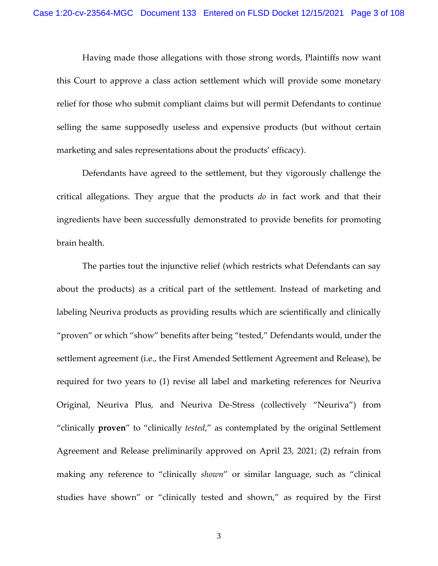Having made those allegations with those strong words, Plaintiffs now want this Court to approve a class action settlement which will provide some monetary relief for those who submit compliant claims but will permit Defendants to continue selling the same supposedly useless and expensive products (but without certain marketing and sales representations about the products' efficacy).

Defendants have agreed to the settlement, but they vigorously challenge the critical allegations. They argue that the products *do* in fact work and that their ingredients have been successfully demonstrated to provide benefits for promoting brain health.

The parties tout the injunctive relief (which restricts what Defendants can say about the products) as a critical part of the settlement. Instead of marketing and labeling Neuriva products as providing results which are scientifically and clinically "proven" or which "show" benefits after being "tested," Defendants would, under the settlement agreement (i.e., the First Amended Settlement Agreement and Release), be required for two years to (1) revise all label and marketing references for Neuriva Original, Neuriva Plus, and Neuriva De-Stress (collectively "Neuriva") from "clinically **proven**" to "clinically *tested*," as contemplated by the original Settlement Agreement and Release preliminarily approved on April 23, 2021; (2) refrain from making any reference to "clinically *shown*" or similar language, such as "clinical studies have shown" or "clinically tested and shown," as required by the First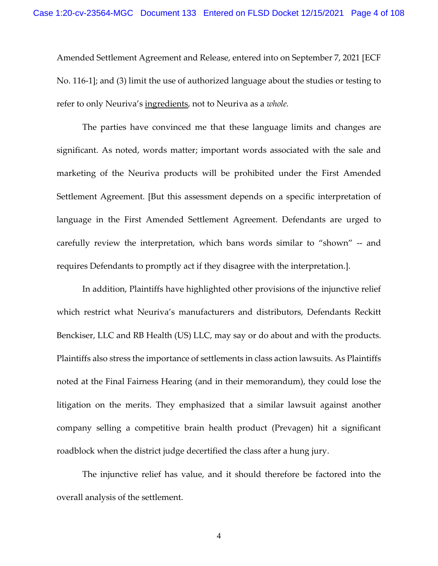Amended Settlement Agreement and Release, entered into on September 7, 2021 [ECF No. 116-1]; and (3) limit the use of authorized language about the studies or testing to refer to only Neuriva's ingredients, not to Neuriva as a *whole.*

The parties have convinced me that these language limits and changes are significant. As noted, words matter; important words associated with the sale and marketing of the Neuriva products will be prohibited under the First Amended Settlement Agreement. [But this assessment depends on a specific interpretation of language in the First Amended Settlement Agreement. Defendants are urged to carefully review the interpretation, which bans words similar to "shown" -- and requires Defendants to promptly act if they disagree with the interpretation.].

In addition, Plaintiffs have highlighted other provisions of the injunctive relief which restrict what Neuriva's manufacturers and distributors, Defendants Reckitt Benckiser, LLC and RB Health (US) LLC, may say or do about and with the products. Plaintiffs also stress the importance of settlements in class action lawsuits. As Plaintiffs noted at the Final Fairness Hearing (and in their memorandum), they could lose the litigation on the merits. They emphasized that a similar lawsuit against another company selling a competitive brain health product (Prevagen) hit a significant roadblock when the district judge decertified the class after a hung jury.

The injunctive relief has value, and it should therefore be factored into the overall analysis of the settlement.

4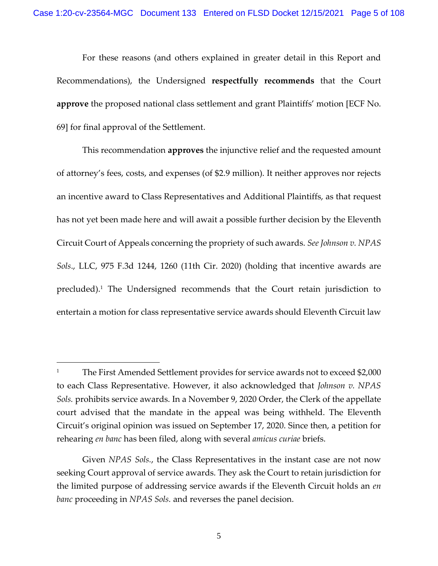For these reasons (and others explained in greater detail in this Report and Recommendations), the Undersigned **respectfully recommends** that the Court **approve** the proposed national class settlement and grant Plaintiffs' motion [ECF No. 69] for final approval of the Settlement.

This recommendation **approves** the injunctive relief and the requested amount of attorney's fees, costs, and expenses (of \$2.9 million). It neither approves nor rejects an incentive award to Class Representatives and Additional Plaintiffs, as that request has not yet been made here and will await a possible further decision by the Eleventh Circuit Court of Appeals concerning the propriety of such awards. *See Johnson v. NPAS Sols*., LLC, 975 F.3d 1244, 1260 (11th Cir. 2020) (holding that incentive awards are precluded). <sup>1</sup> The Undersigned recommends that the Court retain jurisdiction to entertain a motion for class representative service awards should Eleventh Circuit law

<sup>&</sup>lt;sup>1</sup> The First Amended Settlement provides for service awards not to exceed \$2,000 to each Class Representative. However, it also acknowledged that *Johnson v. NPAS Sols.* prohibits service awards. In a November 9, 2020 Order, the Clerk of the appellate court advised that the mandate in the appeal was being withheld. The Eleventh Circuit's original opinion was issued on September 17, 2020. Since then, a petition for rehearing *en banc* has been filed, along with several *amicus curiae* briefs.

Given *NPAS Sols.*, the Class Representatives in the instant case are not now seeking Court approval of service awards. They ask the Court to retain jurisdiction for the limited purpose of addressing service awards if the Eleventh Circuit holds an *en banc* proceeding in *NPAS Sols.* and reverses the panel decision.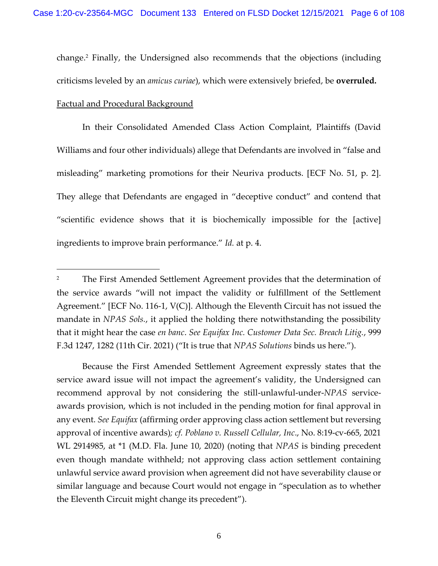change.<sup>2</sup> Finally, the Undersigned also recommends that the objections (including criticisms leveled by an *amicus curiae*), which were extensively briefed, be **overruled.**

## Factual and Procedural Background

In their Consolidated Amended Class Action Complaint, Plaintiffs (David Williams and four other individuals) allege that Defendants are involved in "false and misleading" marketing promotions for their Neuriva products. [ECF No. 51, p. 2]. They allege that Defendants are engaged in "deceptive conduct" and contend that "scientific evidence shows that it is biochemically impossible for the [active] ingredients to improve brain performance." *Id.* at p. 4.

Because the First Amended Settlement Agreement expressly states that the service award issue will not impact the agreement's validity, the Undersigned can recommend approval by not considering the still-unlawful-under-*NPAS* serviceawards provision, which is not included in the pending motion for final approval in any event. *See Equifax* (affirming order approving class action settlement but reversing approval of incentive awards)*; cf. Poblano v. Russell Cellular, Inc*., No. 8:19-cv-665, 2021 WL 2914985, at \*1 (M.D. Fla. June 10, 2020) (noting that *NPAS* is binding precedent even though mandate withheld; not approving class action settlement containing unlawful service award provision when agreement did not have severability clause or similar language and because Court would not engage in "speculation as to whether the Eleventh Circuit might change its precedent").

<sup>&</sup>lt;sup>2</sup> The First Amended Settlement Agreement provides that the determination of the service awards "will not impact the validity or fulfillment of the Settlement Agreement." [ECF No. 116-1, V(C)]. Although the Eleventh Circuit has not issued the mandate in *NPAS Sols.*, it applied the holding there notwithstanding the possibility that it might hear the case *en banc*. *See Equifax Inc. Customer Data Sec. Breach Litig.*, 999 F.3d 1247, 1282 (11th Cir. 2021) ("It is true that *NPAS Solutions* binds us here.").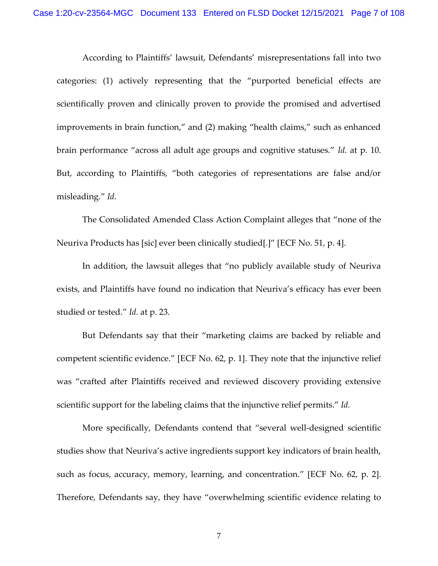According to Plaintiffs' lawsuit, Defendants' misrepresentations fall into two categories: (1) actively representing that the "purported beneficial effects are scientifically proven and clinically proven to provide the promised and advertised improvements in brain function," and (2) making "health claims," such as enhanced brain performance "across all adult age groups and cognitive statuses." *Id.* at p. 10. But, according to Plaintiffs, "both categories of representations are false and/or misleading." *Id.* 

The Consolidated Amended Class Action Complaint alleges that "none of the Neuriva Products has [sic] ever been clinically studied[.]" [ECF No. 51, p. 4].

In addition, the lawsuit alleges that "no publicly available study of Neuriva exists, and Plaintiffs have found no indication that Neuriva's efficacy has ever been studied or tested." *Id.* at p. 23.

But Defendants say that their "marketing claims are backed by reliable and competent scientific evidence." [ECF No. 62, p. 1]. They note that the injunctive relief was "crafted after Plaintiffs received and reviewed discovery providing extensive scientific support for the labeling claims that the injunctive relief permits." *Id.* 

More specifically, Defendants contend that "several well-designed scientific studies show that Neuriva's active ingredients support key indicators of brain health, such as focus, accuracy, memory, learning, and concentration." [ECF No. 62, p. 2]. Therefore, Defendants say, they have "overwhelming scientific evidence relating to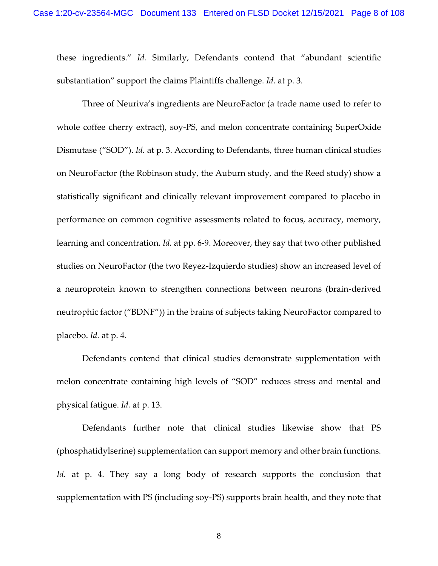these ingredients." *Id.* Similarly, Defendants contend that "abundant scientific substantiation" support the claims Plaintiffs challenge. *Id.* at p. 3.

Three of Neuriva's ingredients are NeuroFactor (a trade name used to refer to whole coffee cherry extract), soy-PS, and melon concentrate containing SuperOxide Dismutase ("SOD"). *Id.* at p. 3. According to Defendants, three human clinical studies on NeuroFactor (the Robinson study, the Auburn study, and the Reed study) show a statistically significant and clinically relevant improvement compared to placebo in performance on common cognitive assessments related to focus, accuracy, memory, learning and concentration. *Id.* at pp. 6-9. Moreover, they say that two other published studies on NeuroFactor (the two Reyez-Izquierdo studies) show an increased level of a neuroprotein known to strengthen connections between neurons (brain-derived neutrophic factor ("BDNF")) in the brains of subjects taking NeuroFactor compared to placebo. *Id.* at p. 4.

Defendants contend that clinical studies demonstrate supplementation with melon concentrate containing high levels of "SOD" reduces stress and mental and physical fatigue. *Id.* at p. 13.

Defendants further note that clinical studies likewise show that PS (phosphatidylserine) supplementation can support memory and other brain functions. *Id.* at p. 4. They say a long body of research supports the conclusion that supplementation with PS (including soy-PS) supports brain health, and they note that

8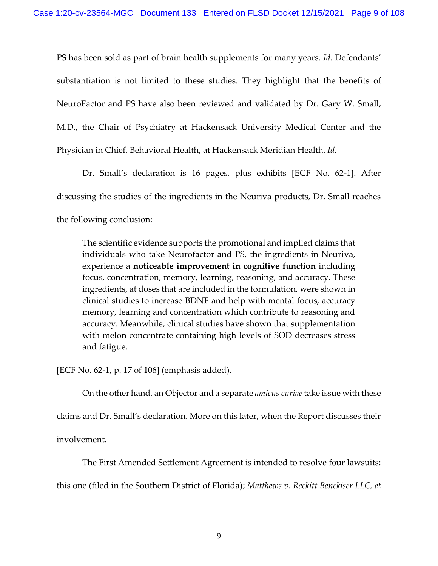PS has been sold as part of brain health supplements for many years. *Id.* Defendants' substantiation is not limited to these studies. They highlight that the benefits of NeuroFactor and PS have also been reviewed and validated by Dr. Gary W. Small, M.D., the Chair of Psychiatry at Hackensack University Medical Center and the Physician in Chief, Behavioral Health, at Hackensack Meridian Health. *Id.*

Dr. Small's declaration is 16 pages, plus exhibits [ECF No. 62-1]. After discussing the studies of the ingredients in the Neuriva products, Dr. Small reaches the following conclusion:

The scientific evidence supports the promotional and implied claims that individuals who take Neurofactor and PS, the ingredients in Neuriva, experience a **noticeable improvement in cognitive function** including focus, concentration, memory, learning, reasoning, and accuracy. These ingredients, at doses that are included in the formulation, were shown in clinical studies to increase BDNF and help with mental focus, accuracy memory, learning and concentration which contribute to reasoning and accuracy. Meanwhile, clinical studies have shown that supplementation with melon concentrate containing high levels of SOD decreases stress and fatigue.

[ECF No. 62-1, p. 17 of 106] (emphasis added).

On the other hand, an Objector and a separate *amicus curiae*take issue with these

claims and Dr. Small's declaration. More on this later, when the Report discusses their

involvement.

The First Amended Settlement Agreement is intended to resolve four lawsuits:

this one (filed in the Southern District of Florida); *Matthews v. Reckitt Benckiser LLC, et*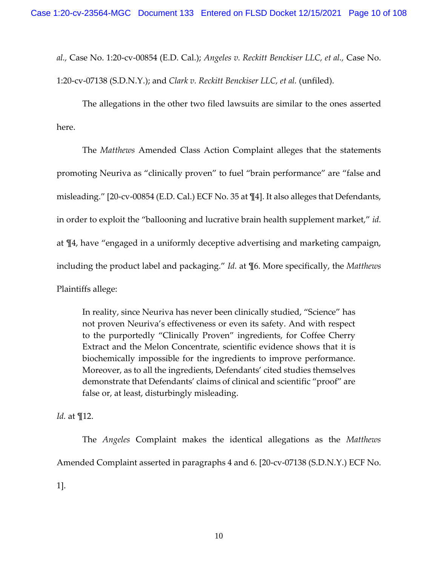*al.,* Case No. 1:20-cv-00854 (E.D. Cal.); *Angeles v. Reckitt Benckiser LLC, et al.,* Case No.

1:20-cv-07138 (S.D.N.Y.); and *Clark v. Reckitt Benckiser LLC, et al.* (unfiled).

The allegations in the other two filed lawsuits are similar to the ones asserted here.

The *Matthews* Amended Class Action Complaint alleges that the statements promoting Neuriva as "clinically proven" to fuel "brain performance" are "false and misleading." [20-cv-00854 (E.D. Cal.) ECF No. 35 at ¶4]. It also alleges that Defendants, in order to exploit the "ballooning and lucrative brain health supplement market," *id.*  at ¶4, have "engaged in a uniformly deceptive advertising and marketing campaign, including the product label and packaging." *Id.* at ¶6. More specifically, the *Matthews*  Plaintiffs allege:

In reality, since Neuriva has never been clinically studied, "Science" has not proven Neuriva's effectiveness or even its safety. And with respect to the purportedly "Clinically Proven" ingredients, for Coffee Cherry Extract and the Melon Concentrate, scientific evidence shows that it is biochemically impossible for the ingredients to improve performance. Moreover, as to all the ingredients, Defendants' cited studies themselves demonstrate that Defendants' claims of clinical and scientific "proof" are false or, at least, disturbingly misleading.

*Id.* at ¶12.

The *Angeles* Complaint makes the identical allegations as the *Matthews*  Amended Complaint asserted in paragraphs 4 and 6. [20-cv-07138 (S.D.N.Y.) ECF No. 1].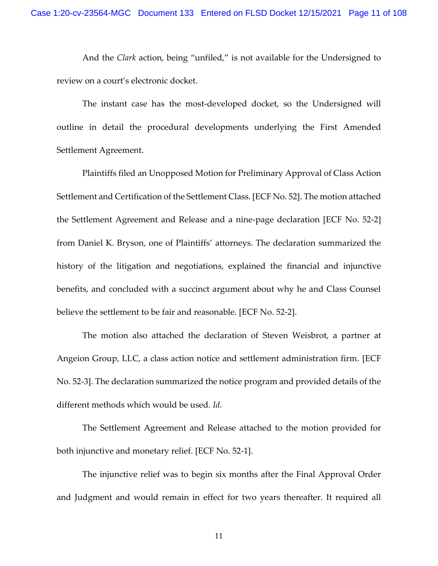And the *Clark* action, being "unfiled," is not available for the Undersigned to review on a court's electronic docket.

The instant case has the most-developed docket, so the Undersigned will outline in detail the procedural developments underlying the First Amended Settlement Agreement.

Plaintiffs filed an Unopposed Motion for Preliminary Approval of Class Action Settlement and Certification of the Settlement Class. [ECF No. 52]. The motion attached the Settlement Agreement and Release and a nine-page declaration [ECF No. 52-2] from Daniel K. Bryson, one of Plaintiffs' attorneys. The declaration summarized the history of the litigation and negotiations, explained the financial and injunctive benefits, and concluded with a succinct argument about why he and Class Counsel believe the settlement to be fair and reasonable. [ECF No. 52-2].

The motion also attached the declaration of Steven Weisbrot, a partner at Angeion Group, LLC, a class action notice and settlement administration firm. [ECF No. 52-3]. The declaration summarized the notice program and provided details of the different methods which would be used. *Id.*

The Settlement Agreement and Release attached to the motion provided for both injunctive and monetary relief. [ECF No. 52-1].

The injunctive relief was to begin six months after the Final Approval Order and Judgment and would remain in effect for two years thereafter. It required all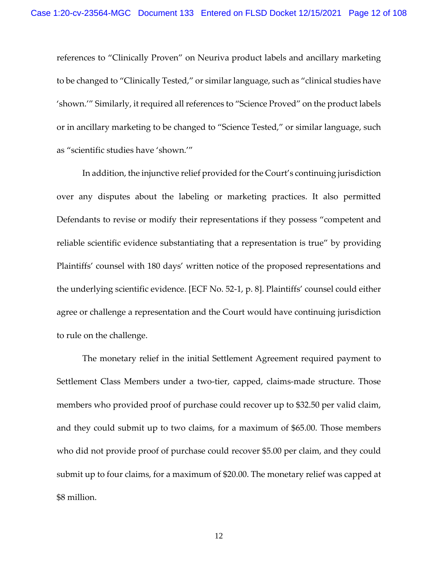references to "Clinically Proven" on Neuriva product labels and ancillary marketing to be changed to "Clinically Tested," or similar language, such as "clinical studies have 'shown.'" Similarly, it required all references to "Science Proved" on the product labels or in ancillary marketing to be changed to "Science Tested," or similar language, such as "scientific studies have 'shown.'"

In addition, the injunctive relief provided for the Court's continuing jurisdiction over any disputes about the labeling or marketing practices. It also permitted Defendants to revise or modify their representations if they possess "competent and reliable scientific evidence substantiating that a representation is true" by providing Plaintiffs' counsel with 180 days' written notice of the proposed representations and the underlying scientific evidence. [ECF No. 52-1, p. 8]. Plaintiffs' counsel could either agree or challenge a representation and the Court would have continuing jurisdiction to rule on the challenge.

The monetary relief in the initial Settlement Agreement required payment to Settlement Class Members under a two-tier, capped, claims-made structure. Those members who provided proof of purchase could recover up to \$32.50 per valid claim, and they could submit up to two claims, for a maximum of \$65.00. Those members who did not provide proof of purchase could recover \$5.00 per claim, and they could submit up to four claims, for a maximum of \$20.00. The monetary relief was capped at \$8 million.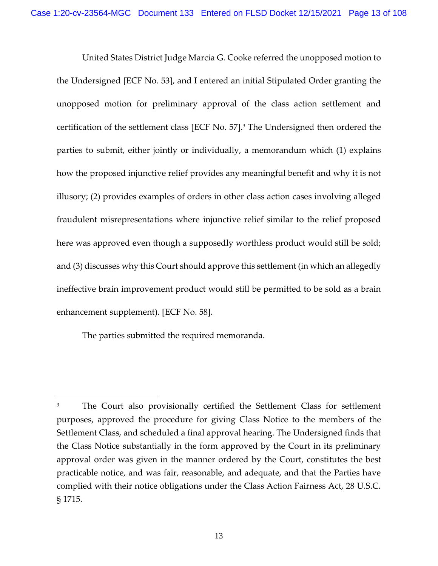United States District Judge Marcia G. Cooke referred the unopposed motion to the Undersigned [ECF No. 53], and I entered an initial Stipulated Order granting the unopposed motion for preliminary approval of the class action settlement and certification of the settlement class [ECF No. 57]. <sup>3</sup> The Undersigned then ordered the parties to submit, either jointly or individually, a memorandum which (1) explains how the proposed injunctive relief provides any meaningful benefit and why it is not illusory; (2) provides examples of orders in other class action cases involving alleged fraudulent misrepresentations where injunctive relief similar to the relief proposed here was approved even though a supposedly worthless product would still be sold; and (3) discusses why this Court should approve this settlement (in which an allegedly ineffective brain improvement product would still be permitted to be sold as a brain enhancement supplement). [ECF No. 58].

The parties submitted the required memoranda.

<sup>&</sup>lt;sup>3</sup> The Court also provisionally certified the Settlement Class for settlement purposes, approved the procedure for giving Class Notice to the members of the Settlement Class, and scheduled a final approval hearing. The Undersigned finds that the Class Notice substantially in the form approved by the Court in its preliminary approval order was given in the manner ordered by the Court, constitutes the best practicable notice, and was fair, reasonable, and adequate, and that the Parties have complied with their notice obligations under the Class Action Fairness Act, 28 U.S.C. § 1715.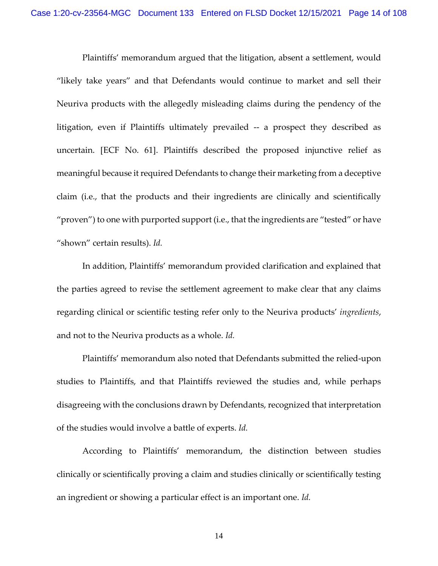Plaintiffs' memorandum argued that the litigation, absent a settlement, would "likely take years" and that Defendants would continue to market and sell their Neuriva products with the allegedly misleading claims during the pendency of the litigation, even if Plaintiffs ultimately prevailed -- a prospect they described as uncertain. [ECF No. 61]. Plaintiffs described the proposed injunctive relief as meaningful because it required Defendants to change their marketing from a deceptive claim (i.e., that the products and their ingredients are clinically and scientifically "proven") to one with purported support (i.e., that the ingredients are "tested" or have "shown" certain results). *Id.*

In addition, Plaintiffs' memorandum provided clarification and explained that the parties agreed to revise the settlement agreement to make clear that any claims regarding clinical or scientific testing refer only to the Neuriva products' *ingredients*, and not to the Neuriva products as a whole. *Id.*

Plaintiffs' memorandum also noted that Defendants submitted the relied-upon studies to Plaintiffs, and that Plaintiffs reviewed the studies and, while perhaps disagreeing with the conclusions drawn by Defendants, recognized that interpretation of the studies would involve a battle of experts. *Id.*

According to Plaintiffs' memorandum, the distinction between studies clinically or scientifically proving a claim and studies clinically or scientifically testing an ingredient or showing a particular effect is an important one. *Id.*

14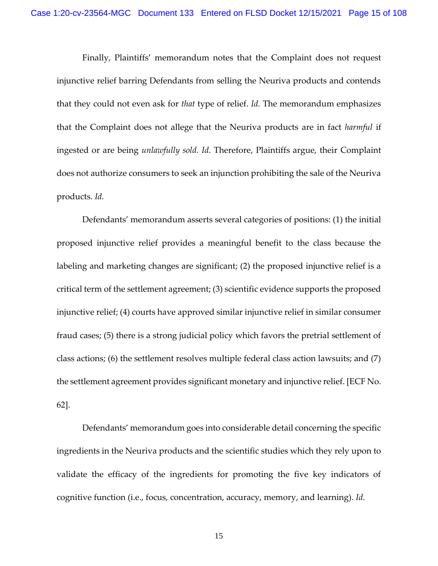Finally, Plaintiffs' memorandum notes that the Complaint does not request injunctive relief barring Defendants from selling the Neuriva products and contends that they could not even ask for *that* type of relief. *Id.* The memorandum emphasizes that the Complaint does not allege that the Neuriva products are in fact *harmful* if ingested or are being *unlawfully sold. Id.* Therefore, Plaintiffs argue, their Complaint does not authorize consumers to seek an injunction prohibiting the sale of the Neuriva products. *Id.*

Defendants' memorandum asserts several categories of positions: (1) the initial proposed injunctive relief provides a meaningful benefit to the class because the labeling and marketing changes are significant; (2) the proposed injunctive relief is a critical term of the settlement agreement; (3) scientific evidence supports the proposed injunctive relief; (4) courts have approved similar injunctive relief in similar consumer fraud cases; (5) there is a strong judicial policy which favors the pretrial settlement of class actions; (6) the settlement resolves multiple federal class action lawsuits; and (7) the settlement agreement provides significant monetary and injunctive relief. [ECF No. 62].

Defendants' memorandum goes into considerable detail concerning the specific ingredients in the Neuriva products and the scientific studies which they rely upon to validate the efficacy of the ingredients for promoting the five key indicators of cognitive function (i.e., focus, concentration, accuracy, memory, and learning). *Id.*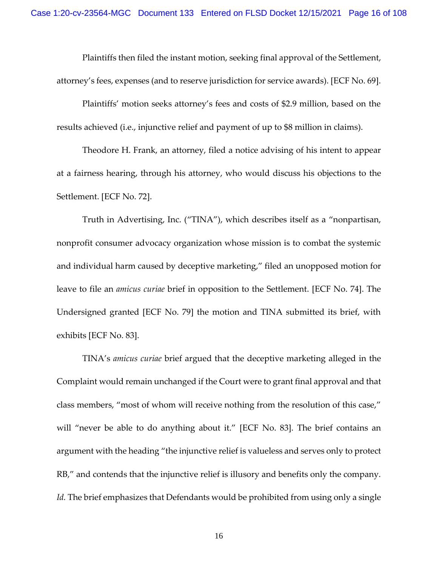Plaintiffs then filed the instant motion, seeking final approval of the Settlement, attorney's fees, expenses (and to reserve jurisdiction for service awards). [ECF No. 69].

Plaintiffs' motion seeks attorney's fees and costs of \$2.9 million, based on the results achieved (i.e., injunctive relief and payment of up to \$8 million in claims).

Theodore H. Frank, an attorney, filed a notice advising of his intent to appear at a fairness hearing, through his attorney, who would discuss his objections to the Settlement. [ECF No. 72].

Truth in Advertising, Inc. ("TINA"), which describes itself as a "nonpartisan, nonprofit consumer advocacy organization whose mission is to combat the systemic and individual harm caused by deceptive marketing," filed an unopposed motion for leave to file an *amicus curiae* brief in opposition to the Settlement. [ECF No. 74]. The Undersigned granted [ECF No. 79] the motion and TINA submitted its brief, with exhibits [ECF No. 83].

TINA's *amicus curiae* brief argued that the deceptive marketing alleged in the Complaint would remain unchanged if the Court were to grant final approval and that class members, "most of whom will receive nothing from the resolution of this case," will "never be able to do anything about it." [ECF No. 83]. The brief contains an argument with the heading "the injunctive relief is valueless and serves only to protect RB," and contends that the injunctive relief is illusory and benefits only the company. *Id.* The brief emphasizes that Defendants would be prohibited from using only a single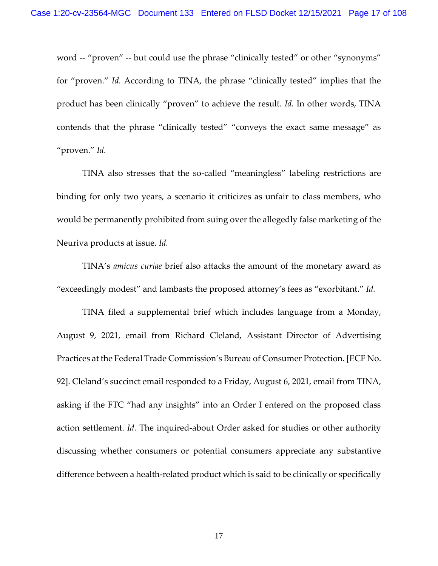word -- "proven" -- but could use the phrase "clinically tested" or other "synonyms" for "proven." *Id.* According to TINA, the phrase "clinically tested" implies that the product has been clinically "proven" to achieve the result. *Id.* In other words, TINA contends that the phrase "clinically tested" "conveys the exact same message" as "proven." *Id.*

TINA also stresses that the so-called "meaningless" labeling restrictions are binding for only two years, a scenario it criticizes as unfair to class members, who would be permanently prohibited from suing over the allegedly false marketing of the Neuriva products at issue. *Id.*

TINA's *amicus curiae* brief also attacks the amount of the monetary award as "exceedingly modest" and lambasts the proposed attorney's fees as "exorbitant." *Id.*

TINA filed a supplemental brief which includes language from a Monday, August 9, 2021, email from Richard Cleland, Assistant Director of Advertising Practices at the Federal Trade Commission's Bureau of Consumer Protection. [ECF No. 92]. Cleland's succinct email responded to a Friday, August 6, 2021, email from TINA, asking if the FTC "had any insights" into an Order I entered on the proposed class action settlement. *Id.* The inquired-about Order asked for studies or other authority discussing whether consumers or potential consumers appreciate any substantive difference between a health-related product which is said to be clinically or specifically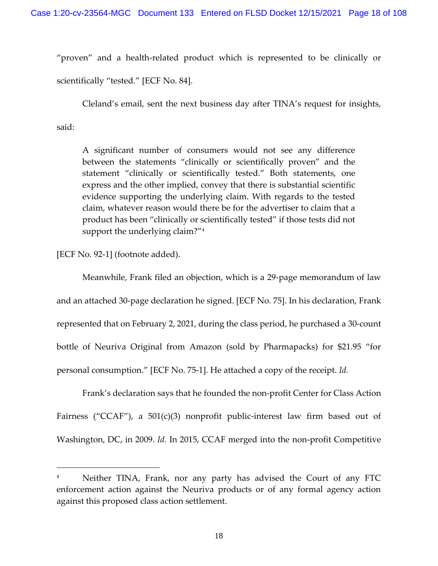"proven" and a health-related product which is represented to be clinically or scientifically "tested." [ECF No. 84].

Cleland's email, sent the next business day after TINA's request for insights,

said:

A significant number of consumers would not see any difference between the statements "clinically or scientifically proven" and the statement "clinically or scientifically tested." Both statements, one express and the other implied, convey that there is substantial scientific evidence supporting the underlying claim. With regards to the tested claim, whatever reason would there be for the advertiser to claim that a product has been "clinically or scientifically tested" if those tests did not support the underlying claim?"<sup>4</sup>

[ECF No. 92-1] (footnote added).

Meanwhile, Frank filed an objection, which is a 29-page memorandum of law and an attached 30-page declaration he signed. [ECF No. 75]. In his declaration, Frank represented that on February 2, 2021, during the class period, he purchased a 30-count bottle of Neuriva Original from Amazon (sold by Pharmapacks) for \$21.95 "for personal consumption." [ECF No. 75-1]. He attached a copy of the receipt. *Id.*

Frank's declaration says that he founded the non-profit Center for Class Action Fairness ("CCAF"), a 501(c)(3) nonprofit public-interest law firm based out of Washington, DC, in 2009. *Id.* In 2015, CCAF merged into the non-profit Competitive

Neither TINA, Frank, nor any party has advised the Court of any FTC enforcement action against the Neuriva products or of any formal agency action against this proposed class action settlement.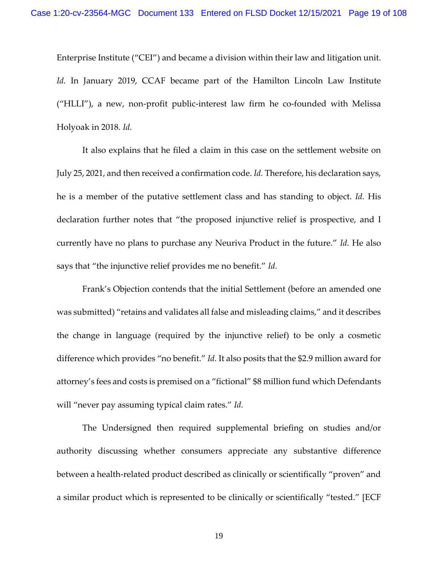Enterprise Institute ("CEI") and became a division within their law and litigation unit. *Id.* In January 2019, CCAF became part of the Hamilton Lincoln Law Institute ("HLLI"), a new, non-profit public-interest law firm he co-founded with Melissa Holyoak in 2018. *Id.*

It also explains that he filed a claim in this case on the settlement website on July 25, 2021, and then received a confirmation code. *Id.* Therefore, his declaration says, he is a member of the putative settlement class and has standing to object. *Id.* His declaration further notes that "the proposed injunctive relief is prospective, and I currently have no plans to purchase any Neuriva Product in the future." *Id.* He also says that "the injunctive relief provides me no benefit." *Id.*

Frank's Objection contends that the initial Settlement (before an amended one was submitted) "retains and validates all false and misleading claims," and it describes the change in language (required by the injunctive relief) to be only a cosmetic difference which provides "no benefit." *Id.* It also posits that the \$2.9 million award for attorney's fees and costs is premised on a "fictional" \$8 million fund which Defendants will "never pay assuming typical claim rates." *Id.*

The Undersigned then required supplemental briefing on studies and/or authority discussing whether consumers appreciate any substantive difference between a health-related product described as clinically or scientifically "proven" and a similar product which is represented to be clinically or scientifically "tested." [ECF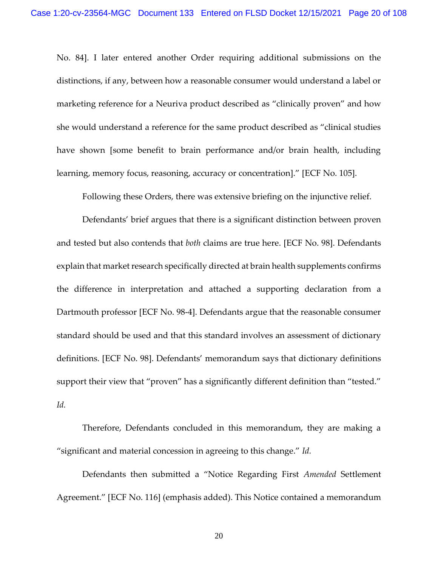No. 84]. I later entered another Order requiring additional submissions on the distinctions, if any, between how a reasonable consumer would understand a label or marketing reference for a Neuriva product described as "clinically proven" and how she would understand a reference for the same product described as "clinical studies have shown [some benefit to brain performance and/or brain health, including learning, memory focus, reasoning, accuracy or concentration]." [ECF No. 105].

Following these Orders, there was extensive briefing on the injunctive relief.

Defendants' brief argues that there is a significant distinction between proven and tested but also contends that *both* claims are true here. [ECF No. 98]. Defendants explain that market research specifically directed at brain health supplements confirms the difference in interpretation and attached a supporting declaration from a Dartmouth professor [ECF No. 98-4]. Defendants argue that the reasonable consumer standard should be used and that this standard involves an assessment of dictionary definitions. [ECF No. 98]. Defendants' memorandum says that dictionary definitions support their view that "proven" has a significantly different definition than "tested." *Id.*

Therefore, Defendants concluded in this memorandum, they are making a "significant and material concession in agreeing to this change." *Id.*

Defendants then submitted a "Notice Regarding First *Amended* Settlement Agreement." [ECF No. 116] (emphasis added). This Notice contained a memorandum

20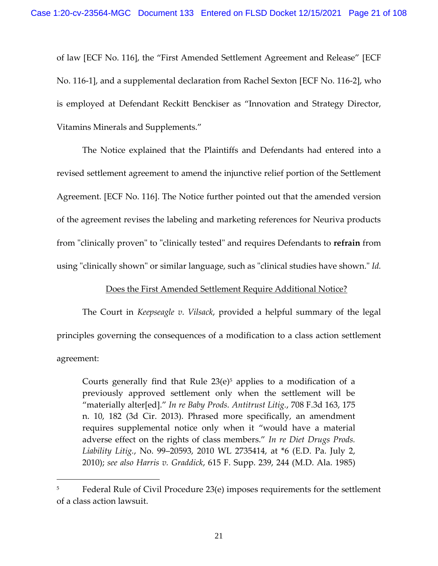of law [ECF No. 116], the "First Amended Settlement Agreement and Release" [ECF No. 116-1], and a supplemental declaration from Rachel Sexton [ECF No. 116-2], who is employed at Defendant Reckitt Benckiser as "Innovation and Strategy Director, Vitamins Minerals and Supplements."

The Notice explained that the Plaintiffs and Defendants had entered into a revised settlement agreement to amend the injunctive relief portion of the Settlement Agreement. [ECF No. 116]. The Notice further pointed out that the amended version of the agreement revises the labeling and marketing references for Neuriva products from "clinically proven" to "clinically tested" and requires Defendants to **refrain** from using "clinically shown" or similar language, such as "clinical studies have shown." *Id.*

## Does the First Amended Settlement Require Additional Notice?

The Court in *Keepseagle v. Vilsack*, provided a helpful summary of the legal principles governing the consequences of a modification to a class action settlement agreement:

Courts generally find that Rule  $23(e)^5$  applies to a modification of a previously approved settlement only when the settlement will be "materially alter[ed]." *In re Baby Prods. Antitrust Litig.*, 708 F.3d 163, 175 n. 10, 182 (3d Cir. 2013). Phrased more specifically, an amendment requires supplemental notice only when it "would have a material adverse effect on the rights of class members." *In re Diet Drugs Prods. Liability Litig.*, No. 99–20593, 2010 WL 2735414, at \*6 (E.D. Pa. July 2, 2010); *see also Harris v. Graddick*, 615 F. Supp. 239, 244 (M.D. Ala. 1985)

<sup>&</sup>lt;sup>5</sup> Federal Rule of Civil Procedure 23(e) imposes requirements for the settlement of a class action lawsuit.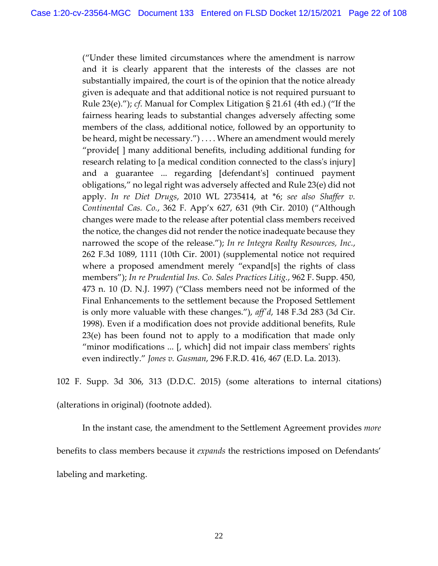("Under these limited circumstances where the amendment is narrow and it is clearly apparent that the interests of the classes are not substantially impaired, the court is of the opinion that the notice already given is adequate and that additional notice is not required pursuant to Rule 23(e)."); *cf*. Manual for Complex Litigation § 21.61 (4th ed.) ("If the fairness hearing leads to substantial changes adversely affecting some members of the class, additional notice, followed by an opportunity to be heard, might be necessary.") . . . . Where an amendment would merely "provide[ ] many additional benefits, including additional funding for research relating to [a medical condition connected to the class's injury] and a guarantee ... regarding [defendant's] continued payment obligations," no legal right was adversely affected and Rule 23(e) did not apply. *In re Diet Drugs*, 2010 WL 2735414, at \*6; *see also Shaffer v. Continental Cas. Co.*, 362 F. App'x 627, 631 (9th Cir. 2010) ("Although changes were made to the release after potential class members received the notice, the changes did not render the notice inadequate because they narrowed the scope of the release."); *In re Integra Realty Resources, Inc.*, 262 F.3d 1089, 1111 (10th Cir. 2001) (supplemental notice not required where a proposed amendment merely "expand[s] the rights of class members"); *In re Prudential Ins. Co. Sales Practices Litig.*, 962 F. Supp. 450, 473 n. 10 (D. N.J. 1997) ("Class members need not be informed of the Final Enhancements to the settlement because the Proposed Settlement is only more valuable with these changes."), *aff'd*, 148 F.3d 283 (3d Cir. 1998). Even if a modification does not provide additional benefits, Rule 23(e) has been found not to apply to a modification that made only "minor modifications ... [, which] did not impair class members' rights even indirectly." *Jones v. Gusman*, 296 F.R.D. 416, 467 (E.D. La. 2013).

102 F. Supp. 3d 306, 313 (D.D.C. 2015) (some alterations to internal citations)

(alterations in original) (footnote added).

In the instant case, the amendment to the Settlement Agreement provides *more* benefits to class members because it *expands* the restrictions imposed on Defendants' labeling and marketing.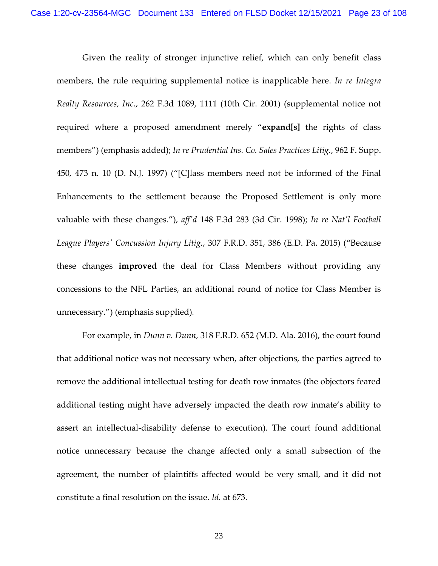Given the reality of stronger injunctive relief, which can only benefit class members, the rule requiring supplemental notice is inapplicable here. *[In re Integra](https://1.next.westlaw.com/Link/Document/FullText?findType=Y&serNum=2001718468&pubNum=0000506&originatingDoc=Ic28012c04ed611e68e80d394640dd07e&refType=RP&fi=co_pp_sp_506_1111&originationContext=document&transitionType=DocumentItem&ppcid=67bdea63a583480888182021f7a34da6&contextData=(sc.UserEnteredCitation)#co_pp_sp_506_1111)  Realty Resources, Inc.*[, 262 F.3d 1089, 1111 \(10th Cir. 2001\)](https://1.next.westlaw.com/Link/Document/FullText?findType=Y&serNum=2001718468&pubNum=0000506&originatingDoc=Ic28012c04ed611e68e80d394640dd07e&refType=RP&fi=co_pp_sp_506_1111&originationContext=document&transitionType=DocumentItem&ppcid=67bdea63a583480888182021f7a34da6&contextData=(sc.UserEnteredCitation)#co_pp_sp_506_1111) (supplemental notice not required where a proposed amendment merely "**expand[s]** the rights of class members") (emphasis added); *[In re Prudential Ins. Co. Sales Practices Litig.](https://1.next.westlaw.com/Link/Document/FullText?findType=Y&serNum=1997096136&pubNum=0000345&originatingDoc=Ic28012c04ed611e68e80d394640dd07e&refType=RP&fi=co_pp_sp_345_473&originationContext=document&transitionType=DocumentItem&ppcid=67bdea63a583480888182021f7a34da6&contextData=(sc.UserEnteredCitation)#co_pp_sp_345_473)*, 962 F. Supp. [450, 473 n. 10 \(D. N.J. 1997\)](https://1.next.westlaw.com/Link/Document/FullText?findType=Y&serNum=1997096136&pubNum=0000345&originatingDoc=Ic28012c04ed611e68e80d394640dd07e&refType=RP&fi=co_pp_sp_345_473&originationContext=document&transitionType=DocumentItem&ppcid=67bdea63a583480888182021f7a34da6&contextData=(sc.UserEnteredCitation)#co_pp_sp_345_473) ("[C]lass members need not be informed of the Final Enhancements to the settlement because the Proposed Settlement is only more valuable with these changes."), *aff'd* [148 F.3d 283 \(3d Cir. 1998\);](https://1.next.westlaw.com/Link/Document/FullText?findType=Y&serNum=1998154171&pubNum=0000506&originatingDoc=Ic28012c04ed611e68e80d394640dd07e&refType=RP&originationContext=document&transitionType=DocumentItem&ppcid=67bdea63a583480888182021f7a34da6&contextData=(sc.UserEnteredCitation)) *[In re Nat'l Football](https://1.next.westlaw.com/Link/Document/FullText?findType=Y&serNum=2036096381&pubNum=0000344&originatingDoc=Ic28012c04ed611e68e80d394640dd07e&refType=RP&fi=co_pp_sp_344_386&originationContext=document&transitionType=DocumentItem&ppcid=67bdea63a583480888182021f7a34da6&contextData=(sc.UserEnteredCitation)#co_pp_sp_344_386)  [League Players' Concussion Injury Litig.](https://1.next.westlaw.com/Link/Document/FullText?findType=Y&serNum=2036096381&pubNum=0000344&originatingDoc=Ic28012c04ed611e68e80d394640dd07e&refType=RP&fi=co_pp_sp_344_386&originationContext=document&transitionType=DocumentItem&ppcid=67bdea63a583480888182021f7a34da6&contextData=(sc.UserEnteredCitation)#co_pp_sp_344_386)*, 307 F.R.D. 351, 386 (E.D. Pa. 2015) ("Because these changes **improved** the deal for Class Members without providing any concessions to the NFL Parties, an additional round of notice for Class Member is unnecessary.") (emphasis supplied)*.*

For example, in *Dunn v. Dunn*, 318 F.R.D. 652 (M.D. Ala. 2016), the court found that additional notice was not necessary when, after objections, the parties agreed to remove the additional intellectual testing for death row inmates (the objectors feared additional testing might have adversely impacted the death row inmate's ability to assert an intellectual-disability defense to execution). The court found additional notice unnecessary because the change affected only a small subsection of the agreement, the number of plaintiffs affected would be very small, and it did not constitute a final resolution on the issue. *Id.* at 673.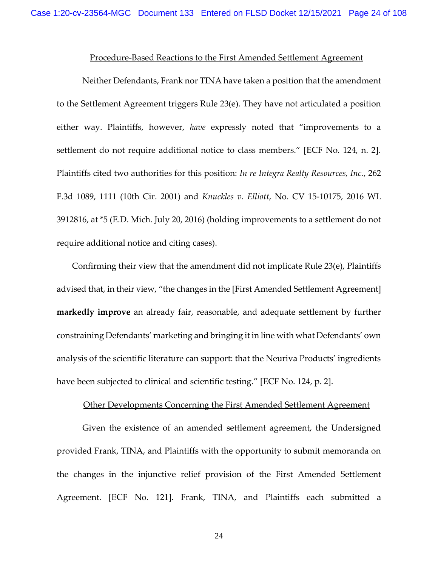#### Procedure-Based Reactions to the First Amended Settlement Agreement

Neither Defendants, Frank nor TINA have taken a position that the amendment to the Settlement Agreement triggers Rule 23(e). They have not articulated a position either way. Plaintiffs, however, *have* expressly noted that "improvements to a settlement do not require additional notice to class members." [ECF No. 124, n. 2]. Plaintiffs cited two authorities for this position: *In re Integra Realty Resources, Inc.*, 262 F.3d 1089, 1111 (10th Cir. 2001) and *Knuckles v. Elliott*, No. CV 15-10175, 2016 WL 3912816, at \*5 (E.D. Mich. July 20, 2016) (holding improvements to a settlement do not require additional notice and citing cases).

Confirming their view that the amendment did not implicate Rule 23(e), Plaintiffs advised that, in their view, "the changes in the [First Amended Settlement Agreement] **markedly improve** an already fair, reasonable, and adequate settlement by further constraining Defendants' marketing and bringing it in line with what Defendants' own analysis of the scientific literature can support: that the Neuriva Products' ingredients have been subjected to clinical and scientific testing." [ECF No. 124, p. 2].

#### Other Developments Concerning the First Amended Settlement Agreement

Given the existence of an amended settlement agreement, the Undersigned provided Frank, TINA, and Plaintiffs with the opportunity to submit memoranda on the changes in the injunctive relief provision of the First Amended Settlement Agreement. [ECF No. 121]. Frank, TINA, and Plaintiffs each submitted a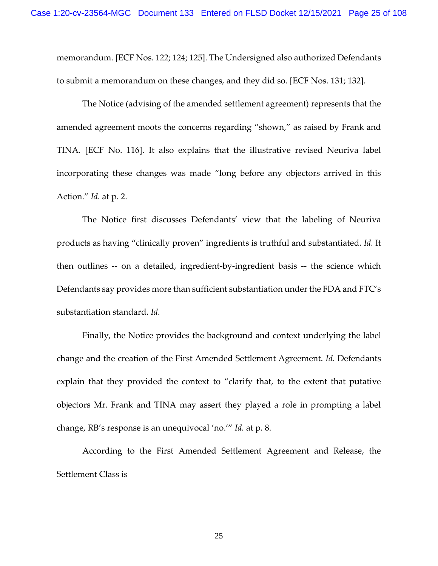memorandum. [ECF Nos. 122; 124; 125]. The Undersigned also authorized Defendants to submit a memorandum on these changes, and they did so. [ECF Nos. 131; 132].

The Notice (advising of the amended settlement agreement) represents that the amended agreement moots the concerns regarding "shown," as raised by Frank and TINA. [ECF No. 116]. It also explains that the illustrative revised Neuriva label incorporating these changes was made "long before any objectors arrived in this Action." *Id.* at p. 2.

The Notice first discusses Defendants' view that the labeling of Neuriva products as having "clinically proven" ingredients is truthful and substantiated. *Id.* It then outlines -- on a detailed, ingredient-by-ingredient basis -- the science which Defendants say provides more than sufficient substantiation under the FDA and FTC's substantiation standard. *Id.*

Finally, the Notice provides the background and context underlying the label change and the creation of the First Amended Settlement Agreement. *Id.* Defendants explain that they provided the context to "clarify that, to the extent that putative objectors Mr. Frank and TINA may assert they played a role in prompting a label change, RB's response is an unequivocal 'no.'" *Id.* at p. 8.

According to the First Amended Settlement Agreement and Release, the Settlement Class is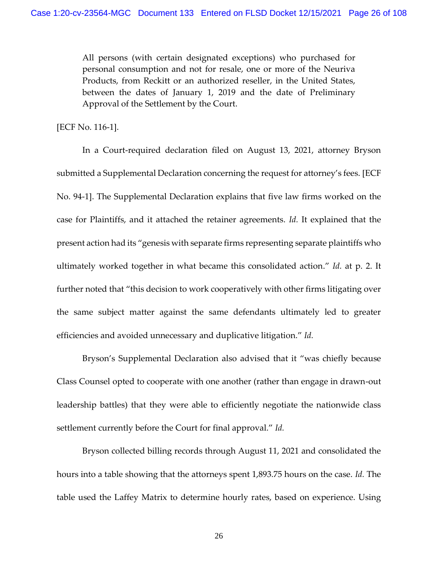All persons (with certain designated exceptions) who purchased for personal consumption and not for resale, one or more of the Neuriva Products, from Reckitt or an authorized reseller, in the United States, between the dates of January 1, 2019 and the date of Preliminary Approval of the Settlement by the Court.

[ECF No. 116-1].

In a Court-required declaration filed on August 13, 2021, attorney Bryson submitted a Supplemental Declaration concerning the request for attorney's fees. [ECF No. 94-1]. The Supplemental Declaration explains that five law firms worked on the case for Plaintiffs, and it attached the retainer agreements. *Id.* It explained that the present action had its "genesis with separate firms representing separate plaintiffs who ultimately worked together in what became this consolidated action." *Id.* at p. 2. It further noted that "this decision to work cooperatively with other firms litigating over the same subject matter against the same defendants ultimately led to greater efficiencies and avoided unnecessary and duplicative litigation." *Id.*

Bryson's Supplemental Declaration also advised that it "was chiefly because Class Counsel opted to cooperate with one another (rather than engage in drawn-out leadership battles) that they were able to efficiently negotiate the nationwide class settlement currently before the Court for final approval." *Id.*

Bryson collected billing records through August 11, 2021 and consolidated the hours into a table showing that the attorneys spent 1,893.75 hours on the case. *Id.* The table used the Laffey Matrix to determine hourly rates, based on experience. Using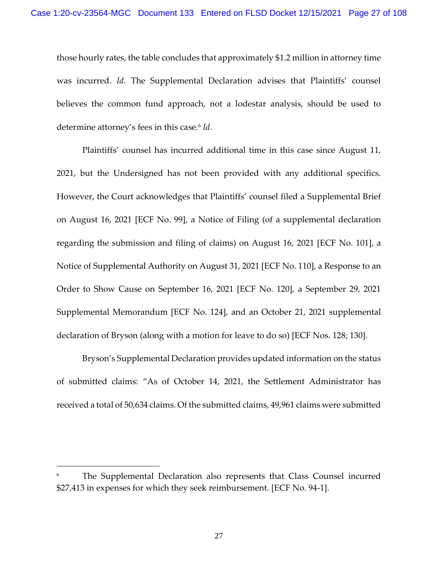those hourly rates, the table concludes that approximately \$1.2 million in attorney time was incurred. *Id.* The Supplemental Declaration advises that Plaintiffs' counsel believes the common fund approach, not a lodestar analysis, should be used to determine attorney's fees in this case.<sup>6</sup> *Id.*

Plaintiffs' counsel has incurred additional time in this case since August 11, 2021, but the Undersigned has not been provided with any additional specifics. However, the Court acknowledges that Plaintiffs' counsel filed a Supplemental Brief on August 16, 2021 [ECF No. 99], a Notice of Filing (of a supplemental declaration regarding the submission and filing of claims) on August 16, 2021 [ECF No. 101], a Notice of Supplemental Authority on August 31, 2021 [ECF No. 110], a Response to an Order to Show Cause on September 16, 2021 [ECF No. 120], a September 29, 2021 Supplemental Memorandum [ECF No. 124], and an October 21, 2021 supplemental declaration of Bryson (along with a motion for leave to do so) [ECF Nos. 128; 130].

Bryson's Supplemental Declaration provides updated information on the status of submitted claims: "As of October 14, 2021, the Settlement Administrator has received a total of 50,634 claims. Of the submitted claims, 49,961 claims were submitted

The Supplemental Declaration also represents that Class Counsel incurred \$27,413 in expenses for which they seek reimbursement. [ECF No. 94-1].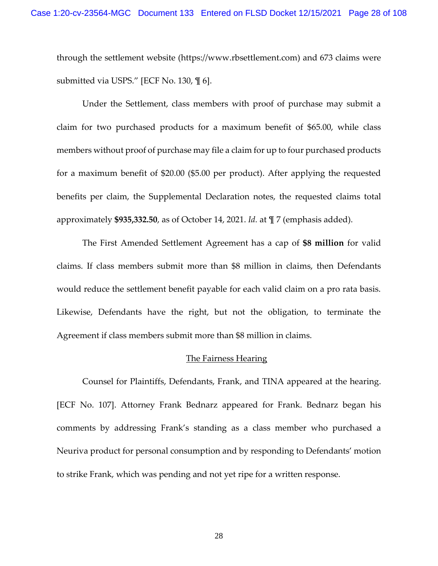through the settlement website (https://www.rbsettlement.com) and 673 claims were submitted via USPS." [ECF No. 130, ¶ 6].

Under the Settlement, class members with proof of purchase may submit a claim for two purchased products for a maximum benefit of \$65.00, while class members without proof of purchase may file a claim for up to four purchased products for a maximum benefit of \$20.00 (\$5.00 per product). After applying the requested benefits per claim, the Supplemental Declaration notes, the requested claims total approximately **\$935,332.50**, as of October 14, 2021. *Id.* at ¶ 7 (emphasis added).

The First Amended Settlement Agreement has a cap of **\$8 million** for valid claims. If class members submit more than \$8 million in claims, then Defendants would reduce the settlement benefit payable for each valid claim on a pro rata basis. Likewise, Defendants have the right, but not the obligation, to terminate the Agreement if class members submit more than \$8 million in claims.

#### The Fairness Hearing

Counsel for Plaintiffs, Defendants, Frank, and TINA appeared at the hearing. [ECF No. 107]. Attorney Frank Bednarz appeared for Frank. Bednarz began his comments by addressing Frank's standing as a class member who purchased a Neuriva product for personal consumption and by responding to Defendants' motion to strike Frank, which was pending and not yet ripe for a written response.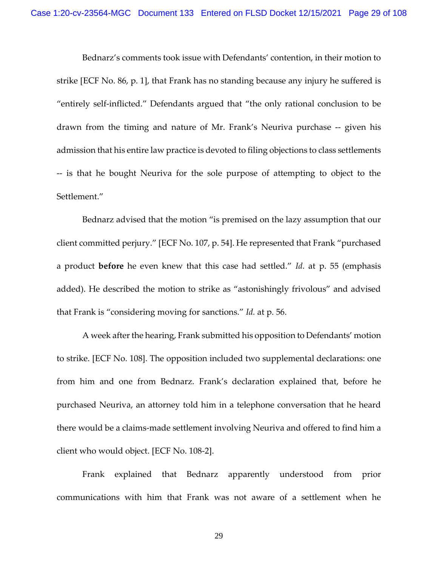Bednarz's comments took issue with Defendants' contention, in their motion to strike [ECF No. 86, p. 1], that Frank has no standing because any injury he suffered is "entirely self-inflicted." Defendants argued that "the only rational conclusion to be drawn from the timing and nature of Mr. Frank's Neuriva purchase -- given his admission that his entire law practice is devoted to filing objections to class settlements -- is that he bought Neuriva for the sole purpose of attempting to object to the Settlement."

Bednarz advised that the motion "is premised on the lazy assumption that our client committed perjury." [ECF No. 107, p. 54]. He represented that Frank "purchased a product **before** he even knew that this case had settled." *Id.* at p. 55 (emphasis added). He described the motion to strike as "astonishingly frivolous" and advised that Frank is "considering moving for sanctions." *Id.* at p. 56.

A week after the hearing, Frank submitted his opposition to Defendants' motion to strike. [ECF No. 108]. The opposition included two supplemental declarations: one from him and one from Bednarz. Frank's declaration explained that, before he purchased Neuriva, an attorney told him in a telephone conversation that he heard there would be a claims-made settlement involving Neuriva and offered to find him a client who would object. [ECF No. 108-2].

Frank explained that Bednarz apparently understood from prior communications with him that Frank was not aware of a settlement when he

29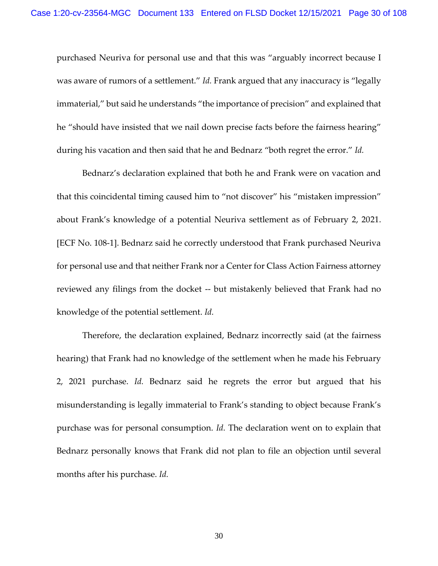purchased Neuriva for personal use and that this was "arguably incorrect because I was aware of rumors of a settlement." *Id.* Frank argued that any inaccuracy is "legally immaterial," but said he understands "the importance of precision" and explained that he "should have insisted that we nail down precise facts before the fairness hearing" during his vacation and then said that he and Bednarz "both regret the error." *Id.*

Bednarz's declaration explained that both he and Frank were on vacation and that this coincidental timing caused him to "not discover" his "mistaken impression" about Frank's knowledge of a potential Neuriva settlement as of February 2, 2021. [ECF No. 108-1]. Bednarz said he correctly understood that Frank purchased Neuriva for personal use and that neither Frank nor a Center for Class Action Fairness attorney reviewed any filings from the docket -- but mistakenly believed that Frank had no knowledge of the potential settlement. *Id.*

Therefore, the declaration explained, Bednarz incorrectly said (at the fairness hearing) that Frank had no knowledge of the settlement when he made his February 2, 2021 purchase. *Id.* Bednarz said he regrets the error but argued that his misunderstanding is legally immaterial to Frank's standing to object because Frank's purchase was for personal consumption. *Id.* The declaration went on to explain that Bednarz personally knows that Frank did not plan to file an objection until several months after his purchase. *Id.*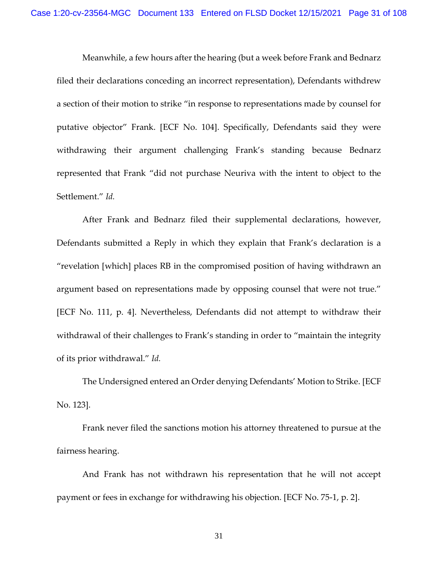Meanwhile, a few hours after the hearing (but a week before Frank and Bednarz filed their declarations conceding an incorrect representation), Defendants withdrew a section of their motion to strike "in response to representations made by counsel for putative objector" Frank. [ECF No. 104]. Specifically, Defendants said they were withdrawing their argument challenging Frank's standing because Bednarz represented that Frank "did not purchase Neuriva with the intent to object to the Settlement." *Id.*

After Frank and Bednarz filed their supplemental declarations, however, Defendants submitted a Reply in which they explain that Frank's declaration is a "revelation [which] places RB in the compromised position of having withdrawn an argument based on representations made by opposing counsel that were not true." [ECF No. 111, p. 4]. Nevertheless, Defendants did not attempt to withdraw their withdrawal of their challenges to Frank's standing in order to "maintain the integrity of its prior withdrawal." *Id.*

The Undersigned entered an Order denying Defendants' Motion to Strike. [ECF No. 123].

Frank never filed the sanctions motion his attorney threatened to pursue at the fairness hearing.

And Frank has not withdrawn his representation that he will not accept payment or fees in exchange for withdrawing his objection. [ECF No. 75-1, p. 2].

31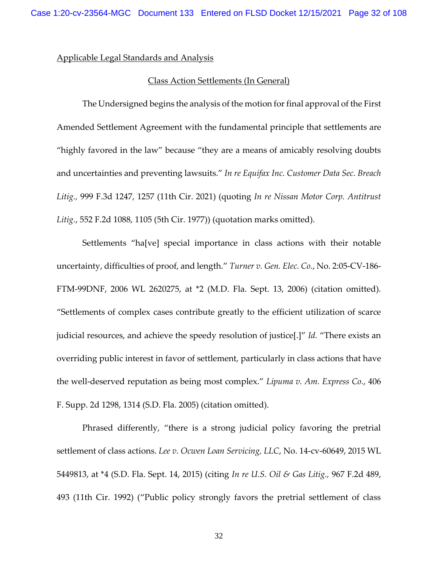Applicable Legal Standards and Analysis

## Class Action Settlements (In General)

The Undersigned begins the analysis of the motion for final approval of the First Amended Settlement Agreement with the fundamental principle that settlements are "highly favored in the law" because "they are a means of amicably resolving doubts and uncertainties and preventing lawsuits." *In re Equifax Inc. Customer Data Sec. Breach Litig.,* 999 F.3d 1247, 1257 (11th Cir. 2021) (quoting *[In re Nissan Motor Corp. Antitrust](https://1.next.westlaw.com/Link/Document/FullText?findType=Y&serNum=1977104736&pubNum=0000350&originatingDoc=Iff1303a0c4ab11eba327bdb97094918d&refType=RP&fi=co_pp_sp_350_1105&originationContext=document&transitionType=DocumentItem&ppcid=ff4257658ffe401c8943aac37599c834&contextData=(sc.Search)#co_pp_sp_350_1105)  Litig.*[, 552 F.2d 1088, 1105 \(5th Cir. 1977\)\)](https://1.next.westlaw.com/Link/Document/FullText?findType=Y&serNum=1977104736&pubNum=0000350&originatingDoc=Iff1303a0c4ab11eba327bdb97094918d&refType=RP&fi=co_pp_sp_350_1105&originationContext=document&transitionType=DocumentItem&ppcid=ff4257658ffe401c8943aac37599c834&contextData=(sc.Search)#co_pp_sp_350_1105) (quotation marks omitted).

Settlements "ha[ve] special importance in class actions with their notable uncertainty, difficulties of proof, and length." *Turner v. Gen. Elec. Co.*, No. 2:05-CV-186- FTM-99DNF, 2006 WL 2620275, at \*2 (M.D. Fla. Sept. 13, 2006) (citation omitted). "Settlements of complex cases contribute greatly to the efficient utilization of scarce judicial resources, and achieve the speedy resolution of justice[.]" *Id.* "There exists an overriding public interest in favor of settlement, particularly in class actions that have the well-deserved reputation as being most complex." *Lipuma v. Am. Express Co.*, 406 F. Supp. 2d 1298, 1314 (S.D. Fla. 2005) (citation omitted).

Phrased differently, "there is a strong judicial policy favoring the pretrial settlement of class actions. *Lee v. Ocwen Loan Servicing, LLC*, No. 14-cv-60649, 2015 WL 5449813, at \*4 (S.D. Fla. Sept. 14, 2015) (citing *[In re U.S. Oil & Gas Litig.,](https://1.next.westlaw.com/Link/Document/FullText?findType=Y&serNum=1992124823&pubNum=0000350&originatingDoc=I8346eb505d2e11e5be1ff4cec5913d5d&refType=RP&fi=co_pp_sp_350_493&originationContext=document&transitionType=DocumentItem&ppcid=ec52ce5933ba4f5e802f39821edcd69e&contextData=(sc.Search)#co_pp_sp_350_493)* 967 F.2d 489, [493 \(11th Cir.](https://1.next.westlaw.com/Link/Document/FullText?findType=Y&serNum=1992124823&pubNum=0000350&originatingDoc=I8346eb505d2e11e5be1ff4cec5913d5d&refType=RP&fi=co_pp_sp_350_493&originationContext=document&transitionType=DocumentItem&ppcid=ec52ce5933ba4f5e802f39821edcd69e&contextData=(sc.Search)#co_pp_sp_350_493) 1992) ("Public policy strongly favors the pretrial settlement of class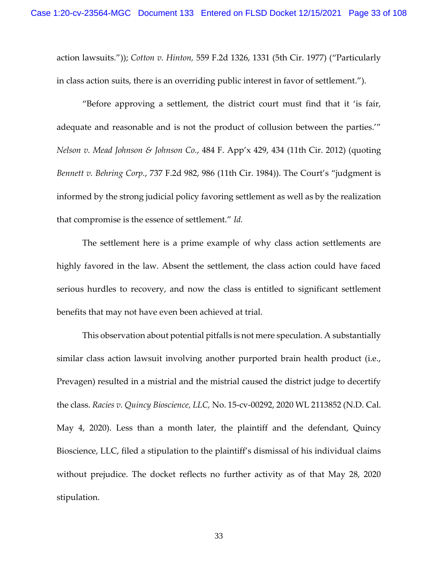action lawsuits.")); *Cotton v. Hinton,* [559 F.2d 1326, 1331 \(5th Cir.](https://1.next.westlaw.com/Link/Document/FullText?findType=Y&serNum=1977123287&pubNum=0000350&originatingDoc=I8346eb505d2e11e5be1ff4cec5913d5d&refType=RP&fi=co_pp_sp_350_1331&originationContext=document&transitionType=DocumentItem&ppcid=ec52ce5933ba4f5e802f39821edcd69e&contextData=(sc.Search)#co_pp_sp_350_1331) 1977) ("Particularly in class action suits, there is an overriding public interest in favor of settlement.").

"Before approving a settlement, the district court must find that it 'is fair, adequate and reasonable and is not the product of collusion between the parties.'" *Nelson v. Mead Johnson & Johnson Co.*, 484 F. App'x 429, 434 (11th Cir. 2012) (quoting *Bennett v. Behring Corp.*, 737 F.2d 982, 986 (11th Cir. 1984)). The Court's "judgment is informed by the strong judicial policy favoring settlement as well as by the realization that compromise is the essence of settlement." *Id.*

The settlement here is a prime example of why class action settlements are highly favored in the law. Absent the settlement, the class action could have faced serious hurdles to recovery, and now the class is entitled to significant settlement benefits that may not have even been achieved at trial.

This observation about potential pitfalls is not mere speculation. A substantially similar class action lawsuit involving another purported brain health product (i.e., Prevagen) resulted in a mistrial and the mistrial caused the district judge to decertify the class. *Racies v. Quincy Bioscience, LLC,* No. 15-cv-00292, 2020 WL 2113852 (N.D. Cal. May 4, 2020). Less than a month later, the plaintiff and the defendant, Quincy Bioscience, LLC, filed a stipulation to the plaintiff's dismissal of his individual claims without prejudice. The docket reflects no further activity as of that May 28, 2020 stipulation.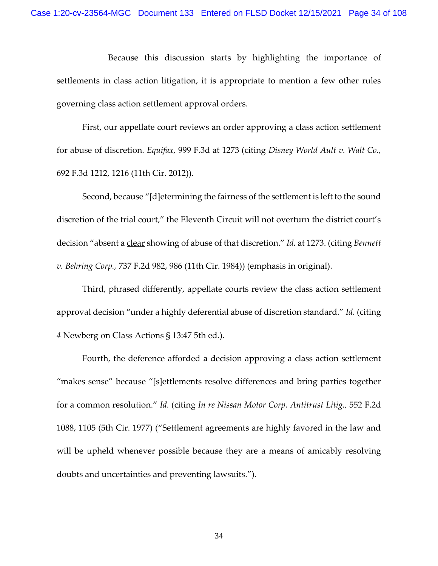Because this discussion starts by highlighting the importance of settlements in class action litigation, it is appropriate to mention a few other rules governing class action settlement approval orders.

First, our appellate court reviews an order approving a class action settlement for abuse of discretion. *Equifax,* 999 F.3d at 1273 (citing *Disney World Ault v. Walt Co.,* 692 F.3d 1212, 1216 (11th Cir. 2012)).

Second, because "[d]etermining the fairness of the settlement is left to the sound discretion of the trial court," the Eleventh Circuit will not overturn the district court's decision "absent a clear showing of abuse of that discretion." *Id.* at 1273. (citing *Bennett v. Behring Corp.,* 737 F.2d 982, 986 (11th Cir. 1984)) (emphasis in original).

Third, phrased differently, appellate courts review the class action settlement approval decision "under a highly deferential abuse of discretion standard." *Id.* (citing *4* Newberg on Class Actions § 13:47 5th ed.).

Fourth, the deference afforded a decision approving a class action settlement "makes sense" because "[s]ettlements resolve differences and bring parties together for a common resolution." *Id.* (citing *In re Nissan Motor Corp. Antitrust Litig.,* 552 F.2d 1088, 1105 (5th Cir. 1977) ("Settlement agreements are highly favored in the law and will be upheld whenever possible because they are a means of amicably resolving doubts and uncertainties and preventing lawsuits.").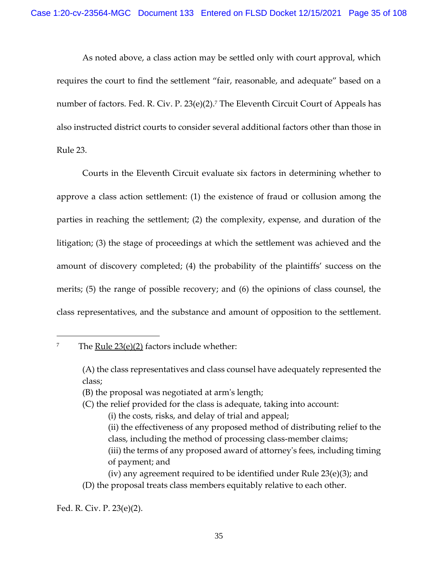As noted above, a class action may be settled only with court approval, which requires the court to find the settlement "fair, reasonable, and adequate" based on a number of factors. [Fed. R. Civ. P. 23\(e\)\(2\).](https://1.next.westlaw.com/Link/Document/FullText?findType=L&pubNum=1000600&cite=USFRCPR23&originatingDoc=Iff1303a0c4ab11eba327bdb97094918d&refType=LQ&originationContext=document&transitionType=DocumentItem&ppcid=e29f27da2ab6434db78f80bb0824b654&contextData=(sc.UserEnteredCitation)) <sup>7</sup> The Eleventh Circuit Court of Appeals has also instructed district courts to consider several additional factors other than those in Rule 23.

Courts in the Eleventh Circuit evaluate six factors in determining whether to approve a class action settlement: (1) the existence of fraud or collusion among the parties in reaching the settlement; (2) the complexity, expense, and duration of the litigation; (3) the stage of proceedings at which the settlement was achieved and the amount of discovery completed; (4) the probability of the plaintiffs' success on the merits; (5) the range of possible recovery; and (6) the opinions of class counsel, the class representatives, and the substance and amount of opposition to the settlement.

7 The Rule 23(e)(2) factors include whether:

- (B) the proposal was negotiated at arm's length;
- (C) the relief provided for the class is adequate, taking into account:
	- (i) the costs, risks, and delay of trial and appeal;
	- (ii) the effectiveness of any proposed method of distributing relief to the class, including the method of processing class-member claims; (iii) the terms of any proposed award of attorney's fees, including timing of payment; and

(iv) any agreement required to be identified under Rule 23(e)(3); and (D) the proposal treats class members equitably relative to each other.

<sup>(</sup>A) the class representatives and class counsel have adequately represented the class;

Fed. R. Civ. P. 23(e)(2).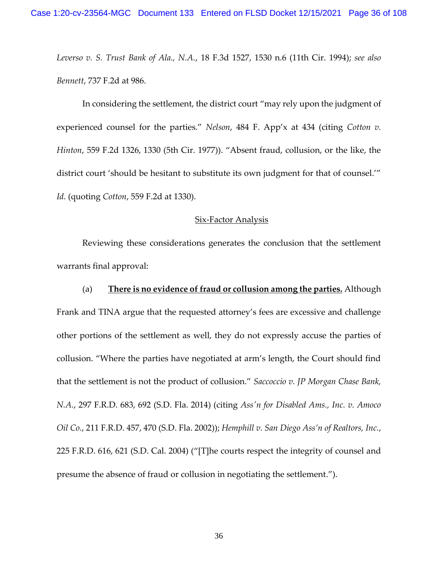*Leverso v. S. Trust Bank of Ala., N.A.*, 18 F.3d 1527, 1530 n.6 (11th Cir. 1994); *see also Bennett*, 737 F.2d at 986.

In considering the settlement, the district court "may rely upon the judgment of experienced counsel for the parties." *Nelson*, 484 F. App'x at 434 (citing *Cotton v. Hinton*, 559 F.2d 1326, 1330 (5th Cir. 1977)). "Absent fraud, collusion, or the like, the district court 'should be hesitant to substitute its own judgment for that of counsel.'" *Id.* (quoting *Cotton*, 559 F.2d at 1330).

### Six-Factor Analysis

Reviewing these considerations generates the conclusion that the settlement warrants final approval:

(a) **There is no evidence of fraud or collusion among the parties.** Although Frank and TINA argue that the requested attorney's fees are excessive and challenge other portions of the settlement as well, they do not expressly accuse the parties of collusion. "Where the parties have negotiated at arm's length, the Court should find that the settlement is not the product of collusion." *Saccoccio v. JP Morgan Chase Bank, N.A.*, 297 F.R.D. 683, 692 (S.D. Fla. 2014) (citing *Ass'n for Disabled Ams., Inc. v. Amoco Oil Co.*, 211 F.R.D. 457, 470 (S.D. Fla. 2002)); *Hemphill v. San Diego Ass'n of Realtors, Inc.*, 225 F.R.D. 616, 621 (S.D. Cal. 2004) ("[T]he courts respect the integrity of counsel and presume the absence of fraud or collusion in negotiating the settlement.").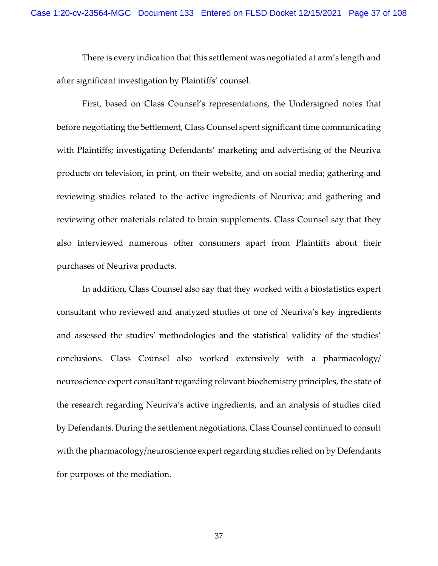There is every indication that this settlement was negotiated at arm's length and after significant investigation by Plaintiffs' counsel.

First, based on Class Counsel's representations, the Undersigned notes that before negotiating the Settlement, Class Counsel spent significant time communicating with Plaintiffs; investigating Defendants' marketing and advertising of the Neuriva products on television, in print, on their website, and on social media; gathering and reviewing studies related to the active ingredients of Neuriva; and gathering and reviewing other materials related to brain supplements. Class Counsel say that they also interviewed numerous other consumers apart from Plaintiffs about their purchases of Neuriva products.

In addition, Class Counsel also say that they worked with a biostatistics expert consultant who reviewed and analyzed studies of one of Neuriva's key ingredients and assessed the studies' methodologies and the statistical validity of the studies' conclusions. Class Counsel also worked extensively with a pharmacology/ neuroscience expert consultant regarding relevant biochemistry principles, the state of the research regarding Neuriva's active ingredients, and an analysis of studies cited by Defendants. During the settlement negotiations, Class Counsel continued to consult with the pharmacology/neuroscience expert regarding studies relied on by Defendants for purposes of the mediation.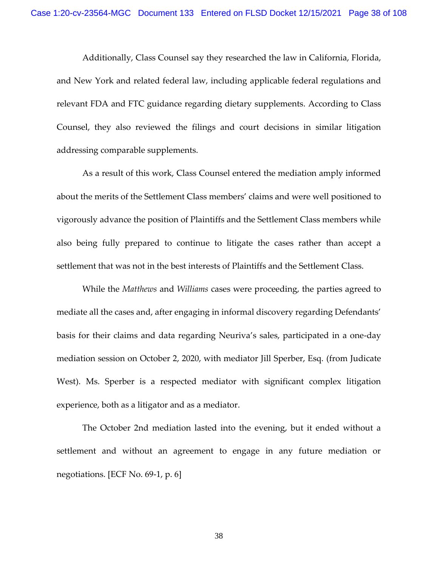Additionally, Class Counsel say they researched the law in California, Florida, and New York and related federal law, including applicable federal regulations and relevant FDA and FTC guidance regarding dietary supplements. According to Class Counsel, they also reviewed the filings and court decisions in similar litigation addressing comparable supplements.

As a result of this work, Class Counsel entered the mediation amply informed about the merits of the Settlement Class members' claims and were well positioned to vigorously advance the position of Plaintiffs and the Settlement Class members while also being fully prepared to continue to litigate the cases rather than accept a settlement that was not in the best interests of Plaintiffs and the Settlement Class.

While the *Matthews* and *Williams* cases were proceeding, the parties agreed to mediate all the cases and, after engaging in informal discovery regarding Defendants' basis for their claims and data regarding Neuriva's sales, participated in a one-day mediation session on October 2, 2020, with mediator Jill Sperber, Esq. (from Judicate West). Ms. Sperber is a respected mediator with significant complex litigation experience, both as a litigator and as a mediator.

The October 2nd mediation lasted into the evening, but it ended without a settlement and without an agreement to engage in any future mediation or negotiations. [ECF No. 69-1, p. 6]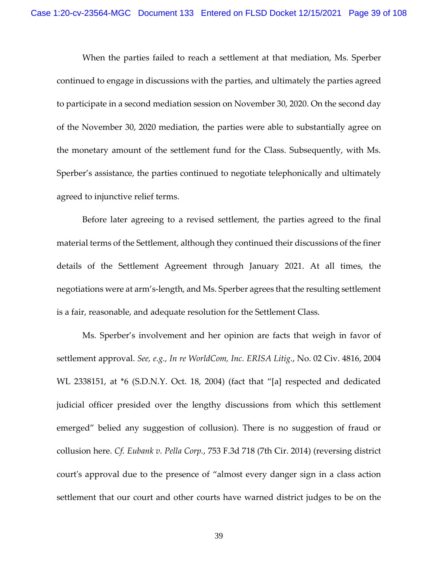When the parties failed to reach a settlement at that mediation, Ms. Sperber continued to engage in discussions with the parties, and ultimately the parties agreed to participate in a second mediation session on November 30, 2020. On the second day of the November 30, 2020 mediation, the parties were able to substantially agree on the monetary amount of the settlement fund for the Class. Subsequently, with Ms. Sperber's assistance, the parties continued to negotiate telephonically and ultimately agreed to injunctive relief terms.

Before later agreeing to a revised settlement, the parties agreed to the final material terms of the Settlement, although they continued their discussions of the finer details of the Settlement Agreement through January 2021. At all times, the negotiations were at arm's-length, and Ms. Sperber agrees that the resulting settlement is a fair, reasonable, and adequate resolution for the Settlement Class.

Ms. Sperber's involvement and her opinion are facts that weigh in favor of settlement approval. *See, e.g., In re WorldCom, Inc. ERISA Litig.*, No. 02 Civ. 4816, 2004 WL 2338151, at \*6 (S.D.N.Y. Oct. 18, 2004) (fact that "[a] respected and dedicated judicial officer presided over the lengthy discussions from which this settlement emerged" belied any suggestion of collusion). There is no suggestion of fraud or collusion here. *Cf. Eubank v. Pella Corp.*, 753 F.3d 718 (7th Cir. 2014) (reversing district court's approval due to the presence of "almost every danger sign in a class action settlement that our court and other courts have warned district judges to be on the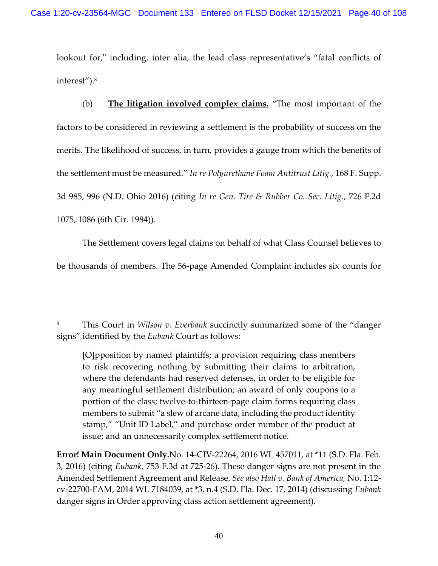lookout for," including, inter alia, the lead class representative's "fatal conflicts of interest").<sup>8</sup>

(b) **The litigation involved complex claims.** "The most important of the factors to be considered in reviewing a settlement is the probability of success on the merits. The likelihood of success, in turn, provides a gauge from which the benefits of the settlement must be measured." *In re Polyurethane Foam Antitrust Litig.*, 168 F. Supp. 3d 985, 996 (N.D. Ohio 2016) (citing *In re Gen. Tire & Rubber Co. Sec. Litig.*, 726 F.2d 1075, 1086 (6th Cir. 1984)).

The Settlement covers legal claims on behalf of what Class Counsel believes to be thousands of members. The 56-page Amended Complaint includes six counts for

**Error! Main Document Only.**No. 14-CIV-22264, 2016 WL 457011, at \*11 (S.D. Fla. Feb. 3, 2016) (citing *Eubank*, 753 F.3d at 725-26). These danger signs are not present in the Amended Settlement Agreement and Release. *See also Hall v. Bank of America,* No. 1:12 cv-22700-FAM, 2014 WL 7184039, at \*3, n.4 (S.D. Fla. Dec. 17, 2014) (discussing *Eubank* danger signs in Order approving class action settlement agreement).

<sup>8</sup> This Court in *Wilson v. Everbank* succinctly summarized some of the "danger signs" identified by the *Eubank* Court as follows:

<sup>[</sup>O]pposition by named plaintiffs; a provision requiring class members to risk recovering nothing by submitting their claims to arbitration, where the defendants had reserved defenses, in order to be eligible for any meaningful settlement distribution; an award of only coupons to a portion of the class; twelve-to-thirteen-page claim forms requiring class members to submit "a slew of arcane data, including the product identity stamp," "Unit ID Label," and purchase order number of the product at issue; and an unnecessarily complex settlement notice.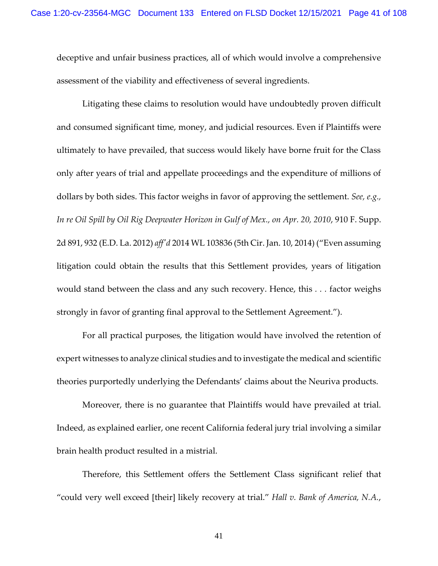deceptive and unfair business practices, all of which would involve a comprehensive assessment of the viability and effectiveness of several ingredients.

Litigating these claims to resolution would have undoubtedly proven difficult and consumed significant time, money, and judicial resources. Even if Plaintiffs were ultimately to have prevailed, that success would likely have borne fruit for the Class only after years of trial and appellate proceedings and the expenditure of millions of dollars by both sides. This factor weighs in favor of approving the settlement. *See, e.g., In re Oil Spill by Oil Rig Deepwater Horizon in Gulf of Mex., on Apr. 20, 2010*, 910 F. Supp. 2d 891, 932 (E.D. La. 2012) *aff'd* 2014 WL 103836 (5th Cir. Jan. 10, 2014) ("Even assuming litigation could obtain the results that this Settlement provides, years of litigation would stand between the class and any such recovery. Hence, this *. . .* factor weighs strongly in favor of granting final approval to the Settlement Agreement.").

For all practical purposes, the litigation would have involved the retention of expert witnesses to analyze clinical studies and to investigate the medical and scientific theories purportedly underlying the Defendants' claims about the Neuriva products.

Moreover, there is no guarantee that Plaintiffs would have prevailed at trial. Indeed, as explained earlier, one recent California federal jury trial involving a similar brain health product resulted in a mistrial.

Therefore, this Settlement offers the Settlement Class significant relief that "could very well exceed [their] likely recovery at trial." *Hall v. Bank of America, N.A.*,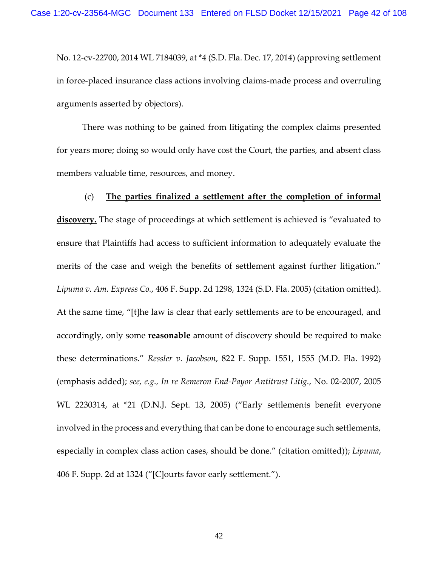No. 12-cv-22700, 2014 WL 7184039, at \*4 (S.D. Fla. Dec. 17, 2014) (approving settlement in force-placed insurance class actions involving claims-made process and overruling arguments asserted by objectors).

There was nothing to be gained from litigating the complex claims presented for years more; doing so would only have cost the Court, the parties, and absent class members valuable time, resources, and money.

# (c) **The parties finalized a settlement after the completion of informal**

**discovery.** The stage of proceedings at which settlement is achieved is "evaluated to ensure that Plaintiffs had access to sufficient information to adequately evaluate the merits of the case and weigh the benefits of settlement against further litigation." *Lipuma v. Am. Express Co.*, 406 F. Supp. 2d 1298, 1324 (S.D. Fla. 2005) (citation omitted). At the same time, "[t]he law is clear that early settlements are to be encouraged, and accordingly, only some **reasonable** amount of discovery should be required to make these determinations." *Ressler v. Jacobson*, 822 F. Supp. 1551, 1555 (M.D. Fla. 1992) (emphasis added); *see, e.g., In re Remeron End-Payor Antitrust Litig.*, No. 02-2007, 2005 WL 2230314, at \*21 (D.N.J. Sept. 13, 2005) ("Early settlements benefit everyone involved in the process and everything that can be done to encourage such settlements, especially in complex class action cases, should be done." (citation omitted)); *Lipuma*, 406 F. Supp. 2d at 1324 ("[C]ourts favor early settlement.").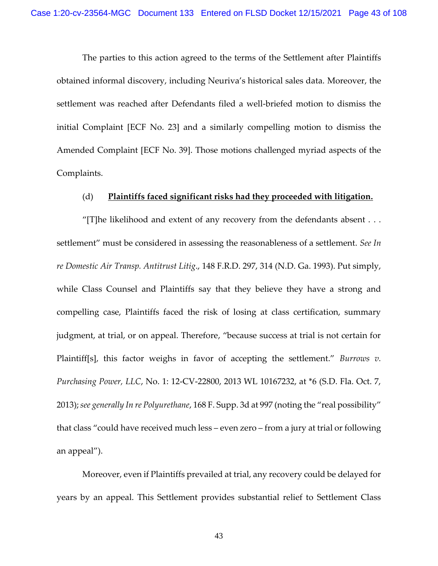The parties to this action agreed to the terms of the Settlement after Plaintiffs obtained informal discovery, including Neuriva's historical sales data. Moreover, the settlement was reached after Defendants filed a well-briefed motion to dismiss the initial Complaint [ECF No. 23] and a similarly compelling motion to dismiss the Amended Complaint [ECF No. 39]. Those motions challenged myriad aspects of the Complaints.

## (d) **Plaintiffs faced significant risks had they proceeded with litigation.**

"[T]he likelihood and extent of any recovery from the defendants absent  $\dots$ settlement" must be considered in assessing the reasonableness of a settlement. *See In re Domestic Air Transp. Antitrust Litig*., 148 F.R.D. 297, 314 (N.D. Ga. 1993). Put simply, while Class Counsel and Plaintiffs say that they believe they have a strong and compelling case, Plaintiffs faced the risk of losing at class certification, summary judgment, at trial, or on appeal. Therefore, "because success at trial is not certain for Plaintiff[s], this factor weighs in favor of accepting the settlement." *Burrows v. Purchasing Power, LLC*, No. 1: 12-CV-22800, 2013 WL 10167232, at \*6 (S.D. Fla. Oct. 7, 2013);*see generally In re Polyurethane*, 168 F. Supp. 3d at 997 (noting the "real possibility" that class "could have received much less – even zero – from a jury at trial or following an appeal").

Moreover, even if Plaintiffs prevailed at trial, any recovery could be delayed for years by an appeal. This Settlement provides substantial relief to Settlement Class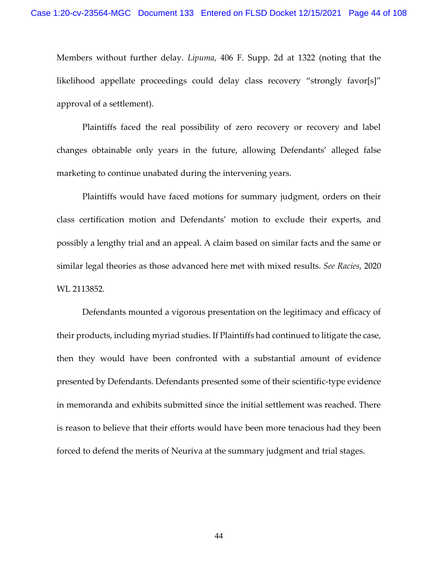Members without further delay. *Lipuma*, 406 F. Supp. 2d at 1322 (noting that the likelihood appellate proceedings could delay class recovery "strongly favor[s]" approval of a settlement).

Plaintiffs faced the real possibility of zero recovery or recovery and label changes obtainable only years in the future, allowing Defendants' alleged false marketing to continue unabated during the intervening years.

Plaintiffs would have faced motions for summary judgment, orders on their class certification motion and Defendants' motion to exclude their experts, and possibly a lengthy trial and an appeal. A claim based on similar facts and the same or similar legal theories as those advanced here met with mixed results. *See Racies*, 2020 WL 2113852*.* 

Defendants mounted a vigorous presentation on the legitimacy and efficacy of their products, including myriad studies. If Plaintiffs had continued to litigate the case, then they would have been confronted with a substantial amount of evidence presented by Defendants. Defendants presented some of their scientific-type evidence in memoranda and exhibits submitted since the initial settlement was reached. There is reason to believe that their efforts would have been more tenacious had they been forced to defend the merits of Neuriva at the summary judgment and trial stages.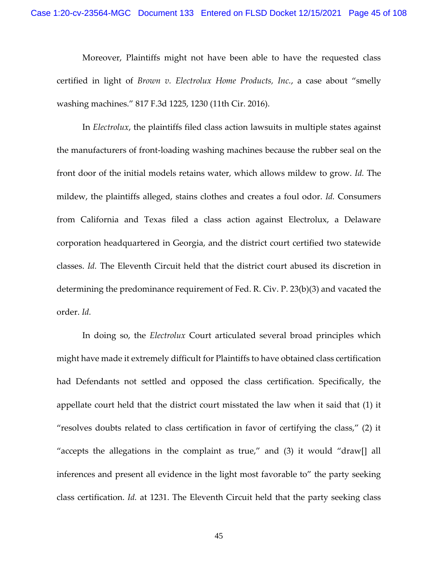Moreover, Plaintiffs might not have been able to have the requested class certified in light of *Brown v. Electrolux Home Products, Inc.*, a case about "smelly washing machines." 817 F.3d 1225, 1230 (11th Cir. 2016).

In *Electrolux*, the plaintiffs filed class action lawsuits in multiple states against the manufacturers of front-loading washing machines because the rubber seal on the front door of the initial models retains water, which allows mildew to grow. *Id.* The mildew, the plaintiffs alleged, stains clothes and creates a foul odor. *Id.* Consumers from California and Texas filed a class action against Electrolux, a Delaware corporation headquartered in Georgia, and the district court certified two statewide classes. *Id.* The Eleventh Circuit held that the district court abused its discretion in determining the predominance requirement of Fed. R. Civ. P. 23(b)(3) and vacated the order. *Id.*

In doing so, the *Electrolux* Court articulated several broad principles which might have made it extremely difficult for Plaintiffs to have obtained class certification had Defendants not settled and opposed the class certification. Specifically, the appellate court held that the district court misstated the law when it said that (1) it "resolves doubts related to class certification in favor of certifying the class," (2) it "accepts the allegations in the complaint as true," and (3) it would "draw[] all inferences and present all evidence in the light most favorable to" the party seeking class certification. *Id.* at 1231. The Eleventh Circuit held that the party seeking class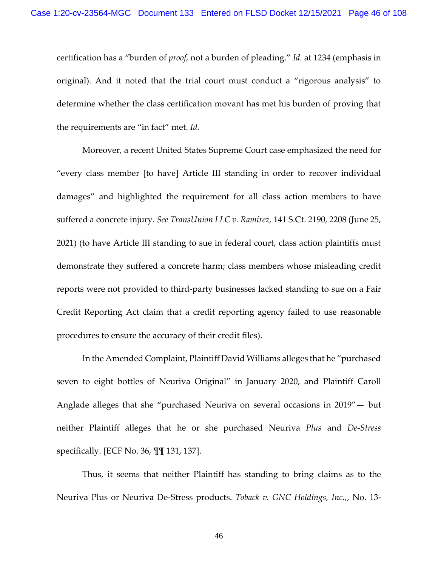certification has a "burden of *proof,* not a burden of pleading." *Id.* at 1234 (emphasis in original). And it noted that the trial court must conduct a "rigorous analysis" to determine whether the class certification movant has met his burden of proving that the requirements are "in fact" met. *Id.*

Moreover, a recent United States Supreme Court case emphasized the need for "every class member [to have] Article III standing in order to recover individual damages" and highlighted the requirement for all class action members to have suffered a concrete injury. *See TransUnion LLC v. Ramirez,* 141 S.Ct. 2190, 2208 (June 25, 2021) (to have Article III standing to sue in federal court, class action plaintiffs must demonstrate they suffered a concrete harm; class members whose misleading credit reports were not provided to third-party businesses lacked standing to sue on a Fair Credit Reporting Act claim that a credit reporting agency failed to use reasonable procedures to ensure the accuracy of their credit files).

In the Amended Complaint, Plaintiff David Williams alleges that he "purchased seven to eight bottles of Neuriva Original" in January 2020, and Plaintiff Caroll Anglade alleges that she "purchased Neuriva on several occasions in 2019"— but neither Plaintiff alleges that he or she purchased Neuriva *Plus* and *De-Stress*  specifically. [ECF No. 36, ¶¶ 131, 137].

Thus, it seems that neither Plaintiff has standing to bring claims as to the Neuriva Plus or Neuriva De-Stress products. *Toback v. GNC Holdings, Inc.,*, No. 13-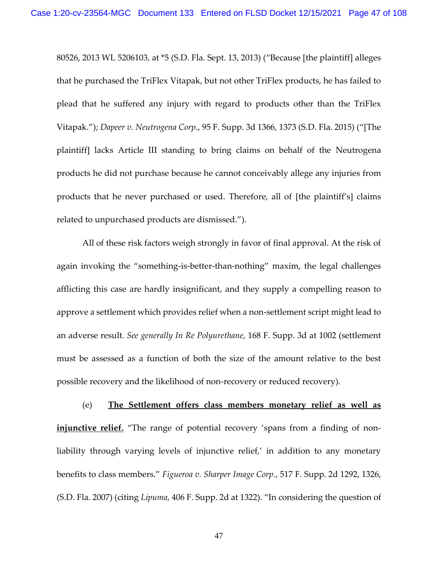80526, 2013 WL 5206103, at \*5 (S.D. Fla. Sept. 13, 2013) ("Because [the plaintiff] alleges that he purchased the TriFlex Vitapak, but not other TriFlex products, he has failed to plead that he suffered any injury with regard to products other than the TriFlex Vitapak."); *Dapeer v. Neutrogena Corp*., 95 F. Supp. 3d 1366, 1373 (S.D. Fla. 2015) ("[The plaintiff] lacks Article III standing to bring claims on behalf of the Neutrogena products he did not purchase because he cannot conceivably allege any injuries from products that he never purchased or used. Therefore, all of [the plaintiff's] claims related to unpurchased products are dismissed.").

All of these risk factors weigh strongly in favor of final approval. At the risk of again invoking the "something-is-better-than-nothing" maxim, the legal challenges afflicting this case are hardly insignificant, and they supply a compelling reason to approve a settlement which provides relief when a non-settlement script might lead to an adverse result. *See generally In Re Polyurethane*, 168 F. Supp. 3d at 1002 (settlement must be assessed as a function of both the size of the amount relative to the best possible recovery and the likelihood of non-recovery or reduced recovery).

(e) **The Settlement offers class members monetary relief as well as injunctive relief.** "The range of potential recovery 'spans from a finding of nonliability through varying levels of injunctive relief,' in addition to any monetary benefits to class members." *Figueroa v. Sharper Image Corp.*, 517 F. Supp. 2d 1292, 1326, (S.D. Fla. 2007) (citing *Lipuma*, 406 F. Supp. 2d at 1322). "In considering the question of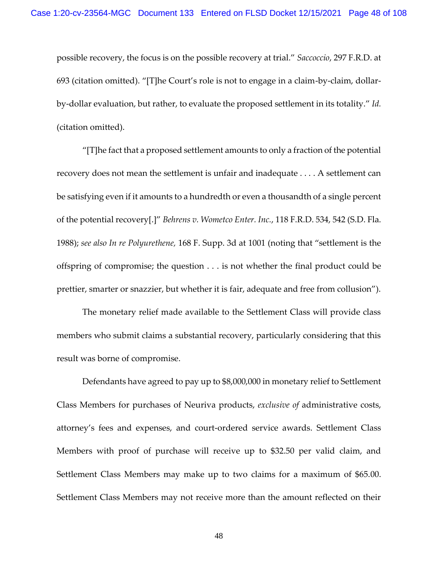possible recovery, the focus is on the possible recovery at trial." *Saccoccio*, 297 F.R.D. at 693 (citation omitted). "[T]he Court's role is not to engage in a claim-by-claim, dollarby-dollar evaluation, but rather, to evaluate the proposed settlement in its totality." *Id.*  (citation omitted).

"[T]he fact that a proposed settlement amounts to only a fraction of the potential recovery does not mean the settlement is unfair and inadequate . . . . A settlement can be satisfying even if it amounts to a hundredth or even a thousandth of a single percent of the potential recovery[.]" *Behrens v. Wometco Enter. Inc.*, 118 F.R.D. 534, 542 (S.D. Fla. 1988); *see also In re Polyurethene,* 168 F. Supp. 3d at 1001 (noting that "settlement is the offspring of compromise; the question . . . is not whether the final product could be prettier, smarter or snazzier, but whether it is fair, adequate and free from collusion").

The monetary relief made available to the Settlement Class will provide class members who submit claims a substantial recovery, particularly considering that this result was borne of compromise.

Defendants have agreed to pay up to \$8,000,000 in monetary relief to Settlement Class Members for purchases of Neuriva products, *exclusive of* administrative costs, attorney's fees and expenses, and court-ordered service awards. Settlement Class Members with proof of purchase will receive up to \$32.50 per valid claim, and Settlement Class Members may make up to two claims for a maximum of \$65.00. Settlement Class Members may not receive more than the amount reflected on their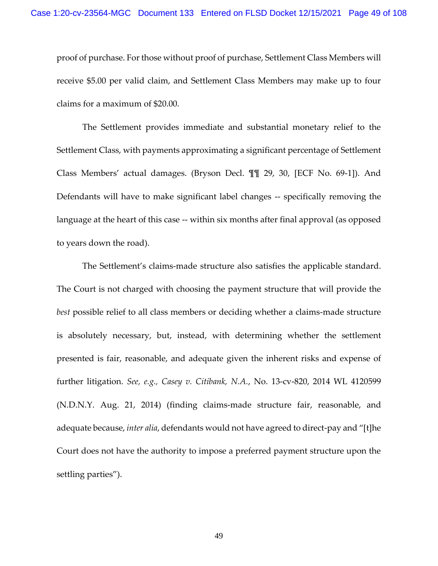proof of purchase. For those without proof of purchase, Settlement Class Members will receive \$5.00 per valid claim, and Settlement Class Members may make up to four claims for a maximum of \$20.00.

The Settlement provides immediate and substantial monetary relief to the Settlement Class, with payments approximating a significant percentage of Settlement Class Members' actual damages. (Bryson Decl. ¶¶ 29, 30, [ECF No. 69-1]). And Defendants will have to make significant label changes -- specifically removing the language at the heart of this case -- within six months after final approval (as opposed to years down the road).

The Settlement's claims-made structure also satisfies the applicable standard. The Court is not charged with choosing the payment structure that will provide the *best* possible relief to all class members or deciding whether a claims-made structure is absolutely necessary, but, instead, with determining whether the settlement presented is fair, reasonable, and adequate given the inherent risks and expense of further litigation. *See, e.g., Casey v. Citibank, N.A.*, No. 13-cv-820, 2014 WL 4120599 (N.D.N.Y. Aug. 21, 2014) (finding claims-made structure fair, reasonable, and adequate because, *inter alia*, defendants would not have agreed to direct-pay and "[t]he Court does not have the authority to impose a preferred payment structure upon the settling parties").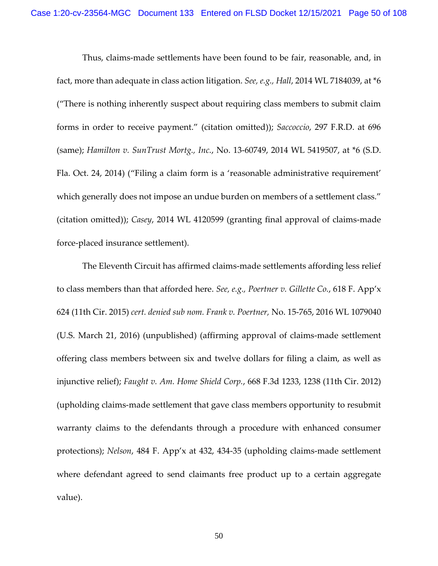Thus, claims-made settlements have been found to be fair, reasonable, and, in fact, more than adequate in class action litigation. *See, e.g., Hall*, 2014 WL 7184039, at \*6 ("There is nothing inherently suspect about requiring class members to submit claim forms in order to receive payment." (citation omitted)); *Saccoccio*, 297 F.R.D. at 696 (same); *Hamilton v. SunTrust Mortg., Inc.*, No. 13-60749, 2014 WL 5419507, at \*6 (S.D. Fla. Oct. 24, 2014) ("Filing a claim form is a 'reasonable administrative requirement' which generally does not impose an undue burden on members of a settlement class." (citation omitted)); *Casey*, 2014 WL 4120599 (granting final approval of claims-made force-placed insurance settlement).

The Eleventh Circuit has affirmed claims-made settlements affording less relief to class members than that afforded here. *See, e.g., Poertner v. Gillette Co.*, 618 F. App'x 624 (11th Cir. 2015) *cert. denied sub nom. Frank v. Poertner,* No. 15-765, 2016 WL 1079040 (U.S. March 21, 2016) (unpublished) (affirming approval of claims-made settlement offering class members between six and twelve dollars for filing a claim, as well as injunctive relief); *Faught v. Am. Home Shield Corp.*, 668 F.3d 1233, 1238 (11th Cir. 2012) (upholding claims-made settlement that gave class members opportunity to resubmit warranty claims to the defendants through a procedure with enhanced consumer protections); *Nelson*, 484 F. App'x at 432, 434-35 (upholding claims-made settlement where defendant agreed to send claimants free product up to a certain aggregate value).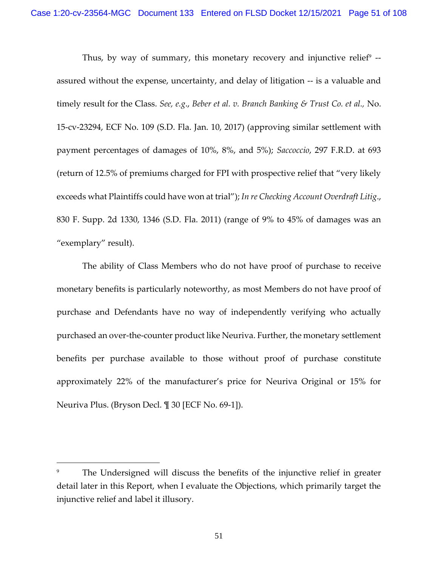Thus, by way of summary, this monetary recovery and injunctive relief $^9$  -assured without the expense, uncertainty, and delay of litigation -- is a valuable and timely result for the Class. *See, e.g*., *Beber et al. v. Branch Banking & Trust Co. et al.,* No. 15-cv-23294, ECF No. 109 (S.D. Fla. Jan. 10, 2017) (approving similar settlement with payment percentages of damages of 10%, 8%, and 5%); *Saccoccio*, 297 F.R.D. at 693 (return of 12.5% of premiums charged for FPI with prospective relief that "very likely exceeds what Plaintiffs could have won at trial"); *In re Checking Account Overdraft Litig*., 830 F. Supp. 2d 1330, 1346 (S.D. Fla. 2011) (range of 9% to 45% of damages was an "exemplary" result).

The ability of Class Members who do not have proof of purchase to receive monetary benefits is particularly noteworthy, as most Members do not have proof of purchase and Defendants have no way of independently verifying who actually purchased an over-the-counter product like Neuriva. Further, the monetary settlement benefits per purchase available to those without proof of purchase constitute approximately 22% of the manufacturer's price for Neuriva Original or 15% for Neuriva Plus. (Bryson Decl. ¶ 30 [ECF No. 69-1]).

<sup>&</sup>lt;sup>9</sup> The Undersigned will discuss the benefits of the injunctive relief in greater detail later in this Report, when I evaluate the Objections, which primarily target the injunctive relief and label it illusory.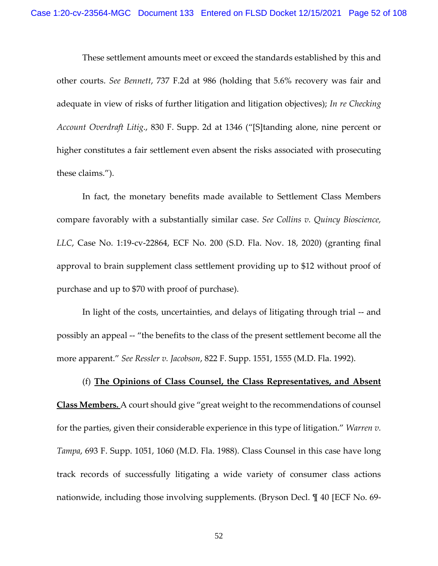These settlement amounts meet or exceed the standards established by this and other courts. *See Bennett*, 737 F.2d at 986 (holding that 5.6% recovery was fair and adequate in view of risks of further litigation and litigation objectives); *In re Checking Account Overdraft Litig*., 830 F. Supp. 2d at 1346 ("[S]tanding alone, nine percent or higher constitutes a fair settlement even absent the risks associated with prosecuting these claims.").

In fact, the monetary benefits made available to Settlement Class Members compare favorably with a substantially similar case. *See Collins v. Quincy Bioscience, LLC*, Case No. 1:19-cv-22864, ECF No. 200 (S.D. Fla. Nov. 18, 2020) (granting final approval to brain supplement class settlement providing up to \$12 without proof of purchase and up to \$70 with proof of purchase).

In light of the costs, uncertainties, and delays of litigating through trial -- and possibly an appeal -- "the benefits to the class of the present settlement become all the more apparent." *See Ressler v. Jacobson*, 822 F. Supp. 1551, 1555 (M.D. Fla. 1992).

(f) **The Opinions of Class Counsel, the Class Representatives, and Absent Class Members.** A court should give "great weight to the recommendations of counsel for the parties, given their considerable experience in this type of litigation." *Warren v. Tampa*, 693 F. Supp. 1051, 1060 (M.D. Fla. 1988). Class Counsel in this case have long track records of successfully litigating a wide variety of consumer class actions nationwide, including those involving supplements. (Bryson Decl. ¶ 40 [ECF No. 69-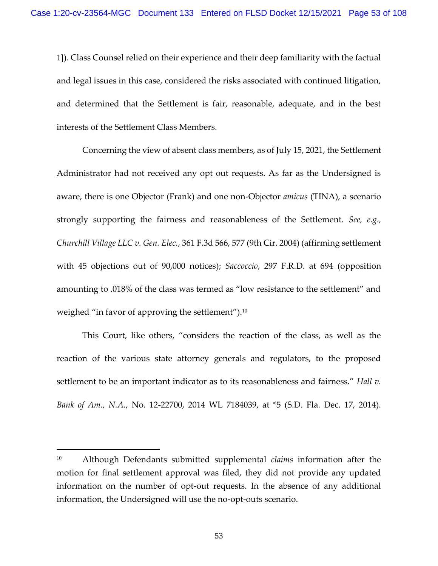1]). Class Counsel relied on their experience and their deep familiarity with the factual and legal issues in this case, considered the risks associated with continued litigation, and determined that the Settlement is fair, reasonable, adequate, and in the best interests of the Settlement Class Members.

Concerning the view of absent class members, as of July 15, 2021, the Settlement Administrator had not received any opt out requests. As far as the Undersigned is aware, there is one Objector (Frank) and one non-Objector *amicus* (TINA), a scenario strongly supporting the fairness and reasonableness of the Settlement. *See, e.g., Churchill Village LLC v. Gen. Elec.*, 361 F.3d 566, 577 (9th Cir. 2004) (affirming settlement with 45 objections out of 90,000 notices); *Saccoccio*, 297 F.R.D. at 694 (opposition amounting to .018% of the class was termed as "low resistance to the settlement" and weighed "in favor of approving the settlement").<sup>10</sup>

This Court, like others, "considers the reaction of the class, as well as the reaction of the various state attorney generals and regulators, to the proposed settlement to be an important indicator as to its reasonableness and fairness." *[Hall v.](https://1.next.westlaw.com/Link/Document/FullText?findType=Y&serNum=2035068832&pubNum=0000999&originatingDoc=Ic5af2ec087b911e5a2e3f57df41a6dad&refType=RP&originationContext=document&transitionType=DocumentItem&ppcid=356715d1fc9f469b82008510e9cf104b&contextData=(sc.UserEnteredCitation))  Bank of Am., N.A.*[, No. 12-22700, 2014 WL 7184039, at \\*5 \(S.D. Fla. Dec.](https://1.next.westlaw.com/Link/Document/FullText?findType=Y&serNum=2035068832&pubNum=0000999&originatingDoc=Ic5af2ec087b911e5a2e3f57df41a6dad&refType=RP&originationContext=document&transitionType=DocumentItem&ppcid=356715d1fc9f469b82008510e9cf104b&contextData=(sc.UserEnteredCitation)) 17, 2014).

<sup>10</sup> Although Defendants submitted supplemental *claims* information after the motion for final settlement approval was filed, they did not provide any updated information on the number of opt-out requests. In the absence of any additional information, the Undersigned will use the no-opt-outs scenario.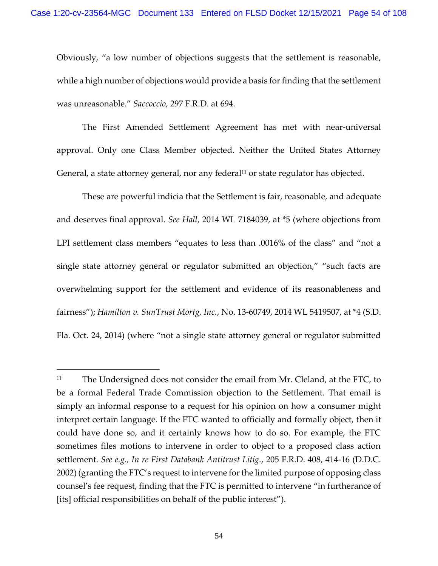Obviously, "a low number of objections suggests that the settlement is reasonable, while a high number of objections would provide a basis for finding that the settlement was unreasonable." *Saccoccio,* [297 F.R.D. at](https://1.next.westlaw.com/Link/Document/FullText?findType=Y&serNum=2032816727&pubNum=0000344&originatingDoc=Ic5af2ec087b911e5a2e3f57df41a6dad&refType=RP&fi=co_pp_sp_344_694&originationContext=document&transitionType=DocumentItem&ppcid=356715d1fc9f469b82008510e9cf104b&contextData=(sc.UserEnteredCitation)#co_pp_sp_344_694) 694.

The First Amended Settlement Agreement has met with near-universal approval. Only one Class Member objected. Neither the United States Attorney General, a state attorney general, nor any federal $11$  or state regulator has objected.

These are powerful indicia that the Settlement is fair, reasonable, and adequate and deserves final approval. *See Hall*[, 2014 WL 7184039, at \\*5](https://1.next.westlaw.com/Link/Document/FullText?findType=Y&serNum=2035068832&pubNum=0000999&originatingDoc=Ic5af2ec087b911e5a2e3f57df41a6dad&refType=RP&originationContext=document&transitionType=DocumentItem&ppcid=356715d1fc9f469b82008510e9cf104b&contextData=(sc.UserEnteredCitation)) (where objections from LPI settlement class members "equates to less than .0016% of the class" and "not a single state attorney general or regulator submitted an objection," "such facts are overwhelming support for the settlement and evidence of its reasonableness and fairness"); *Hamilton v. SunTrust Mortg, Inc.*[, No. 13-60749, 2014 WL 5419507, at \\*4 \(S.D.](https://1.next.westlaw.com/Link/Document/FullText?findType=Y&serNum=2034679351&pubNum=0000999&originatingDoc=Ic5af2ec087b911e5a2e3f57df41a6dad&refType=RP&originationContext=document&transitionType=DocumentItem&ppcid=356715d1fc9f469b82008510e9cf104b&contextData=(sc.UserEnteredCitation))  [Fla. Oct. 24, 2014\)](https://1.next.westlaw.com/Link/Document/FullText?findType=Y&serNum=2034679351&pubNum=0000999&originatingDoc=Ic5af2ec087b911e5a2e3f57df41a6dad&refType=RP&originationContext=document&transitionType=DocumentItem&ppcid=356715d1fc9f469b82008510e9cf104b&contextData=(sc.UserEnteredCitation)) (where "not a single state attorney general or regulator submitted

<sup>&</sup>lt;sup>11</sup> The Undersigned does not consider the email from Mr. Cleland, at the FTC, to be a formal Federal Trade Commission objection to the Settlement. That email is simply an informal response to a request for his opinion on how a consumer might interpret certain language. If the FTC wanted to officially and formally object, then it could have done so, and it certainly knows how to do so. For example, the FTC sometimes files motions to intervene in order to object to a proposed class action settlement. *See e.g., In re First Databank Antitrust Litig.*, 205 F.R.D. 408, 414-16 (D.D.C. 2002) (granting the FTC's request to intervene for the limited purpose of opposing class counsel's fee request, finding that the FTC is permitted to intervene "in furtherance of [its] official responsibilities on behalf of the public interest").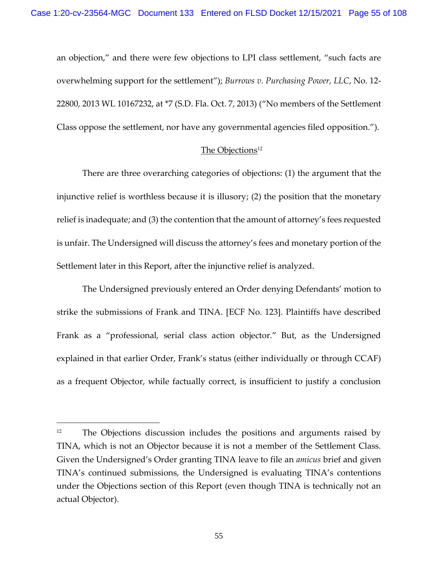an objection," and there were few objections to LPI class settlement, "such facts are overwhelming support for the settlement"); *[Burrows v. Purchasing Power, LLC](https://1.next.westlaw.com/Link/Document/FullText?findType=Y&serNum=2035439475&pubNum=0000999&originatingDoc=Ic5af2ec087b911e5a2e3f57df41a6dad&refType=RP&originationContext=document&transitionType=DocumentItem&ppcid=356715d1fc9f469b82008510e9cf104b&contextData=(sc.UserEnteredCitation))*, No. 12- [22800, 2013 WL 10167232, at \\*7 \(S.D. Fla. Oct. 7, 2013\)](https://1.next.westlaw.com/Link/Document/FullText?findType=Y&serNum=2035439475&pubNum=0000999&originatingDoc=Ic5af2ec087b911e5a2e3f57df41a6dad&refType=RP&originationContext=document&transitionType=DocumentItem&ppcid=356715d1fc9f469b82008510e9cf104b&contextData=(sc.UserEnteredCitation)) ("No members of the Settlement Class oppose the settlement, nor have any governmental agencies filed opposition.").

## The Objections<sup>12</sup>

There are three overarching categories of objections: (1) the argument that the injunctive relief is worthless because it is illusory; (2) the position that the monetary relief is inadequate; and (3) the contention that the amount of attorney's fees requested is unfair. The Undersigned will discuss the attorney's fees and monetary portion of the Settlement later in this Report, after the injunctive relief is analyzed.

The Undersigned previously entered an Order denying Defendants' motion to strike the submissions of Frank and TINA. [ECF No. 123]. Plaintiffs have described Frank as a "professional, serial class action objector." But, as the Undersigned explained in that earlier Order, Frank's status (either individually or through CCAF) as a frequent Objector, while factually correct, is insufficient to justify a conclusion

<sup>&</sup>lt;sup>12</sup> The Objections discussion includes the positions and arguments raised by TINA, which is not an Objector because it is not a member of the Settlement Class. Given the Undersigned's Order granting TINA leave to file an *amicus* brief and given TINA's continued submissions, the Undersigned is evaluating TINA's contentions under the Objections section of this Report (even though TINA is technically not an actual Objector).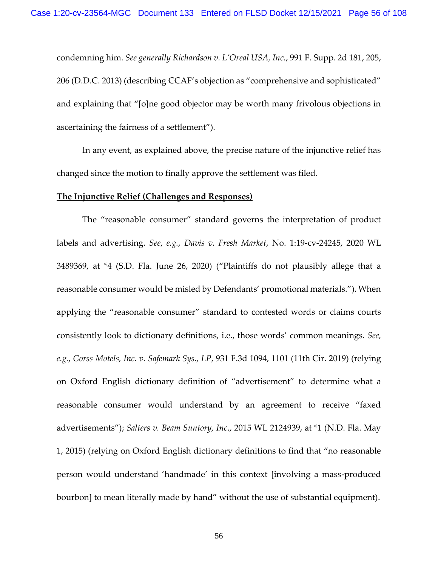condemning him. *See generally Richardson v. L'Oreal USA, Inc.*, 991 F. Supp. 2d 181, 205, 206 (D.D.C. 2013) (describing CCAF's objection as "comprehensive and sophisticated" and explaining that "[o]ne good objector may be worth many frivolous objections in ascertaining the fairness of a settlement").

In any event, as explained above, the precise nature of the injunctive relief has changed since the motion to finally approve the settlement was filed.

#### **The Injunctive Relief (Challenges and Responses)**

The "reasonable consumer" standard governs the interpretation of product labels and advertising. *See*, *e.g.*, *Davis v. Fresh Market*, No. 1:19-cv-24245, 2020 WL 3489369, at \*4 (S.D. Fla. June 26, 2020) ("Plaintiffs do not plausibly allege that a reasonable consumer would be misled by Defendants' promotional materials."). When applying the "reasonable consumer" standard to contested words or claims courts consistently look to dictionary definitions, i.e., those words' common meanings. *See, e.g.*, *Gorss Motels, Inc. v. Safemark Sys., LP*, 931 F.3d 1094, 1101 (11th Cir. 2019) (relying on Oxford English dictionary definition of "advertisement" to determine what a reasonable consumer would understand by an agreement to receive "faxed advertisements"); *Salters v. Beam Suntory, Inc*., 2015 WL 2124939, at \*1 (N.D. Fla. May 1, 2015) (relying on Oxford English dictionary definitions to find that "no reasonable person would understand 'handmade' in this context [involving a mass-produced bourbon] to mean literally made by hand" without the use of substantial equipment).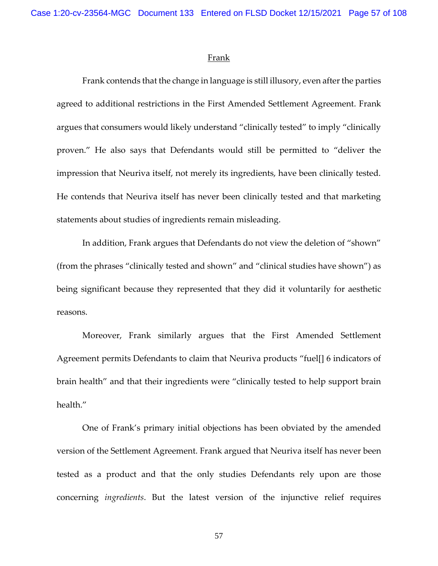#### **Frank**

Frank contends that the change in language is still illusory, even after the parties agreed to additional restrictions in the First Amended Settlement Agreement. Frank argues that consumers would likely understand "clinically tested" to imply "clinically proven." He also says that Defendants would still be permitted to "deliver the impression that Neuriva itself, not merely its ingredients, have been clinically tested. He contends that Neuriva itself has never been clinically tested and that marketing statements about studies of ingredients remain misleading.

In addition, Frank argues that Defendants do not view the deletion of "shown" (from the phrases "clinically tested and shown" and "clinical studies have shown") as being significant because they represented that they did it voluntarily for aesthetic reasons.

Moreover, Frank similarly argues that the First Amended Settlement Agreement permits Defendants to claim that Neuriva products "fuel[] 6 indicators of brain health" and that their ingredients were "clinically tested to help support brain health."

One of Frank's primary initial objections has been obviated by the amended version of the Settlement Agreement. Frank argued that Neuriva itself has never been tested as a product and that the only studies Defendants rely upon are those concerning *ingredients*. But the latest version of the injunctive relief requires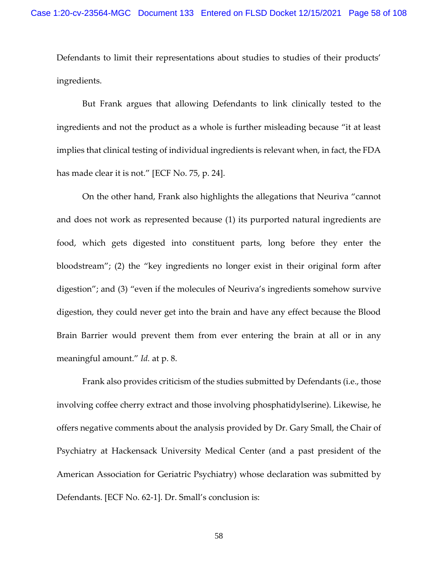Defendants to limit their representations about studies to studies of their products' ingredients.

But Frank argues that allowing Defendants to link clinically tested to the ingredients and not the product as a whole is further misleading because "it at least implies that clinical testing of individual ingredients is relevant when, in fact, the FDA has made clear it is not." [ECF No. 75, p. 24].

On the other hand, Frank also highlights the allegations that Neuriva "cannot and does not work as represented because (1) its purported natural ingredients are food, which gets digested into constituent parts, long before they enter the bloodstream"; (2) the "key ingredients no longer exist in their original form after digestion"; and (3) "even if the molecules of Neuriva's ingredients somehow survive digestion, they could never get into the brain and have any effect because the Blood Brain Barrier would prevent them from ever entering the brain at all or in any meaningful amount." *Id.* at p. 8.

Frank also provides criticism of the studies submitted by Defendants (i.e., those involving coffee cherry extract and those involving phosphatidylserine). Likewise, he offers negative comments about the analysis provided by Dr. Gary Small, the Chair of Psychiatry at Hackensack University Medical Center (and a past president of the American Association for Geriatric Psychiatry) whose declaration was submitted by Defendants. [ECF No. 62-1]. Dr. Small's conclusion is: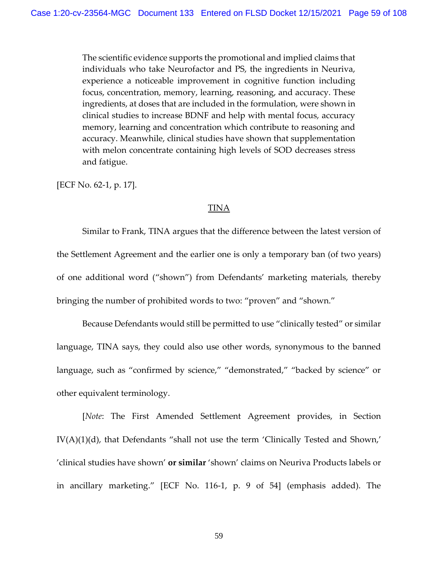The scientific evidence supports the promotional and implied claims that individuals who take Neurofactor and PS, the ingredients in Neuriva, experience a noticeable improvement in cognitive function including focus, concentration, memory, learning, reasoning, and accuracy. These ingredients, at doses that are included in the formulation, were shown in clinical studies to increase BDNF and help with mental focus, accuracy memory, learning and concentration which contribute to reasoning and accuracy. Meanwhile, clinical studies have shown that supplementation with melon concentrate containing high levels of SOD decreases stress and fatigue.

[ECF No. 62-1, p. 17].

## TINA

Similar to Frank, TINA argues that the difference between the latest version of the Settlement Agreement and the earlier one is only a temporary ban (of two years) of one additional word ("shown") from Defendants' marketing materials, thereby bringing the number of prohibited words to two: "proven" and "shown."

Because Defendants would still be permitted to use "clinically tested" or similar language, TINA says, they could also use other words, synonymous to the banned language, such as "confirmed by science," "demonstrated," "backed by science" or other equivalent terminology.

[*Note*: The First Amended Settlement Agreement provides, in Section IV(A)(1)(d), that Defendants "shall not use the term 'Clinically Tested and Shown,' 'clinical studies have shown' **or similar** 'shown' claims on Neuriva Products labels or in ancillary marketing." [ECF No. 116-1, p. 9 of 54] (emphasis added). The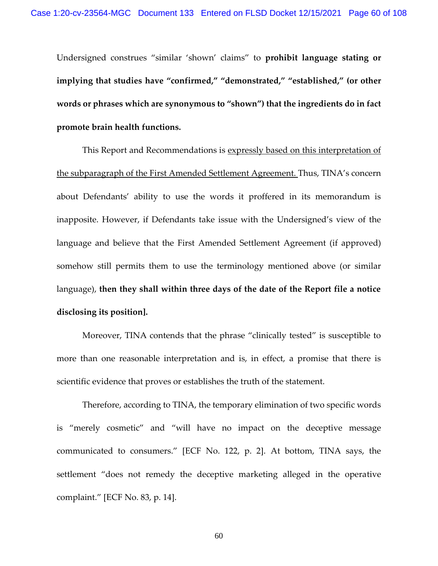Undersigned construes "similar 'shown' claims" to **prohibit language stating or implying that studies have "confirmed," "demonstrated," "established," (or other words or phrases which are synonymous to "shown") that the ingredients do in fact promote brain health functions.**

This Report and Recommendations is expressly based on this interpretation of the subparagraph of the First Amended Settlement Agreement. Thus, TINA's concern about Defendants' ability to use the words it proffered in its memorandum is inapposite. However, if Defendants take issue with the Undersigned's view of the language and believe that the First Amended Settlement Agreement (if approved) somehow still permits them to use the terminology mentioned above (or similar language), **then they shall within three days of the date of the Report file a notice disclosing its position].**

Moreover, TINA contends that the phrase "clinically tested" is susceptible to more than one reasonable interpretation and is, in effect, a promise that there is scientific evidence that proves or establishes the truth of the statement.

Therefore, according to TINA, the temporary elimination of two specific words is "merely cosmetic" and "will have no impact on the deceptive message communicated to consumers." [ECF No. 122, p. 2]. At bottom, TINA says, the settlement "does not remedy the deceptive marketing alleged in the operative complaint." [ECF No. 83, p. 14].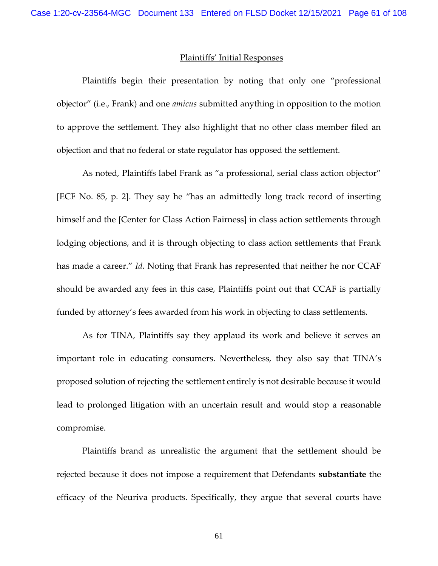#### Plaintiffs' Initial Responses

Plaintiffs begin their presentation by noting that only one "professional objector" (i.e., Frank) and one *amicus* submitted anything in opposition to the motion to approve the settlement. They also highlight that no other class member filed an objection and that no federal or state regulator has opposed the settlement.

As noted, Plaintiffs label Frank as "a professional, serial class action objector" [ECF No. 85, p. 2]. They say he "has an admittedly long track record of inserting himself and the [Center for Class Action Fairness] in class action settlements through lodging objections, and it is through objecting to class action settlements that Frank has made a career." *Id.* Noting that Frank has represented that neither he nor CCAF should be awarded any fees in this case, Plaintiffs point out that CCAF is partially funded by attorney's fees awarded from his work in objecting to class settlements.

As for TINA, Plaintiffs say they applaud its work and believe it serves an important role in educating consumers. Nevertheless, they also say that TINA's proposed solution of rejecting the settlement entirely is not desirable because it would lead to prolonged litigation with an uncertain result and would stop a reasonable compromise.

Plaintiffs brand as unrealistic the argument that the settlement should be rejected because it does not impose a requirement that Defendants **substantiate** the efficacy of the Neuriva products. Specifically, they argue that several courts have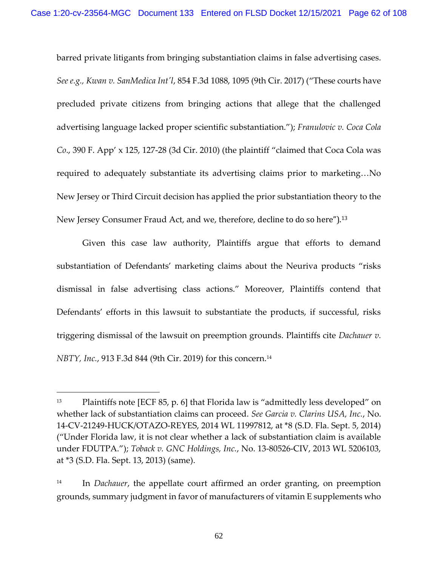barred private litigants from bringing substantiation claims in false advertising cases. *See e.g., Kwan v. SanMedica Int'l*, 854 F.3d 1088, 1095 (9th Cir. 2017) ("These courts have precluded private citizens from bringing actions that allege that the challenged advertising language lacked proper scientific substantiation."); *Franulovic v. Coca Cola Co*., 390 F. App' x 125, 127-28 (3d Cir. 2010) (the plaintiff "claimed that Coca Cola was required to adequately substantiate its advertising claims prior to marketing…No New Jersey or Third Circuit decision has applied the prior substantiation theory to the New Jersey Consumer Fraud Act, and we, therefore, decline to do so here").<sup>13</sup>

Given this case law authority, Plaintiffs argue that efforts to demand substantiation of Defendants' marketing claims about the Neuriva products "risks dismissal in false advertising class actions." Moreover, Plaintiffs contend that Defendants' efforts in this lawsuit to substantiate the products, if successful, risks triggering dismissal of the lawsuit on preemption grounds. Plaintiffs cite *Dachauer v. NBTY, Inc.*, 913 F.3d 844 (9th Cir. 2019) for this concern.<sup>14</sup>

<sup>13</sup> Plaintiffs note [ECF 85, p. 6] that Florida law is "admittedly less developed" on whether lack of substantiation claims can proceed. *See Garcia v. Clarins USA, Inc.*, No. 14-CV-21249-HUCK/OTAZO-REYES, 2014 WL 11997812, at \*8 (S.D. Fla. Sept. 5, 2014) ("Under Florida law, it is not clear whether a lack of substantiation claim is available under FDUTPA."); *Toback v. GNC Holdings, Inc.*, No. 13-80526-CIV, 2013 WL 5206103, at \*3 (S.D. Fla. Sept. 13, 2013) (same).

<sup>14</sup> In *Dachauer*, the appellate court affirmed an order granting, on preemption grounds, summary judgment in favor of manufacturers of vitamin E supplements who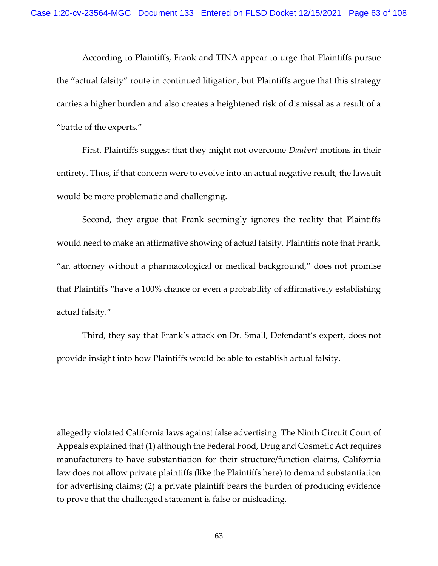According to Plaintiffs, Frank and TINA appear to urge that Plaintiffs pursue the "actual falsity" route in continued litigation, but Plaintiffs argue that this strategy carries a higher burden and also creates a heightened risk of dismissal as a result of a "battle of the experts."

First, Plaintiffs suggest that they might not overcome *Daubert* motions in their entirety. Thus, if that concern were to evolve into an actual negative result, the lawsuit would be more problematic and challenging.

Second, they argue that Frank seemingly ignores the reality that Plaintiffs would need to make an affirmative showing of actual falsity. Plaintiffs note that Frank, "an attorney without a pharmacological or medical background," does not promise that Plaintiffs "have a 100% chance or even a probability of affirmatively establishing actual falsity."

Third, they say that Frank's attack on Dr. Small, Defendant's expert, does not provide insight into how Plaintiffs would be able to establish actual falsity.

allegedly violated California laws against false advertising. The Ninth Circuit Court of Appeals explained that (1) although the Federal Food, Drug and Cosmetic Act requires manufacturers to have substantiation for their structure/function claims, California law does not allow private plaintiffs (like the Plaintiffs here) to demand substantiation for advertising claims; (2) a private plaintiff bears the burden of producing evidence to prove that the challenged statement is false or misleading.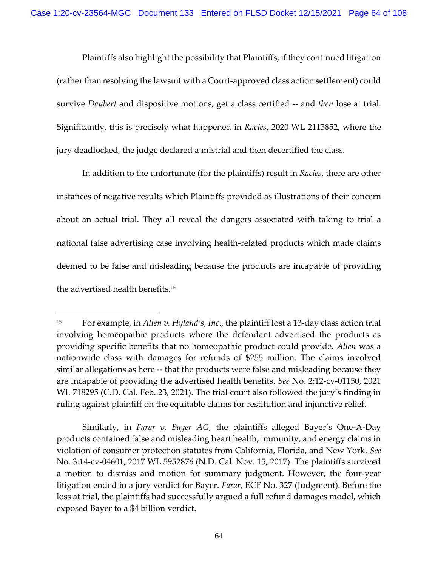Plaintiffs also highlight the possibility that Plaintiffs, if they continued litigation (rather than resolving the lawsuit with a Court-approved class action settlement) could survive *Daubert* and dispositive motions, get a class certified -- and *then* lose at trial. Significantly, this is precisely what happened in *Racies*, 2020 WL 2113852, where the jury deadlocked, the judge declared a mistrial and then decertified the class.

In addition to the unfortunate (for the plaintiffs) result in *Racies*, there are other instances of negative results which Plaintiffs provided as illustrations of their concern about an actual trial. They all reveal the dangers associated with taking to trial a national false advertising case involving health-related products which made claims deemed to be false and misleading because the products are incapable of providing the advertised health benefits.<sup>15</sup>

Similarly, in *Farar v. Bayer AG*, the plaintiffs alleged Bayer's One-A-Day products contained false and misleading heart health, immunity, and energy claims in violation of consumer protection statutes from California, Florida, and New York. *See*  No. 3:14-cv-04601, 2017 WL 5952876 (N.D. Cal. Nov. 15, 2017). The plaintiffs survived a motion to dismiss and motion for summary judgment. However, the four-year litigation ended in a jury verdict for Bayer. *Farar*, ECF No. 327 (Judgment). Before the loss at trial, the plaintiffs had successfully argued a full refund damages model, which exposed Bayer to a \$4 billion verdict.

<sup>15</sup> For example, in *Allen v. Hyland's*, *Inc.*, the plaintiff lost a 13-day class action trial involving homeopathic products where the defendant advertised the products as providing specific benefits that no homeopathic product could provide. *Allen* was a nationwide class with damages for refunds of \$255 million. The claims involved similar allegations as here -- that the products were false and misleading because they are incapable of providing the advertised health benefits. *See* No. 2:12-cv-01150, 2021 WL 718295 (C.D. Cal. Feb. 23, 2021). The trial court also followed the jury's finding in ruling against plaintiff on the equitable claims for restitution and injunctive relief.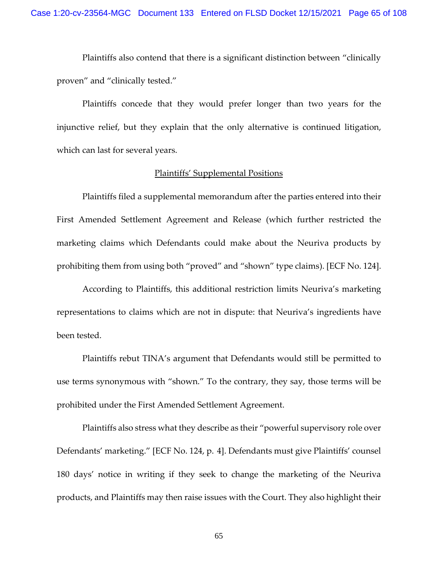Plaintiffs also contend that there is a significant distinction between "clinically proven" and "clinically tested."

Plaintiffs concede that they would prefer longer than two years for the injunctive relief, but they explain that the only alternative is continued litigation, which can last for several years.

## Plaintiffs' Supplemental Positions

Plaintiffs filed a supplemental memorandum after the parties entered into their First Amended Settlement Agreement and Release (which further restricted the marketing claims which Defendants could make about the Neuriva products by prohibiting them from using both "proved" and "shown" type claims). [ECF No. 124].

According to Plaintiffs, this additional restriction limits Neuriva's marketing representations to claims which are not in dispute: that Neuriva's ingredients have been tested.

Plaintiffs rebut TINA's argument that Defendants would still be permitted to use terms synonymous with "shown." To the contrary, they say, those terms will be prohibited under the First Amended Settlement Agreement.

Plaintiffs also stress what they describe as their "powerful supervisory role over Defendants' marketing." [ECF No. 124, p. 4]. Defendants must give Plaintiffs' counsel 180 days' notice in writing if they seek to change the marketing of the Neuriva products, and Plaintiffs may then raise issues with the Court. They also highlight their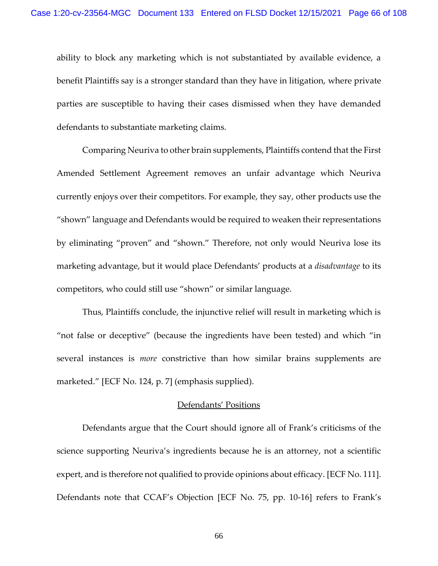ability to block any marketing which is not substantiated by available evidence, a benefit Plaintiffs say is a stronger standard than they have in litigation, where private parties are susceptible to having their cases dismissed when they have demanded defendants to substantiate marketing claims.

Comparing Neuriva to other brain supplements, Plaintiffs contend that the First Amended Settlement Agreement removes an unfair advantage which Neuriva currently enjoys over their competitors. For example, they say, other products use the "shown" language and Defendants would be required to weaken their representations by eliminating "proven" and "shown." Therefore, not only would Neuriva lose its marketing advantage, but it would place Defendants' products at a *disadvantage* to its competitors, who could still use "shown" or similar language.

Thus, Plaintiffs conclude, the injunctive relief will result in marketing which is "not false or deceptive" (because the ingredients have been tested) and which "in several instances is *more* constrictive than how similar brains supplements are marketed." [ECF No. 124, p. 7] (emphasis supplied).

## Defendants' Positions

Defendants argue that the Court should ignore all of Frank's criticisms of the science supporting Neuriva's ingredients because he is an attorney, not a scientific expert, and is therefore not qualified to provide opinions about efficacy. [ECF No. 111]. Defendants note that CCAF's Objection [ECF No. 75, pp. 10-16] refers to Frank's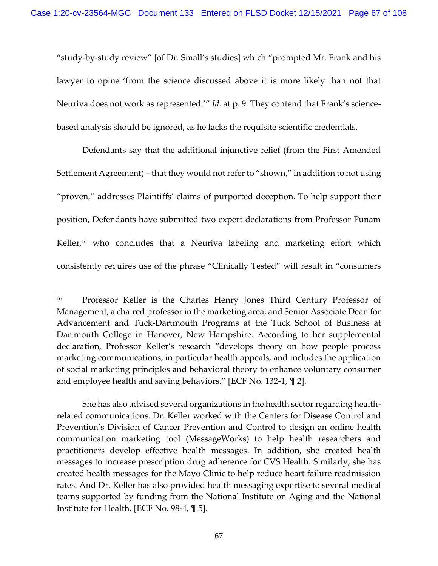"study-by-study review" [of Dr. Small's studies] which "prompted Mr. Frank and his lawyer to opine 'from the science discussed above it is more likely than not that Neuriva does not work as represented.'" *Id.* at p. 9. They contend that Frank's sciencebased analysis should be ignored, as he lacks the requisite scientific credentials.

Defendants say that the additional injunctive relief (from the First Amended Settlement Agreement) – that they would not refer to "shown," in addition to not using "proven," addresses Plaintiffs' claims of purported deception. To help support their position, Defendants have submitted two expert declarations from Professor Punam Keller,<sup>16</sup> who concludes that a Neuriva labeling and marketing effort which consistently requires use of the phrase "Clinically Tested" will result in "consumers

<sup>16</sup> Professor Keller is the Charles Henry Jones Third Century Professor of Management, a chaired professor in the marketing area, and Senior Associate Dean for Advancement and Tuck-Dartmouth Programs at the Tuck School of Business at Dartmouth College in Hanover, New Hampshire. According to her supplemental declaration, Professor Keller's research "develops theory on how people process marketing communications, in particular health appeals, and includes the application of social marketing principles and behavioral theory to enhance voluntary consumer and employee health and saving behaviors." [ECF No. 132-1, ¶ 2].

She has also advised several organizations in the health sector regarding healthrelated communications. Dr. Keller worked with the Centers for Disease Control and Prevention's Division of Cancer Prevention and Control to design an online health communication marketing tool (MessageWorks) to help health researchers and practitioners develop effective health messages. In addition, she created health messages to increase prescription drug adherence for CVS Health. Similarly, she has created health messages for the Mayo Clinic to help reduce heart failure readmission rates. And Dr. Keller has also provided health messaging expertise to several medical teams supported by funding from the National Institute on Aging and the National Institute for Health. [ECF No. 98-4, ¶ 5].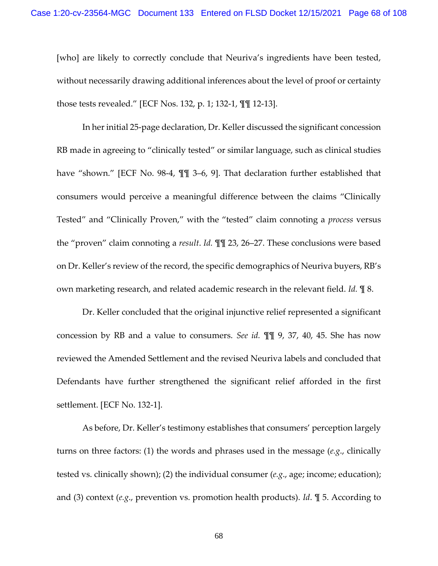[who] are likely to correctly conclude that Neuriva's ingredients have been tested, without necessarily drawing additional inferences about the level of proof or certainty those tests revealed." [ECF Nos. 132, p. 1; 132-1, ¶¶ 12-13].

In her initial 25-page declaration, Dr. Keller discussed the significant concession RB made in agreeing to "clinically tested" or similar language, such as clinical studies have "shown." [ECF No. 98-4, ¶¶ 3–6, 9]. That declaration further established that consumers would perceive a meaningful difference between the claims "Clinically Tested" and "Clinically Proven," with the "tested" claim connoting a *process* versus the "proven" claim connoting a *result*. *Id.* ¶¶ 23, 26–27. These conclusions were based on Dr. Keller's review of the record, the specific demographics of Neuriva buyers, RB's own marketing research, and related academic research in the relevant field. *Id.* ¶ 8.

Dr. Keller concluded that the original injunctive relief represented a significant concession by RB and a value to consumers. *See id.* ¶¶ 9, 37, 40, 45. She has now reviewed the Amended Settlement and the revised Neuriva labels and concluded that Defendants have further strengthened the significant relief afforded in the first settlement. [ECF No. 132-1].

As before, Dr. Keller's testimony establishes that consumers' perception largely turns on three factors: (1) the words and phrases used in the message (*e.g*., clinically tested vs. clinically shown); (2) the individual consumer (*e.g*., age; income; education); and (3) context (*e.g*., prevention vs. promotion health products). *Id*. ¶ 5. According to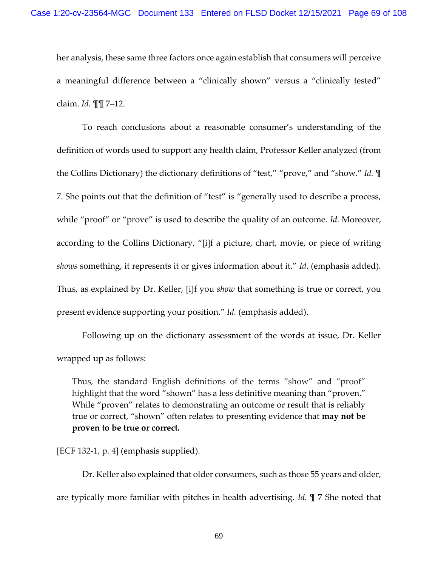her analysis, these same three factors once again establish that consumers will perceive a meaningful difference between a "clinically shown" versus a "clinically tested" claim. *Id.* ¶¶ 7–12.

To reach conclusions about a reasonable consumer's understanding of the definition of words used to support any health claim, Professor Keller analyzed (from the Collins Dictionary) the dictionary definitions of "test," "prove," and "show." *Id.* ¶ 7. She points out that the definition of "test" is "generally used to describe a process, while "proof" or "prove" is used to describe the quality of an outcome. *Id.* Moreover, according to the Collins Dictionary, "[i]f a picture, chart, movie, or piece of writing *shows* something, it represents it or gives information about it." *Id.* (emphasis added). Thus, as explained by Dr. Keller, [i]f you *show* that something is true or correct, you present evidence supporting your position." *Id.* (emphasis added).

Following up on the dictionary assessment of the words at issue, Dr. Keller wrapped up as follows:

Thus, the standard English definitions of the terms "show" and "proof" highlight that the word "shown" has a less definitive meaning than "proven." While "proven" relates to demonstrating an outcome or result that is reliably true or correct, "shown" often relates to presenting evidence that **may not be proven to be true or correct.**

[ECF 132-1, p. 4] (emphasis supplied).

Dr. Keller also explained that older consumers, such as those 55 years and older, are typically more familiar with pitches in health advertising. *Id.* ¶ 7 She noted that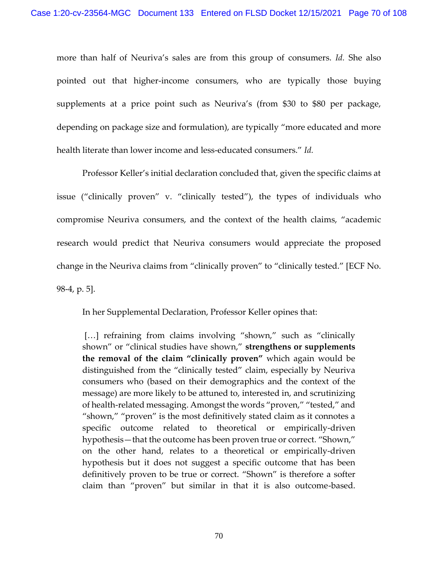more than half of Neuriva's sales are from this group of consumers. *Id.* She also pointed out that higher-income consumers, who are typically those buying supplements at a price point such as Neuriva's (from \$30 to \$80 per package, depending on package size and formulation), are typically "more educated and more health literate than lower income and less-educated consumers." *Id.*

Professor Keller's initial declaration concluded that, given the specific claims at issue ("clinically proven" v. "clinically tested"), the types of individuals who compromise Neuriva consumers, and the context of the health claims, "academic research would predict that Neuriva consumers would appreciate the proposed change in the Neuriva claims from "clinically proven" to "clinically tested." [ECF No. 98-4, p. 5].

In her Supplemental Declaration, Professor Keller opines that:

[...] refraining from claims involving "shown," such as "clinically shown" or "clinical studies have shown," **strengthens or supplements the removal of the claim "clinically proven"** which again would be distinguished from the "clinically tested" claim, especially by Neuriva consumers who (based on their demographics and the context of the message) are more likely to be attuned to, interested in, and scrutinizing of health-related messaging. Amongst the words "proven," "tested," and "shown," "proven" is the most definitively stated claim as it connotes a specific outcome related to theoretical or empirically-driven hypothesis—that the outcome has been proven true or correct. "Shown," on the other hand, relates to a theoretical or empirically-driven hypothesis but it does not suggest a specific outcome that has been definitively proven to be true or correct. "Shown" is therefore a softer claim than "proven" but similar in that it is also outcome-based.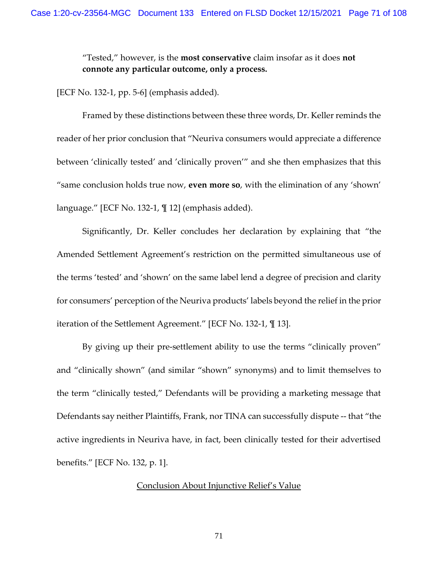"Tested," however, is the **most conservative** claim insofar as it does **not connote any particular outcome, only a process.**

[ECF No. 132-1, pp. 5-6] (emphasis added).

Framed by these distinctions between these three words, Dr. Keller reminds the reader of her prior conclusion that "Neuriva consumers would appreciate a difference between 'clinically tested' and 'clinically proven'" and she then emphasizes that this "same conclusion holds true now, **even more so**, with the elimination of any 'shown' language." [ECF No. 132-1, ¶ 12] (emphasis added).

Significantly, Dr. Keller concludes her declaration by explaining that "the Amended Settlement Agreement's restriction on the permitted simultaneous use of the terms 'tested' and 'shown' on the same label lend a degree of precision and clarity for consumers' perception of the Neuriva products' labels beyond the relief in the prior iteration of the Settlement Agreement." [ECF No. 132-1, ¶ 13].

By giving up their pre-settlement ability to use the terms "clinically proven" and "clinically shown" (and similar "shown" synonyms) and to limit themselves to the term "clinically tested," Defendants will be providing a marketing message that Defendants say neither Plaintiffs, Frank, nor TINA can successfully dispute -- that "the active ingredients in Neuriva have, in fact, been clinically tested for their advertised benefits." [ECF No. 132, p. 1].

## Conclusion About Injunctive Relief's Value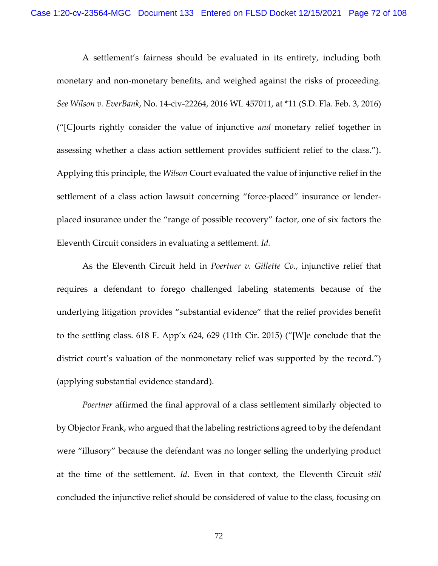A settlement's fairness should be evaluated in its entirety, including both monetary and non-monetary benefits, and weighed against the risks of proceeding. *See Wilson v. EverBank*, No. 14-civ-22264, 2016 WL 457011, at \*11 (S.D. Fla. Feb. 3, 2016) ("[C]ourts rightly consider the value of injunctive *and* monetary relief together in assessing whether a class action settlement provides sufficient relief to the class."). Applying this principle, the *Wilson* Court evaluated the value of injunctive relief in the settlement of a class action lawsuit concerning "force-placed" insurance or lenderplaced insurance under the "range of possible recovery" factor, one of six factors the Eleventh Circuit considers in evaluating a settlement. *Id.*

As the Eleventh Circuit held in *Poertner v. Gillette Co.*, injunctive relief that requires a defendant to forego challenged labeling statements because of the underlying litigation provides "substantial evidence" that the relief provides benefit to the settling class. 618 F. App'x 624, 629 (11th Cir. 2015) ("[W]e conclude that the district court's valuation of the nonmonetary relief was supported by the record.") (applying substantial evidence standard).

*Poertner* affirmed the final approval of a class settlement similarly objected to by Objector Frank, who argued that the labeling restrictions agreed to by the defendant were "illusory" because the defendant was no longer selling the underlying product at the time of the settlement. *Id*. Even in that context, the Eleventh Circuit *still*  concluded the injunctive relief should be considered of value to the class, focusing on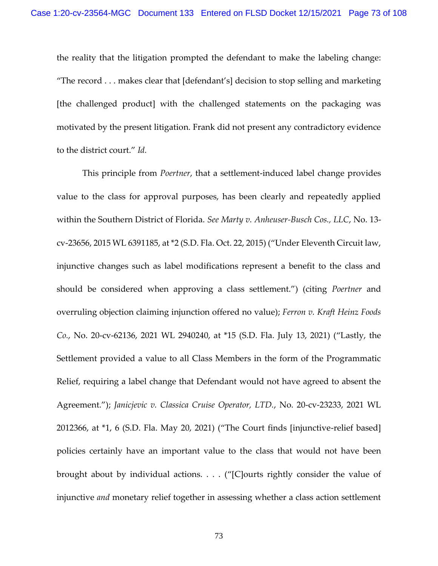the reality that the litigation prompted the defendant to make the labeling change: "The record . . . makes clear that [defendant's] decision to stop selling and marketing [the challenged product] with the challenged statements on the packaging was motivated by the present litigation. Frank did not present any contradictory evidence to the district court." *Id.* 

This principle from *Poertner*, that a settlement-induced label change provides value to the class for approval purposes, has been clearly and repeatedly applied within the Southern District of Florida. *See Marty v. Anheuser-Busch Cos., LLC*, No. 13 cv-23656, 2015 WL 6391185, at \*2 (S.D. Fla. Oct. 22, 2015) ("Under Eleventh Circuit law, injunctive changes such as label modifications represent a benefit to the class and should be considered when approving a class settlement.") (citing *Poertner* and overruling objection claiming injunction offered no value); *Ferron v. Kraft Heinz Foods Co.*, No. 20-cv-62136, 2021 WL 2940240, at \*15 (S.D. Fla. July 13, 2021) ("Lastly, the Settlement provided a value to all Class Members in the form of the Programmatic Relief, requiring a label change that Defendant would not have agreed to absent the Agreement."); *Janicjevic v. Classica Cruise Operator, LTD.*, No. 20-cv-23233, 2021 WL 2012366, at \*1, 6 (S.D. Fla. May 20, 2021) ("The Court finds [injunctive-relief based] policies certainly have an important value to the class that would not have been brought about by individual actions. . . . ("[C]ourts rightly consider the value of injunctive *and* monetary relief together in assessing whether a class action settlement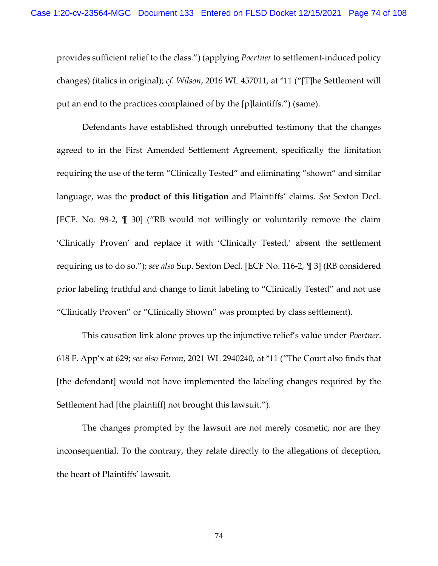provides sufficient relief to the class.") (applying *Poertner* to settlement-induced policy changes) (italics in original); *cf. Wilson*, 2016 WL 457011, at \*11 ("[T]he Settlement will put an end to the practices complained of by the [p]laintiffs.") (same).

Defendants have established through unrebutted testimony that the changes agreed to in the First Amended Settlement Agreement, specifically the limitation requiring the use of the term "Clinically Tested" and eliminating "shown" and similar language, was the **product of this litigation** and Plaintiffs' claims. *See* Sexton Decl. [ECF. No. 98-2, ¶ 30] ("RB would not willingly or voluntarily remove the claim 'Clinically Proven' and replace it with 'Clinically Tested,' absent the settlement requiring us to do so."); *see also* Sup. Sexton Decl. [ECF No. 116-2, ¶ 3] (RB considered prior labeling truthful and change to limit labeling to "Clinically Tested" and not use "Clinically Proven" or "Clinically Shown" was prompted by class settlement).

This causation link alone proves up the injunctive relief's value under *Poertner*. 618 F. App'x at 629; *see also Ferron*, 2021 WL 2940240, at \*11 ("The Court also finds that [the defendant] would not have implemented the labeling changes required by the Settlement had [the plaintiff] not brought this lawsuit.").

The changes prompted by the lawsuit are not merely cosmetic, nor are they inconsequential. To the contrary, they relate directly to the allegations of deception, the heart of Plaintiffs' lawsuit.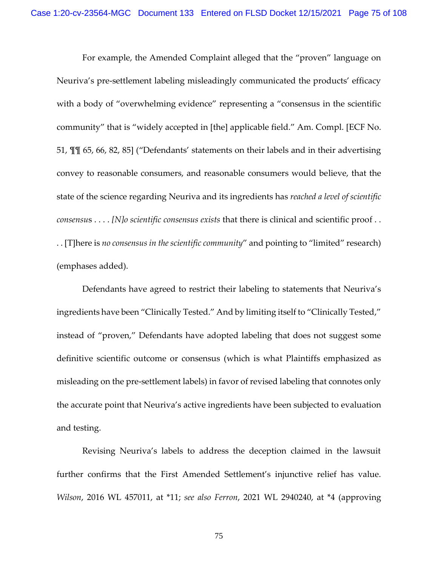For example, the Amended Complaint alleged that the "proven" language on Neuriva's pre-settlement labeling misleadingly communicated the products' efficacy with a body of "overwhelming evidence" representing a "consensus in the scientific community" that is "widely accepted in [the] applicable field." Am. Compl. [ECF No. 51, ¶¶ 65, 66, 82, 85] ("Defendants' statements on their labels and in their advertising convey to reasonable consumers, and reasonable consumers would believe, that the state of the science regarding Neuriva and its ingredients has *reached a level of scientific consensu*s . . . . *[N]o scientific consensus exists* that there is clinical and scientific proof . . . . [T]here is *no consensus in the scientific community*" and pointing to "limited" research) (emphases added).

Defendants have agreed to restrict their labeling to statements that Neuriva's ingredients have been "Clinically Tested." And by limiting itself to "Clinically Tested," instead of "proven," Defendants have adopted labeling that does not suggest some definitive scientific outcome or consensus (which is what Plaintiffs emphasized as misleading on the pre-settlement labels) in favor of revised labeling that connotes only the accurate point that Neuriva's active ingredients have been subjected to evaluation and testing.

Revising Neuriva's labels to address the deception claimed in the lawsuit further confirms that the First Amended Settlement's injunctive relief has value. *Wilson*, 2016 WL 457011, at \*11; *see also Ferron*, 2021 WL 2940240, at \*4 (approving

75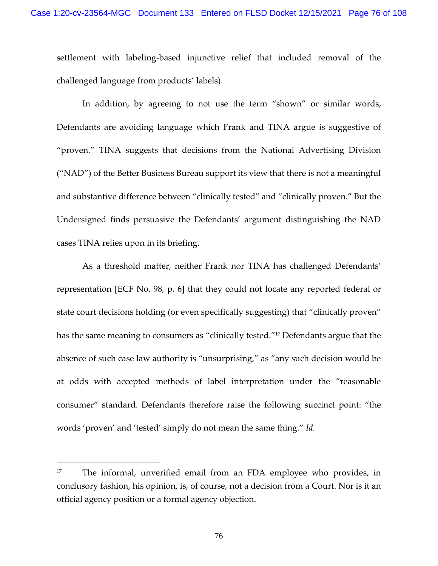settlement with labeling-based injunctive relief that included removal of the challenged language from products' labels).

In addition, by agreeing to not use the term "shown" or similar words, Defendants are avoiding language which Frank and TINA argue is suggestive of "proven." TINA suggests that decisions from the National Advertising Division ("NAD") of the Better Business Bureau support its view that there is not a meaningful and substantive difference between "clinically tested" and "clinically proven." But the Undersigned finds persuasive the Defendants' argument distinguishing the NAD cases TINA relies upon in its briefing.

As a threshold matter, neither Frank nor TINA has challenged Defendants' representation [ECF No. 98, p. 6] that they could not locate any reported federal or state court decisions holding (or even specifically suggesting) that "clinically proven" has the same meaning to consumers as "clinically tested."<sup>17</sup> Defendants argue that the absence of such case law authority is "unsurprising," as "any such decision would be at odds with accepted methods of label interpretation under the "reasonable consumer" standard. Defendants therefore raise the following succinct point: "the words 'proven' and 'tested' simply do not mean the same thing." *Id.*

<sup>&</sup>lt;sup>17</sup> The informal, unverified email from an FDA employee who provides, in conclusory fashion, his opinion, is, of course, not a decision from a Court. Nor is it an official agency position or a formal agency objection.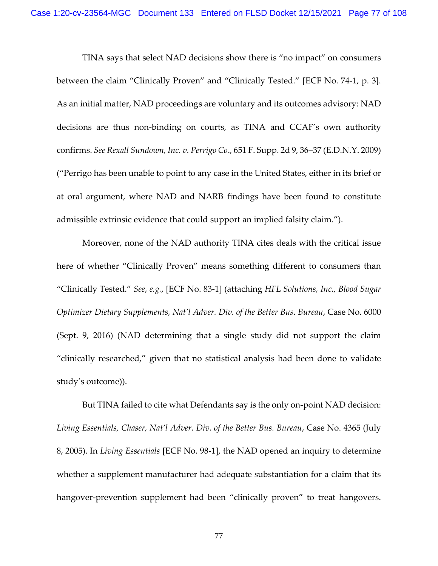TINA says that select NAD decisions show there is "no impact" on consumers between the claim "Clinically Proven" and "Clinically Tested." [ECF No. 74-1, p. 3]. As an initial matter, NAD proceedings are voluntary and its outcomes advisory: NAD decisions are thus non-binding on courts, as TINA and CCAF's own authority confirms. *See Rexall Sundown, Inc. v. Perrigo Co*., 651 F. Supp. 2d 9, 36–37 (E.D.N.Y. 2009) ("Perrigo has been unable to point to any case in the United States, either in its brief or at oral argument, where NAD and NARB findings have been found to constitute admissible extrinsic evidence that could support an implied falsity claim.").

Moreover, none of the NAD authority TINA cites deals with the critical issue here of whether "Clinically Proven" means something different to consumers than "Clinically Tested." *See*, *e.g.*, [ECF No. 83-1] (attaching *HFL Solutions, Inc., Blood Sugar Optimizer Dietary Supplements, Nat'l Adver. Div. of the Better Bus. Bureau*, Case No. 6000 (Sept. 9, 2016) (NAD determining that a single study did not support the claim "clinically researched," given that no statistical analysis had been done to validate study's outcome)).

But TINA failed to cite what Defendants say is the only on-point NAD decision: *Living Essentials, Chaser, Nat'l Adver. Div. of the Better Bus. Bureau*, Case No. 4365 (July 8, 2005). In *Living Essentials* [ECF No. 98-1], the NAD opened an inquiry to determine whether a supplement manufacturer had adequate substantiation for a claim that its hangover-prevention supplement had been "clinically proven" to treat hangovers.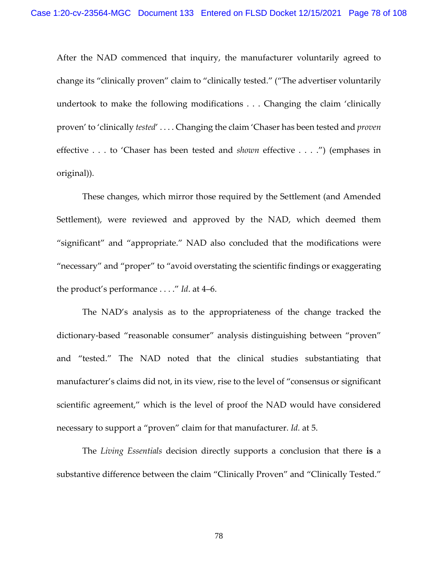After the NAD commenced that inquiry, the manufacturer voluntarily agreed to change its "clinically proven" claim to "clinically tested." ("The advertiser voluntarily undertook to make the following modifications . . . Changing the claim 'clinically proven' to 'clinically *tested*' . . . . Changing the claim 'Chaser has been tested and *proven*  effective . . . to 'Chaser has been tested and *shown* effective . . . .") (emphases in original)).

These changes, which mirror those required by the Settlement (and Amended Settlement), were reviewed and approved by the NAD, which deemed them "significant" and "appropriate." NAD also concluded that the modifications were "necessary" and "proper" to "avoid overstating the scientific findings or exaggerating the product's performance . . . ." *Id*. at 4–6.

The NAD's analysis as to the appropriateness of the change tracked the dictionary-based "reasonable consumer" analysis distinguishing between "proven" and "tested." The NAD noted that the clinical studies substantiating that manufacturer's claims did not, in its view, rise to the level of "consensus or significant scientific agreement," which is the level of proof the NAD would have considered necessary to support a "proven" claim for that manufacturer. *Id.* at 5.

The *Living Essentials* decision directly supports a conclusion that there **is** a substantive difference between the claim "Clinically Proven" and "Clinically Tested."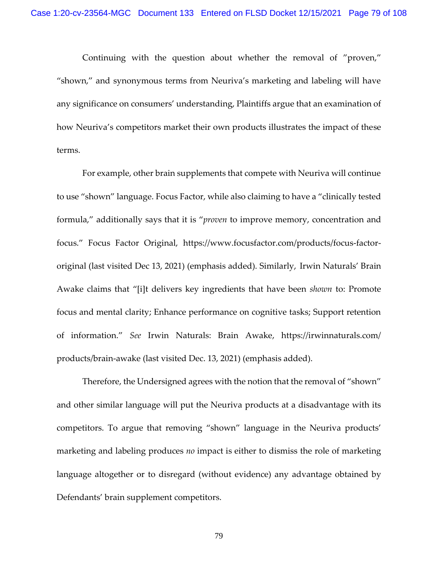Continuing with the question about whether the removal of "proven," "shown," and synonymous terms from Neuriva's marketing and labeling will have any significance on consumers' understanding, Plaintiffs argue that an examination of how Neuriva's competitors market their own products illustrates the impact of these terms.

For example, other brain supplements that compete with Neuriva will continue to use "shown" language. Focus Factor, while also claiming to have a "clinically tested formula," additionally says that it is "*proven* to improve memory, concentration and focus." Focus Factor Original, https://www.focusfactor.com/products/focus-factororiginal (last visited Dec 13, 2021) (emphasis added). Similarly, Irwin Naturals' Brain Awake claims that "[i]t delivers key ingredients that have been *shown* to: Promote focus and mental clarity; Enhance performance on cognitive tasks; Support retention of information." *See* Irwin Naturals: Brain Awake, https://irwinnaturals.com/ products/brain-awake (last visited Dec. 13, 2021) (emphasis added).

Therefore, the Undersigned agrees with the notion that the removal of "shown" and other similar language will put the Neuriva products at a disadvantage with its competitors. To argue that removing "shown" language in the Neuriva products' marketing and labeling produces *no* impact is either to dismiss the role of marketing language altogether or to disregard (without evidence) any advantage obtained by Defendants' brain supplement competitors.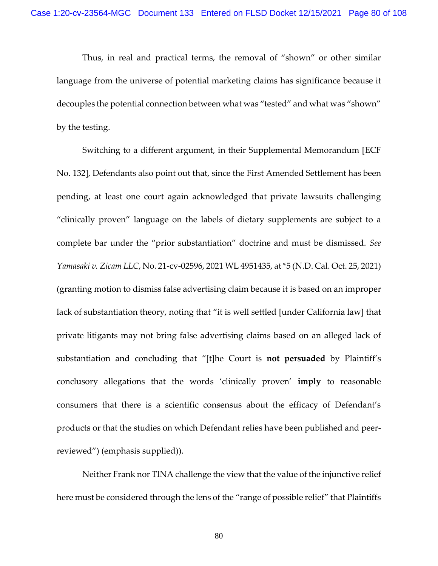Thus, in real and practical terms, the removal of "shown" or other similar language from the universe of potential marketing claims has significance because it decouples the potential connection between what was "tested" and what was "shown" by the testing.

Switching to a different argument, in their Supplemental Memorandum [ECF No. 132], Defendants also point out that, since the First Amended Settlement has been pending, at least one court again acknowledged that private lawsuits challenging "clinically proven" language on the labels of dietary supplements are subject to a complete bar under the "prior substantiation" doctrine and must be dismissed. *See Yamasaki v. Zicam LLC*, No. 21-cv-02596, 2021 WL 4951435, at \*5 (N.D. Cal. Oct. 25, 2021) (granting motion to dismiss false advertising claim because it is based on an improper lack of substantiation theory, noting that "it is well settled [under California law] that private litigants may not bring false advertising claims based on an alleged lack of substantiation and concluding that "[t]he Court is **not persuaded** by Plaintiff's conclusory allegations that the words 'clinically proven' **imply** to reasonable consumers that there is a scientific consensus about the efficacy of Defendant's products or that the studies on which Defendant relies have been published and peerreviewed") (emphasis supplied)).

Neither Frank nor TINA challenge the view that the value of the injunctive relief here must be considered through the lens of the "range of possible relief" that Plaintiffs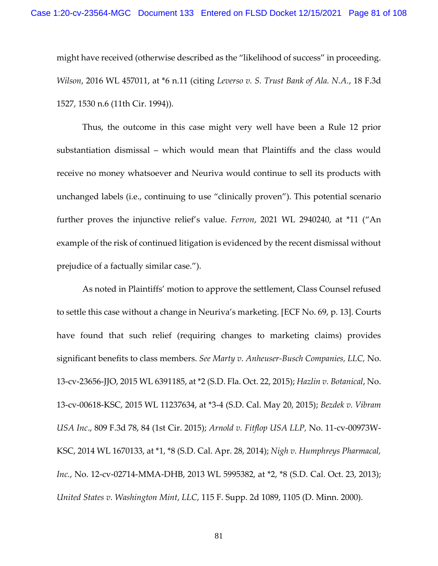might have received (otherwise described as the "likelihood of success" in proceeding. *Wilson*, 2016 WL 457011, at \*6 n.11 (citing *Leverso v. S. Trust Bank of Ala. N.A.*, 18 F.3d 1527, 1530 n.6 (11th Cir. 1994)).

Thus, the outcome in this case might very well have been a Rule 12 prior substantiation dismissal – which would mean that Plaintiffs and the class would receive no money whatsoever and Neuriva would continue to sell its products with unchanged labels (i.e., continuing to use "clinically proven"). This potential scenario further proves the injunctive relief's value. *Ferron*, 2021 WL 2940240, at \*11 ("An example of the risk of continued litigation is evidenced by the recent dismissal without prejudice of a factually similar case.").

As noted in Plaintiffs' motion to approve the settlement, Class Counsel refused to settle this case without a change in Neuriva's marketing. [ECF No. 69, p. 13]. Courts have found that such relief (requiring changes to marketing claims) provides significant benefits to class members. *See Marty v. Anheuser-Busch Companies, LLC,* No. 13-cv-23656-JJO, 2015 WL 6391185, at \*2 (S.D. Fla. Oct. 22, 2015); *Hazlin v. Botanical*, No. 13-cv-00618-KSC, 2015 WL 11237634, at \*3-4 (S.D. Cal. May 20, 2015); *Bezdek v. Vibram USA Inc*., 809 F.3d 78, 84 (1st Cir. 2015); *Arnold v. Fitflop USA LLP,* No. 11-cv-00973W-KSC, 2014 WL 1670133, at \*1, \*8 (S.D. Cal. Apr. 28, 2014); *Nigh v. Humphreys Pharmacal, Inc.*, No. 12-cv-02714-MMA-DHB, 2013 WL 5995382, at \*2, \*8 (S.D. Cal. Oct. 23, 2013); *United States v. Washington Mint*, *LLC*, 115 F. Supp. 2d 1089, 1105 (D. Minn. 2000).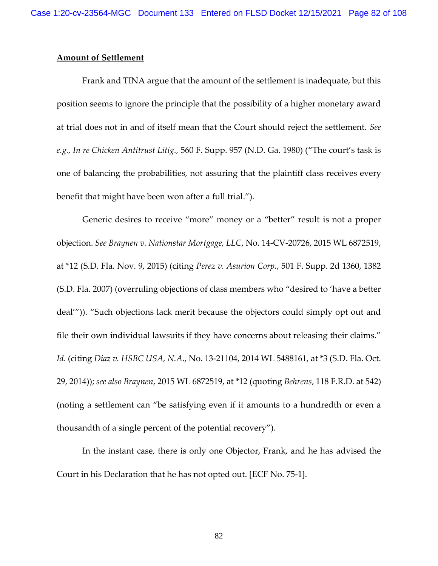# **Amount of Settlement**

Frank and TINA argue that the amount of the settlement is inadequate, but this position seems to ignore the principle that the possibility of a higher monetary award at trial does not in and of itself mean that the Court should reject the settlement. *See e.g., In re Chicken Antitrust Litig.,* 560 F. Supp. 957 (N.D. Ga. 1980) ("The court's task is one of balancing the probabilities, not assuring that the plaintiff class receives every benefit that might have been won after a full trial.").

Generic desires to receive "more" money or a "better" result is not a proper objection. *See Braynen v. Nationstar Mortgage, LLC*, No. 14-CV-20726, 2015 WL 6872519, at \*12 (S.D. Fla. Nov. 9, 2015) (citing *Perez v. Asurion Corp.*, 501 F. Supp. 2d 1360, 1382 (S.D. Fla. 2007) (overruling objections of class members who "desired to 'have a better deal'")). "Such objections lack merit because the objectors could simply opt out and file their own individual lawsuits if they have concerns about releasing their claims." *Id*. (citing *Diaz v. HSBC USA, N.A.*, No. 13-21104, 2014 WL 5488161, at \*3 (S.D. Fla. Oct. 29, 2014)); *see also Braynen*, 2015 WL 6872519, at \*12 (quoting *Behrens*, 118 F.R.D. at 542) (noting a settlement can "be satisfying even if it amounts to a hundredth or even a thousandth of a single percent of the potential recovery").

In the instant case, there is only one Objector, Frank, and he has advised the Court in his Declaration that he has not opted out. [ECF No. 75-1].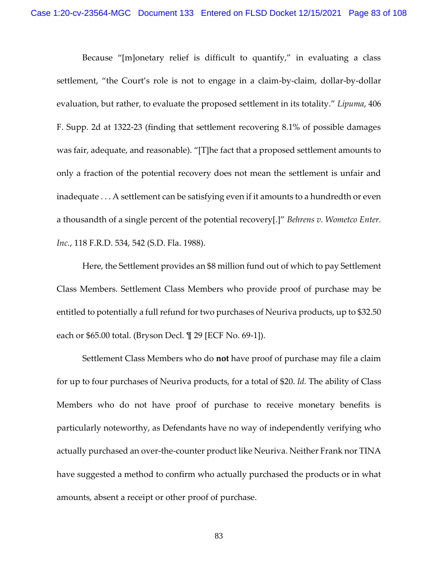Because "[m]onetary relief is difficult to quantify," in evaluating a class settlement, "the Court's role is not to engage in a claim-by-claim, dollar-by-dollar evaluation, but rather, to evaluate the proposed settlement in its totality." *Lipuma*, 406 F. Supp. 2d at 1322-23 (finding that settlement recovering 8.1% of possible damages was fair, adequate, and reasonable). "[T]he fact that a proposed settlement amounts to only a fraction of the potential recovery does not mean the settlement is unfair and inadequate . . . A settlement can be satisfying even if it amounts to a hundredth or even a thousandth of a single percent of the potential recovery[.]" *Behrens v. Wometco Enter. Inc.*, 118 F.R.D. 534, 542 (S.D. Fla. 1988).

Here, the Settlement provides an \$8 million fund out of which to pay Settlement Class Members. Settlement Class Members who provide proof of purchase may be entitled to potentially a full refund for two purchases of Neuriva products, up to \$32.50 each or \$65.00 total. (Bryson Decl. ¶ 29 [ECF No. 69-1]).

Settlement Class Members who do **not** have proof of purchase may file a claim for up to four purchases of Neuriva products, for a total of \$20. *Id.* The ability of Class Members who do not have proof of purchase to receive monetary benefits is particularly noteworthy, as Defendants have no way of independently verifying who actually purchased an over-the-counter product like Neuriva. Neither Frank nor TINA have suggested a method to confirm who actually purchased the products or in what amounts, absent a receipt or other proof of purchase.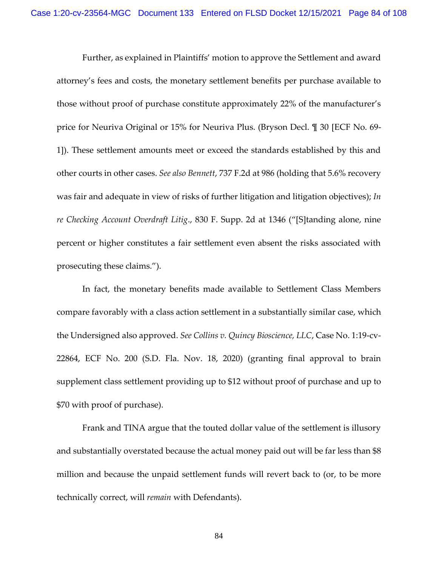Further, as explained in Plaintiffs' motion to approve the Settlement and award attorney's fees and costs, the monetary settlement benefits per purchase available to those without proof of purchase constitute approximately 22% of the manufacturer's price for Neuriva Original or 15% for Neuriva Plus. (Bryson Decl. ¶ 30 [ECF No. 69- 1]). These settlement amounts meet or exceed the standards established by this and other courts in other cases. *See also Bennett*, 737 F.2d at 986 (holding that 5.6% recovery was fair and adequate in view of risks of further litigation and litigation objectives); *In re Checking Account Overdraft Litig*., 830 F. Supp. 2d at 1346 ("[S]tanding alone, nine percent or higher constitutes a fair settlement even absent the risks associated with prosecuting these claims.").

In fact, the monetary benefits made available to Settlement Class Members compare favorably with a class action settlement in a substantially similar case, which the Undersigned also approved. *See Collins v. Quincy Bioscience, LLC*, Case No. 1:19-cv-22864, ECF No. 200 (S.D. Fla. Nov. 18, 2020) (granting final approval to brain supplement class settlement providing up to \$12 without proof of purchase and up to \$70 with proof of purchase).

Frank and TINA argue that the touted dollar value of the settlement is illusory and substantially overstated because the actual money paid out will be far less than \$8 million and because the unpaid settlement funds will revert back to (or, to be more technically correct, will *remain* with Defendants).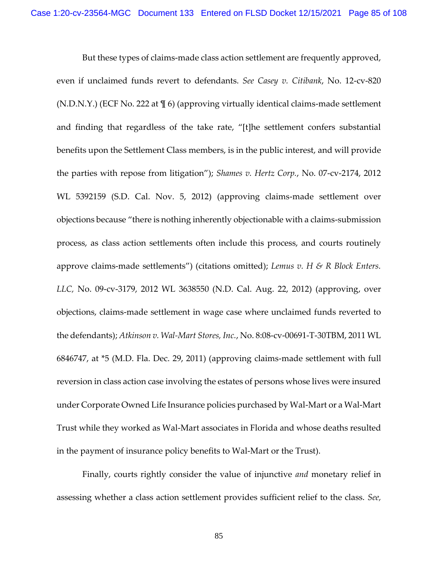But these types of claims-made class action settlement are frequently approved, even if unclaimed funds revert to defendants. *See Casey v. Citibank*, No. 12-cv-820 (N.D.N.Y.) (ECF No. 222 at ¶ 6) (approving virtually identical claims-made settlement and finding that regardless of the take rate, "[t]he settlement confers substantial benefits upon the Settlement Class members, is in the public interest, and will provide the parties with repose from litigation"); *Shames v. Hertz Corp.*, No. 07-cv-2174, 2012 WL 5392159 (S.D. Cal. Nov. 5, 2012) (approving claims-made settlement over objections because "there is nothing inherently objectionable with a claims-submission process, as class action settlements often include this process, and courts routinely approve claims-made settlements") (citations omitted); *Lemus v. H & R Block Enters. LLC,* No. 09-cv-3179, 2012 WL 3638550 (N.D. Cal. Aug. 22, 2012) (approving, over objections, claims-made settlement in wage case where unclaimed funds reverted to the defendants); *Atkinson v. Wal-Mart Stores, Inc.*, No. 8:08-cv-00691-T-30TBM, 2011 WL 6846747, at \*5 (M.D. Fla. Dec. 29, 2011) (approving claims-made settlement with full reversion in class action case involving the estates of persons whose lives were insured under Corporate Owned Life Insurance policies purchased by Wal-Mart or a Wal-Mart Trust while they worked as Wal-Mart associates in Florida and whose deaths resulted in the payment of insurance policy benefits to Wal-Mart or the Trust).

Finally, courts rightly consider the value of injunctive *and* monetary relief in assessing whether a class action settlement provides sufficient relief to the class. *See,*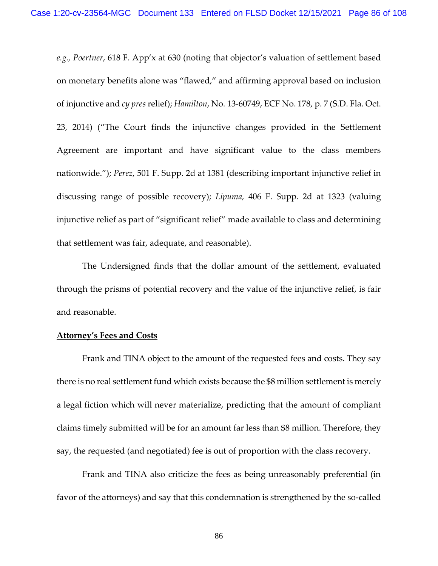*e.g., Poertner*, 618 F. App'x at 630 (noting that objector's valuation of settlement based on monetary benefits alone was "flawed," and affirming approval based on inclusion of injunctive and *cy pres* relief); *Hamilton*, No. 13-60749, ECF No. 178, p. 7 (S.D. Fla. Oct. 23, 2014) ("The Court finds the injunctive changes provided in the Settlement Agreement are important and have significant value to the class members nationwide."); *Perez*, 501 F. Supp. 2d at 1381 (describing important injunctive relief in discussing range of possible recovery); *Lipuma,* 406 F. Supp. 2d at 1323 (valuing injunctive relief as part of "significant relief" made available to class and determining that settlement was fair, adequate, and reasonable).

The Undersigned finds that the dollar amount of the settlement, evaluated through the prisms of potential recovery and the value of the injunctive relief, is fair and reasonable.

## **Attorney's Fees and Costs**

Frank and TINA object to the amount of the requested fees and costs. They say there is no real settlement fund which exists because the \$8 million settlement is merely a legal fiction which will never materialize, predicting that the amount of compliant claims timely submitted will be for an amount far less than \$8 million. Therefore, they say, the requested (and negotiated) fee is out of proportion with the class recovery.

Frank and TINA also criticize the fees as being unreasonably preferential (in favor of the attorneys) and say that this condemnation is strengthened by the so-called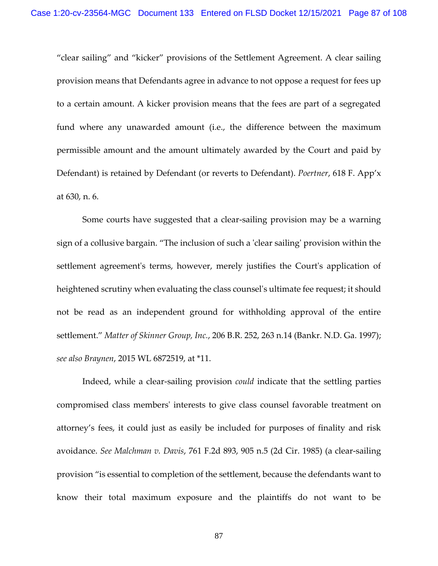"clear sailing" and "kicker" provisions of the Settlement Agreement. A clear sailing provision means that Defendants agree in advance to not oppose a request for fees up to a certain amount. A kicker provision means that the fees are part of a segregated fund where any unawarded amount (i.e., the difference between the maximum permissible amount and the amount ultimately awarded by the Court and paid by Defendant) is retained by Defendant (or reverts to Defendant). *Poertner*, 618 F. App'x at 630, n. 6.

Some courts have suggested that a clear-sailing provision may be a warning sign of a collusive bargain. "The inclusion of such a 'clear sailing' provision within the settlement agreement's terms, however, merely justifies the Court's application of heightened scrutiny when evaluating the class counsel's ultimate fee request; it should not be read as an independent ground for withholding approval of the entire settlement." *Matter of Skinner Group, Inc.*[, 206 B.R. 252, 263 n.14 \(Bankr. N.D. Ga. 1997\);](https://1.next.westlaw.com/Link/Document/FullText?findType=Y&serNum=1997053821&pubNum=0000164&originatingDoc=Ic5af2ec087b911e5a2e3f57df41a6dad&refType=RP&fi=co_pp_sp_164_263&originationContext=document&transitionType=DocumentItem&ppcid=bdeddf795ea0453f941d87892812a839&contextData=(sc.UserEnteredCitation)#co_pp_sp_164_263) *see also Braynen*, 2015 WL 6872519, at \*11.

Indeed, while a clear-sailing provision *could* indicate that the settling parties compromised class members' interests to give class counsel favorable treatment on attorney's fees, it could just as easily be included for purposes of finality and risk avoidance. *See Malchman v. Davis*[, 761 F.2d 893, 905 n.5 \(2d Cir. 1985\)](https://1.next.westlaw.com/Link/Document/FullText?findType=Y&serNum=1985124672&pubNum=0000350&originatingDoc=Ic5af2ec087b911e5a2e3f57df41a6dad&refType=RP&fi=co_pp_sp_350_905&originationContext=document&transitionType=DocumentItem&ppcid=bdeddf795ea0453f941d87892812a839&contextData=(sc.UserEnteredCitation)#co_pp_sp_350_905) (a clear-sailing provision "is essential to completion of the settlement, because the defendants want to know their total maximum exposure and the plaintiffs do not want to be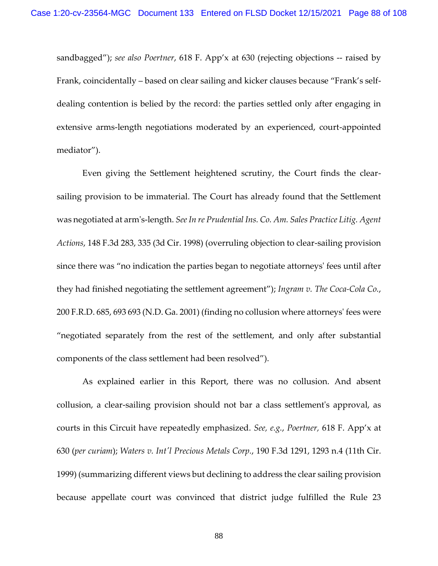sandbagged"); *see also Poertner*, 618 F. App'x at 630 (rejecting objections -- raised by Frank, coincidentally – based on clear sailing and kicker clauses because "Frank's selfdealing contention is belied by the record: the parties settled only after engaging in extensive arms-length negotiations moderated by an experienced, court-appointed mediator").

Even giving the Settlement heightened scrutiny, the Court finds the clearsailing provision to be immaterial. The Court has already found that the Settlement was negotiated at arm's-length. *See [In re Prudential Ins. Co. Am. Sales Practice Litig. Agent](https://1.next.westlaw.com/Link/Document/FullText?findType=Y&serNum=1998154171&pubNum=0000506&originatingDoc=Ic5af2ec087b911e5a2e3f57df41a6dad&refType=RP&fi=co_pp_sp_506_335&originationContext=document&transitionType=DocumentItem&ppcid=bdeddf795ea0453f941d87892812a839&contextData=(sc.UserEnteredCitation)#co_pp_sp_506_335)  Actions*[, 148 F.3d 283, 335 \(3d Cir. 1998\)](https://1.next.westlaw.com/Link/Document/FullText?findType=Y&serNum=1998154171&pubNum=0000506&originatingDoc=Ic5af2ec087b911e5a2e3f57df41a6dad&refType=RP&fi=co_pp_sp_506_335&originationContext=document&transitionType=DocumentItem&ppcid=bdeddf795ea0453f941d87892812a839&contextData=(sc.UserEnteredCitation)#co_pp_sp_506_335) (overruling objection to clear-sailing provision since there was "no indication the parties began to negotiate attorneys' fees until after they had finished negotiating the settlement agreement"); *Ingram [v. The Coca-Cola Co.](https://1.next.westlaw.com/Link/Document/FullText?findType=Y&serNum=2001536255&pubNum=0000344&originatingDoc=Ic5af2ec087b911e5a2e3f57df41a6dad&refType=RP&fi=co_pp_sp_344_693&originationContext=document&transitionType=DocumentItem&ppcid=bdeddf795ea0453f941d87892812a839&contextData=(sc.UserEnteredCitation)#co_pp_sp_344_693)*, [200 F.R.D. 685, 693 693](https://1.next.westlaw.com/Link/Document/FullText?findType=Y&serNum=2001536255&pubNum=0000344&originatingDoc=Ic5af2ec087b911e5a2e3f57df41a6dad&refType=RP&fi=co_pp_sp_344_693&originationContext=document&transitionType=DocumentItem&ppcid=bdeddf795ea0453f941d87892812a839&contextData=(sc.UserEnteredCitation)#co_pp_sp_344_693) (N.D. Ga. 2001) (finding no collusion where attorneys' fees were "negotiated separately from the rest of the settlement, and only after substantial components of the class settlement had been resolved").

As explained earlier in this Report, there was no collusion. And absent collusion, a clear-sailing provision should not bar a class settlement's approval, as courts in this Circuit have repeatedly emphasized. *See, e.g.*, *Poertner,* [618 F. App](https://1.next.westlaw.com/Link/Document/FullText?findType=Y&serNum=2036705791&pubNum=0000999&originatingDoc=Ic5af2ec087b911e5a2e3f57df41a6dad&refType=RP&originationContext=document&transitionType=DocumentItem&ppcid=bdeddf795ea0453f941d87892812a839&contextData=(sc.UserEnteredCitation))'x at [630 \(](https://1.next.westlaw.com/Link/Document/FullText?findType=Y&serNum=2036705791&pubNum=0000999&originatingDoc=Ic5af2ec087b911e5a2e3f57df41a6dad&refType=RP&originationContext=document&transitionType=DocumentItem&ppcid=bdeddf795ea0453f941d87892812a839&contextData=(sc.UserEnteredCitation))*per curiam*); *[Waters v. Int'l Precious Metals Corp.](https://1.next.westlaw.com/Link/Document/FullText?findType=Y&serNum=1999222564&pubNum=0000506&originatingDoc=Ic5af2ec087b911e5a2e3f57df41a6dad&refType=RP&fi=co_pp_sp_506_1293&originationContext=document&transitionType=DocumentItem&ppcid=bdeddf795ea0453f941d87892812a839&contextData=(sc.UserEnteredCitation)#co_pp_sp_506_1293)*, 190 F.3d 1291, 1293 n.4 (11th Cir. [1999\)](https://1.next.westlaw.com/Link/Document/FullText?findType=Y&serNum=1999222564&pubNum=0000506&originatingDoc=Ic5af2ec087b911e5a2e3f57df41a6dad&refType=RP&fi=co_pp_sp_506_1293&originationContext=document&transitionType=DocumentItem&ppcid=bdeddf795ea0453f941d87892812a839&contextData=(sc.UserEnteredCitation)#co_pp_sp_506_1293) (summarizing different views but declining to address the clear sailing provision because appellate court was convinced that district judge fulfilled the Rule 23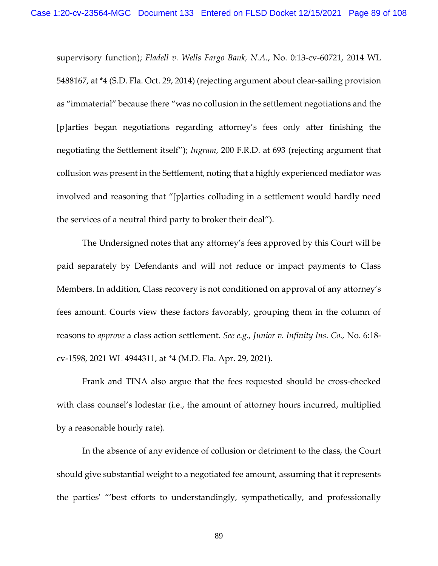supervisory function); *Fladell v. Wells Fargo Bank, N.A.*[, No. 0:13-cv-60721, 2014 WL](https://1.next.westlaw.com/Link/Document/FullText?findType=Y&serNum=2034702958&pubNum=0000999&originatingDoc=Ic5af2ec087b911e5a2e3f57df41a6dad&refType=RP&originationContext=document&transitionType=DocumentItem&ppcid=bdeddf795ea0453f941d87892812a839&contextData=(sc.UserEnteredCitation))  5488167, at \*4 [\(S.D. Fla. Oct. 29, 2014\)](https://1.next.westlaw.com/Link/Document/FullText?findType=Y&serNum=2034702958&pubNum=0000999&originatingDoc=Ic5af2ec087b911e5a2e3f57df41a6dad&refType=RP&originationContext=document&transitionType=DocumentItem&ppcid=bdeddf795ea0453f941d87892812a839&contextData=(sc.UserEnteredCitation)) (rejecting argument about clear-sailing provision as "immaterial" because there "was no collusion in the settlement negotiations and the [p]arties began negotiations regarding attorney's fees only after finishing the negotiating the Settlement itself"); *Ingram*[, 200 F.R.D. at 693](https://1.next.westlaw.com/Link/Document/FullText?findType=Y&serNum=2001536255&pubNum=0000344&originatingDoc=Ic5af2ec087b911e5a2e3f57df41a6dad&refType=RP&fi=co_pp_sp_344_693&originationContext=document&transitionType=DocumentItem&ppcid=bdeddf795ea0453f941d87892812a839&contextData=(sc.UserEnteredCitation)#co_pp_sp_344_693) (rejecting argument that collusion was present in the Settlement, noting that a highly experienced mediator was involved and reasoning that "[p]arties colluding in a settlement would hardly need the services of a neutral third party to broker their deal").

The Undersigned notes that any attorney's fees approved by this Court will be paid separately by Defendants and will not reduce or impact payments to Class Members. In addition, Class recovery is not conditioned on approval of any attorney's fees amount. Courts view these factors favorably, grouping them in the column of reasons to *approve* a class action settlement. *See e.g., Junior v. Infinity Ins. Co.,* No. 6:18 cv-1598, 2021 WL 4944311, at \*4 (M.D. Fla. Apr. 29, 2021).

Frank and TINA also argue that the fees requested should be cross-checked with class counsel's lodestar (i.e., the amount of attorney hours incurred, multiplied by a reasonable hourly rate).

In the absence of any evidence of collusion or detriment to the class, the Court should give substantial weight to a negotiated fee amount, assuming that it represents the parties' "'best efforts to understandingly, sympathetically, and professionally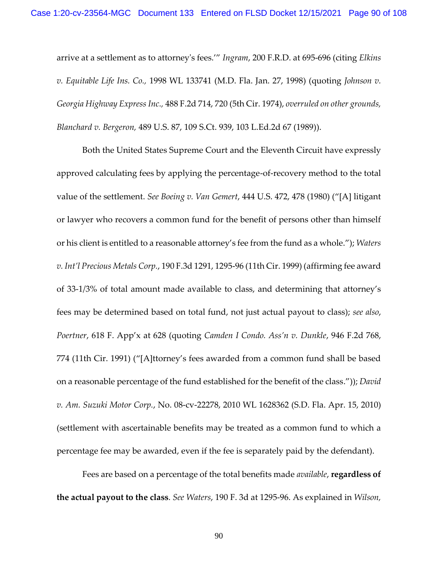arrive at a settlement as to attorney's fees.'" *Ingram*, 200 F.R.D. at 695-696 (citing *[Elkins](https://1.next.westlaw.com/Link/Document/FullText?findType=Y&serNum=1998077629&pubNum=0000999&originatingDoc=I51426e5853e311d9b17ee4cdc604a702&refType=RP&originationContext=document&transitionType=DocumentItem&ppcid=15af7b442809411782369f5855ecd7e8&contextData=(sc.UserEnteredCitation))  [v. Equitable Life Ins. Co.,](https://1.next.westlaw.com/Link/Document/FullText?findType=Y&serNum=1998077629&pubNum=0000999&originatingDoc=I51426e5853e311d9b17ee4cdc604a702&refType=RP&originationContext=document&transitionType=DocumentItem&ppcid=15af7b442809411782369f5855ecd7e8&contextData=(sc.UserEnteredCitation))* 1998 WL 133741 (M.D. Fla. Jan. 27, 1998) (quoting *[Johnson v.](https://1.next.westlaw.com/Link/Document/FullText?findType=Y&serNum=1974108744&pubNum=0000350&originatingDoc=I51426e5853e311d9b17ee4cdc604a702&refType=RP&fi=co_pp_sp_350_720&originationContext=document&transitionType=DocumentItem&ppcid=15af7b442809411782369f5855ecd7e8&contextData=(sc.UserEnteredCitation)#co_pp_sp_350_720)  [Georgia Highway Express Inc.,](https://1.next.westlaw.com/Link/Document/FullText?findType=Y&serNum=1974108744&pubNum=0000350&originatingDoc=I51426e5853e311d9b17ee4cdc604a702&refType=RP&fi=co_pp_sp_350_720&originationContext=document&transitionType=DocumentItem&ppcid=15af7b442809411782369f5855ecd7e8&contextData=(sc.UserEnteredCitation)#co_pp_sp_350_720)* 488 F.2d 714, 720 (5th Cir. 1974), *overruled on other grounds, Blanchard v. Bergeron,* [489 U.S. 87, 109 S.Ct. 939, 103 L.Ed.2d 67 \(1989\)\)](https://1.next.westlaw.com/Link/Document/FullText?findType=Y&serNum=1989026577&pubNum=0000708&originatingDoc=I51426e5853e311d9b17ee4cdc604a702&refType=RP&originationContext=document&transitionType=DocumentItem&ppcid=15af7b442809411782369f5855ecd7e8&contextData=(sc.UserEnteredCitation)).

Both the United States Supreme Court and the Eleventh Circuit have expressly approved calculating fees by applying the percentage-of-recovery method to the total value of the settlement. *See Boeing v. Van Gemert*, 444 U.S. 472, 478 (1980) ("[A] litigant or lawyer who recovers a common fund for the benefit of persons other than himself or his client is entitled to a reasonable attorney's fee from the fund as a whole."); *Waters v. Int'l Precious Metals Corp.*, 190 F.3d 1291, 1295-96 (11th Cir. 1999) (affirming fee award of 33-1/3% of total amount made available to class, and determining that attorney's fees may be determined based on total fund, not just actual payout to class); *see also*, *Poertner*, 618 F. App'x at 628 (quoting *Camden I Condo. Ass'n v. Dunkle*, 946 F.2d 768, 774 (11th Cir. 1991) ("[A]ttorney's fees awarded from a common fund shall be based on a reasonable percentage of the fund established for the benefit of the class.")); *David v. Am. Suzuki Motor Corp.*, No. 08-cv-22278, 2010 WL 1628362 (S.D. Fla. Apr. 15, 2010) (settlement with ascertainable benefits may be treated as a common fund to which a percentage fee may be awarded, even if the fee is separately paid by the defendant).

Fees are based on a percentage of the total benefits made *available*, **regardless of the actual payout to the class**. *See Waters*, 190 F. 3d at 1295-96. As explained in *Wilson,*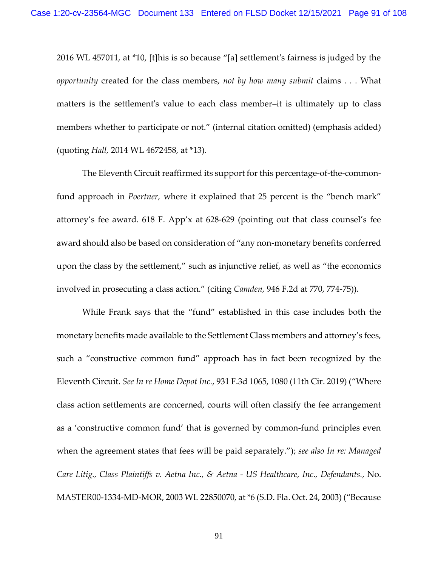2016 WL 457011, at \*10, [t]his is so because "[a] settlement's fairness is judged by the *opportunity* created for the class members, *not by how many submit* claims . . . What matters is the settlement's value to each class member–it is ultimately up to class members whether to participate or not." (internal citation omitted) (emphasis added) (quoting *Hall,* 2014 WL 4672458, at \*13).

The Eleventh Circuit reaffirmed its support for this percentage-of-the-commonfund approach in *Poertner,* where it explained that 25 percent is the "bench mark" attorney's fee award. 618 F. App'x at 628-629 (pointing out that class counsel's fee award should also be based on consideration of "any non-monetary benefits conferred upon the class by the settlement," such as injunctive relief, as well as "the economics involved in prosecuting a class action." (citing *Camden,* 946 F.2d at 770, 774-75)).

While Frank says that the "fund" established in this case includes both the monetary benefits made available to the Settlement Class members and attorney's fees, such a "constructive common fund" approach has in fact been recognized by the Eleventh Circuit. *See In re Home Depot Inc.*, 931 F.3d 1065, 1080 (11th Cir. 2019) ("Where class action settlements are concerned, courts will often classify the fee arrangement as a 'constructive common fund' that is governed by common-fund principles even when the agreement states that fees will be paid separately."); *see also In re: Managed Care Litig., Class Plaintiffs v. Aetna Inc., & Aetna - US Healthcare, Inc., Defendants.*, No. MASTER00-1334-MD-MOR, 2003 WL 22850070, at \*6 (S.D. Fla. Oct. 24, 2003) ("Because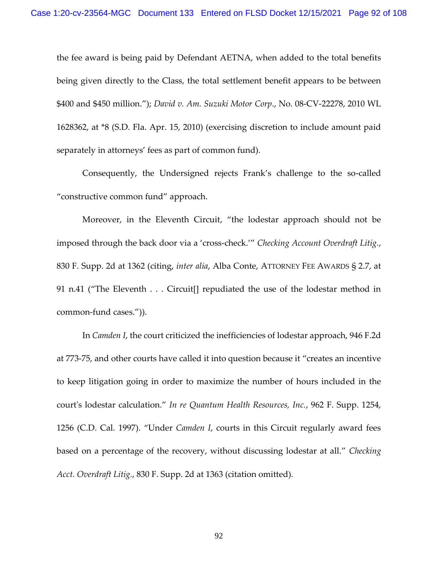the fee award is being paid by Defendant AETNA, when added to the total benefits being given directly to the Class, the total settlement benefit appears to be between \$400 and \$450 million."); *David v. Am. Suzuki Motor Corp*., No. 08-CV-22278, 2010 WL 1628362, at \*8 (S.D. Fla. Apr. 15, 2010) (exercising discretion to include amount paid separately in attorneys' fees as part of common fund).

Consequently, the Undersigned rejects Frank's challenge to the so-called "constructive common fund" approach.

Moreover, in the Eleventh Circuit, "the lodestar approach should not be imposed through the back door via a 'cross-check.'" *Checking Account Overdraft Litig.*, 830 F. Supp. 2d at 1362 (citing, *inter alia*, Alba Conte, ATTORNEY FEE AWARDS § 2.7, at 91 n.41 ("The Eleventh . . . Circuit[] repudiated the use of the lodestar method in common-fund cases.")).

In *Camden I*, the court criticized the inefficiencies of lodestar approach, 946 F.2d at 773-75, and other courts have called it into question because it "creates an incentive to keep litigation going in order to maximize the number of hours included in the court's lodestar calculation." *In re Quantum Health Resources, Inc.*, 962 F. Supp. 1254, 1256 (C.D. Cal. 1997). "Under *Camden I*, courts in this Circuit regularly award fees based on a percentage of the recovery, without discussing lodestar at all." *Checking Acct. Overdraft Litig.*, 830 F. Supp. 2d at 1363 (citation omitted).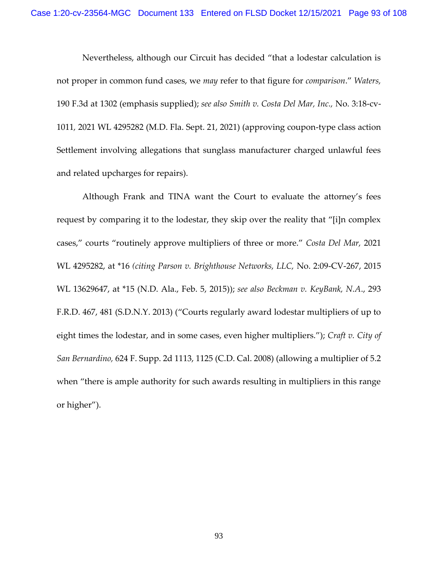Nevertheless, although our Circuit has decided "that a lodestar calculation is not proper in common fund cases, we *may* refer to that figure for *comparison*." *Waters,*  190 F.3d at 1302 (emphasis supplied); *see also Smith v. Costa Del Mar, Inc.,* No. 3:18-cv-1011*,* 2021 WL 4295282 (M.D. Fla. Sept. 21, 2021) (approving coupon-type class action Settlement involving allegations that sunglass manufacturer charged unlawful fees and related upcharges for repairs).

Although Frank and TINA want the Court to evaluate the attorney's fees request by comparing it to the lodestar, they skip over the reality that "[i]n complex cases," courts "routinely approve multipliers of three or more." *Costa Del Mar,* 2021 WL 4295282, at \*16 *(citing Parson v. Brighthouse Networks, LLC,* No. 2:09-CV-267, 2015 WL 13629647, at \*15 (N.D. Ala., Feb. 5, 2015)); *see also [Beckman v. KeyBank, N.A](https://1.next.westlaw.com/Link/Document/FullText?findType=Y&serNum=2030447106&pubNum=0000344&originatingDoc=I1577adb01b9311ec925cb2bf681461fd&refType=RP&fi=co_pp_sp_344_481&originationContext=document&transitionType=DocumentItem&ppcid=6bc81f6a90144d1ebee49e07316a4583&contextData=(sc.Keycite)#co_pp_sp_344_481)*., 293 [F.R.D. 467, 481 \(S.D.N.Y. 2013\)](https://1.next.westlaw.com/Link/Document/FullText?findType=Y&serNum=2030447106&pubNum=0000344&originatingDoc=I1577adb01b9311ec925cb2bf681461fd&refType=RP&fi=co_pp_sp_344_481&originationContext=document&transitionType=DocumentItem&ppcid=6bc81f6a90144d1ebee49e07316a4583&contextData=(sc.Keycite)#co_pp_sp_344_481) ("Courts regularly award lodestar multipliers of up to eight times the lodestar, and in some cases, even higher multipliers."); *[Craft v. City](https://1.next.westlaw.com/Link/Document/FullText?findType=Y&serNum=2015724889&pubNum=0004637&originatingDoc=I1577adb01b9311ec925cb2bf681461fd&refType=RP&fi=co_pp_sp_4637_1125&originationContext=document&transitionType=DocumentItem&ppcid=6bc81f6a90144d1ebee49e07316a4583&contextData=(sc.Keycite)#co_pp_sp_4637_1125) of San Bernardino,* [624 F. Supp. 2d 1113, 1125 \(C.D. Cal. 2008\)](https://1.next.westlaw.com/Link/Document/FullText?findType=Y&serNum=2015724889&pubNum=0004637&originatingDoc=I1577adb01b9311ec925cb2bf681461fd&refType=RP&fi=co_pp_sp_4637_1125&originationContext=document&transitionType=DocumentItem&ppcid=6bc81f6a90144d1ebee49e07316a4583&contextData=(sc.Keycite)#co_pp_sp_4637_1125) (allowing a multiplier of 5.2 when "there is ample authority for such awards resulting in multipliers in this range or higher").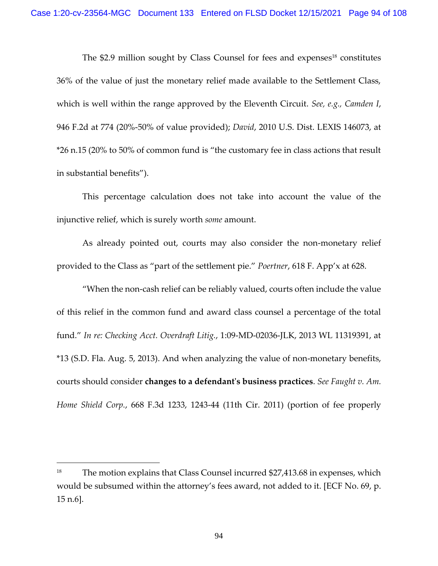The \$2.9 million sought by Class Counsel for fees and expenses <sup>18</sup> constitutes 36% of the value of just the monetary relief made available to the Settlement Class, which is well within the range approved by the Eleventh Circuit. *See, e.g., Camden I*, 946 F.2d at 774 (20%-50% of value provided); *David*, 2010 U.S. Dist. LEXIS 146073, at \*26 n.15 (20% to 50% of common fund is "the customary fee in class actions that result in substantial benefits").

This percentage calculation does not take into account the value of the injunctive relief, which is surely worth *some* amount.

As already pointed out, courts may also consider the non-monetary relief provided to the Class as "part of the settlement pie." *Poertner*, 618 F. App'x at 628.

"When the non-cash relief can be reliably valued, courts often include the value of this relief in the common fund and award class counsel a percentage of the total fund." *In re: Checking Acct. Overdraft Litig.*, 1:09-MD-02036-JLK, [2013 WL 11319391, at](https://1.next.westlaw.com/Link/Document/FullText?findType=Y&serNum=2038909420&pubNum=0000999&originatingDoc=I5c3aaf90512111e7bcf2cc0f37ee205d&refType=RP&originationContext=document&transitionType=DocumentItem&ppcid=97c5ff389fc94009ac232e8996b810a4&contextData=(sc.Keycite))  [\\*13 \(S.D. Fla. Aug. 5, 2013\).](https://1.next.westlaw.com/Link/Document/FullText?findType=Y&serNum=2038909420&pubNum=0000999&originatingDoc=I5c3aaf90512111e7bcf2cc0f37ee205d&refType=RP&originationContext=document&transitionType=DocumentItem&ppcid=97c5ff389fc94009ac232e8996b810a4&contextData=(sc.Keycite)) And when analyzing the value of non-monetary benefits, courts should consider **changes to a defendant's business practices**. *See [Faught v. Am.](https://1.next.westlaw.com/Link/Document/FullText?findType=Y&serNum=2026962512&pubNum=0000506&originatingDoc=I5c3aaf90512111e7bcf2cc0f37ee205d&refType=RP&fi=co_pp_sp_506_1243&originationContext=document&transitionType=DocumentItem&ppcid=97c5ff389fc94009ac232e8996b810a4&contextData=(sc.Keycite)#co_pp_sp_506_1243)  Home Shield Corp.*[, 668 F.3d 1233, 1243-44 \(11th Cir. 2011\)](https://1.next.westlaw.com/Link/Document/FullText?findType=Y&serNum=2026962512&pubNum=0000506&originatingDoc=I5c3aaf90512111e7bcf2cc0f37ee205d&refType=RP&fi=co_pp_sp_506_1243&originationContext=document&transitionType=DocumentItem&ppcid=97c5ff389fc94009ac232e8996b810a4&contextData=(sc.Keycite)#co_pp_sp_506_1243) (portion of fee properly

<sup>&</sup>lt;sup>18</sup> The motion explains that Class Counsel incurred \$27,413.68 in expenses, which would be subsumed within the attorney's fees award, not added to it. [ECF No. 69, p. 15 n.6].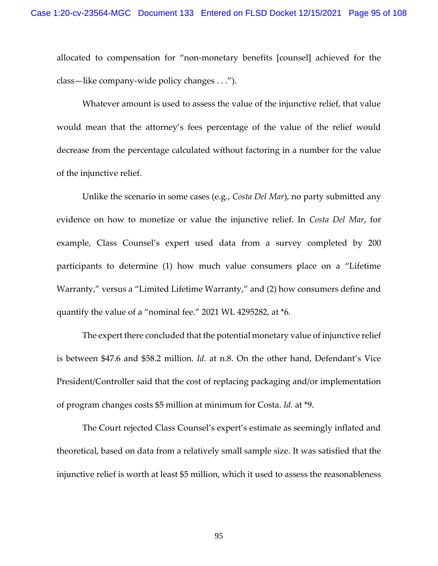allocated to compensation for "non-monetary benefits [counsel] achieved for the class—like company-wide policy changes . . .").

Whatever amount is used to assess the value of the injunctive relief, that value would mean that the attorney's fees percentage of the value of the relief would decrease from the percentage calculated without factoring in a number for the value of the injunctive relief.

Unlike the scenario in some cases (e.g., *Costa Del Mar*), no party submitted any evidence on how to monetize or value the injunctive relief. In *Costa Del Mar*, for example, Class Counsel's expert used data from a survey completed by 200 participants to determine (1) how much value consumers place on a "Lifetime Warranty," versus a "Limited Lifetime Warranty," and (2) how consumers define and quantify the value of a "nominal fee." 2021 WL 4295282, at \*6.

The expert there concluded that the potential monetary value of injunctive relief is between \$47.6 and \$58.2 million. *Id.* at n.8. On the other hand, Defendant's Vice President/Controller said that the cost of replacing packaging and/or implementation of program changes costs \$5 million at minimum for Costa. *Id.* at \*9.

The Court rejected Class Counsel's expert's estimate as seemingly inflated and theoretical, based on data from a relatively small sample size. It was satisfied that the injunctive relief is worth at least \$5 million, which it used to assess the reasonableness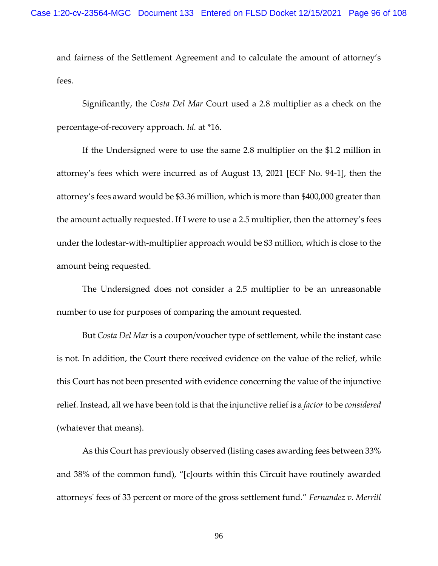and fairness of the Settlement Agreement and to calculate the amount of attorney's fees.

Significantly, the *Costa Del Mar* Court used a 2.8 multiplier as a check on the percentage-of-recovery approach. *Id.* at \*16.

If the Undersigned were to use the same 2.8 multiplier on the \$1.2 million in attorney's fees which were incurred as of August 13, 2021 [ECF No. 94-1], then the attorney's fees award would be \$3.36 million, which is more than \$400,000 greater than the amount actually requested. If I were to use a 2.5 multiplier, then the attorney's fees under the lodestar-with-multiplier approach would be \$3 million, which is close to the amount being requested.

The Undersigned does not consider a 2.5 multiplier to be an unreasonable number to use for purposes of comparing the amount requested.

But *Costa Del Mar* is a coupon/voucher type of settlement, while the instant case is not. In addition, the Court there received evidence on the value of the relief, while this Court has not been presented with evidence concerning the value of the injunctive relief. Instead, all we have been told is that the injunctive relief is a *factor*to be *considered* (whatever that means).

As this Court has previously observed (listing cases awarding fees between 33% and 38% of the common fund), "[c]ourts within this Circuit have routinely awarded attorneys' fees of 33 percent or more of the gross settlement fund." *Fernandez v. Merrill*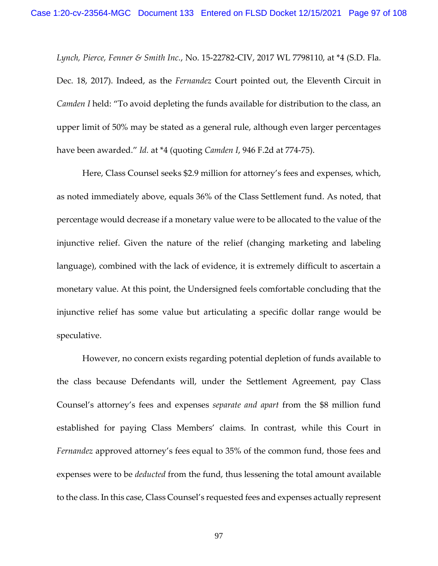*Lynch, Pierce, Fenner & Smith Inc.*, No. 15-22782-CIV, 2017 WL 7798110, at \*4 (S.D. Fla. Dec. 18, 2017). Indeed, as the *Fernandez* Court pointed out, the Eleventh Circuit in *Camden I* held: "To avoid depleting the funds available for distribution to the class, an upper limit of 50% may be stated as a general rule, although even larger percentages have been awarded." *Id.* at \*4 (quoting *Camden I*, 946 F.2d at 774-75).

Here, Class Counsel seeks \$2.9 million for attorney's fees and expenses, which, as noted immediately above, equals 36% of the Class Settlement fund. As noted, that percentage would decrease if a monetary value were to be allocated to the value of the injunctive relief. Given the nature of the relief (changing marketing and labeling language), combined with the lack of evidence, it is extremely difficult to ascertain a monetary value. At this point, the Undersigned feels comfortable concluding that the injunctive relief has some value but articulating a specific dollar range would be speculative.

However, no concern exists regarding potential depletion of funds available to the class because Defendants will, under the Settlement Agreement, pay Class Counsel's attorney's fees and expenses *separate and apart* from the \$8 million fund established for paying Class Members' claims. In contrast, while this Court in *Fernandez* approved attorney's fees equal to 35% of the common fund, those fees and expenses were to be *deducted* from the fund, thus lessening the total amount available to the class. In this case, Class Counsel's requested fees and expenses actually represent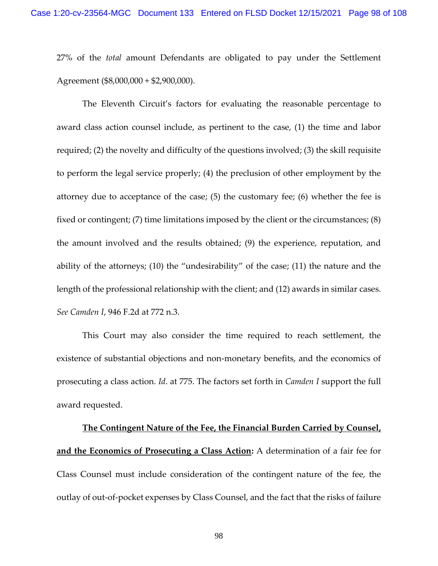27% of the *total* amount Defendants are obligated to pay under the Settlement Agreement (\$8,000,000 + \$2,900,000).

The Eleventh Circuit's factors for evaluating the reasonable percentage to award class action counsel include, as pertinent to the case, (1) the time and labor required; (2) the novelty and difficulty of the questions involved; (3) the skill requisite to perform the legal service properly; (4) the preclusion of other employment by the attorney due to acceptance of the case; (5) the customary fee; (6) whether the fee is fixed or contingent; (7) time limitations imposed by the client or the circumstances; (8) the amount involved and the results obtained; (9) the experience, reputation, and ability of the attorneys; (10) the "undesirability" of the case; (11) the nature and the length of the professional relationship with the client; and (12) awards in similar cases. *See Camden I*, 946 F.2d at 772 n.3.

This Court may also consider the time required to reach settlement, the existence of substantial objections and non-monetary benefits, and the economics of prosecuting a class action. *Id*. at 775. The factors set forth in *Camden I* support the full award requested.

**The Contingent Nature of the Fee, the Financial Burden Carried by Counsel, and the Economics of Prosecuting a Class Action:** A determination of a fair fee for Class Counsel must include consideration of the contingent nature of the fee, the outlay of out-of-pocket expenses by Class Counsel, and the fact that the risks of failure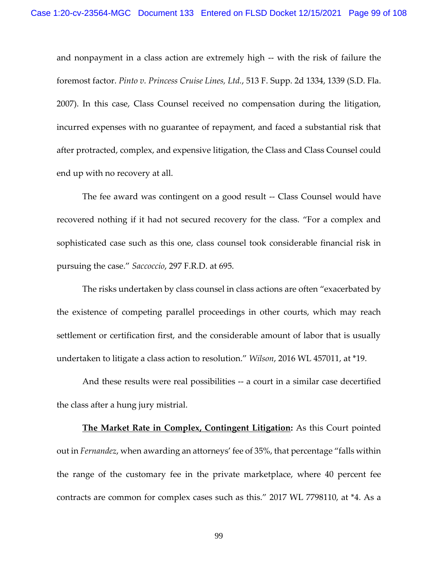and nonpayment in a class action are extremely high -- with the risk of failure the foremost factor. *Pinto v. Princess Cruise Lines, Ltd.*, 513 F. Supp. 2d 1334, 1339 (S.D. Fla. 2007). In this case, Class Counsel received no compensation during the litigation, incurred expenses with no guarantee of repayment, and faced a substantial risk that after protracted, complex, and expensive litigation, the Class and Class Counsel could end up with no recovery at all.

The fee award was contingent on a good result -- Class Counsel would have recovered nothing if it had not secured recovery for the class. "For a complex and sophisticated case such as this one, class counsel took considerable financial risk in pursuing the case." *Saccoccio*, 297 F.R.D. at 695.

The risks undertaken by class counsel in class actions are often "exacerbated by the existence of competing parallel proceedings in other courts, which may reach settlement or certification first, and the considerable amount of labor that is usually undertaken to litigate a class action to resolution." *Wilson*, 2016 WL 457011, at \*19.

And these results were real possibilities -- a court in a similar case decertified the class after a hung jury mistrial.

**The Market Rate in Complex, Contingent Litigation:** As this Court pointed out in *Fernandez*, when awarding an attorneys' fee of 35%, that percentage "falls within the range of the customary fee in the private marketplace, where 40 percent fee contracts are common for complex cases such as this." 2017 WL 7798110, at \*4. As a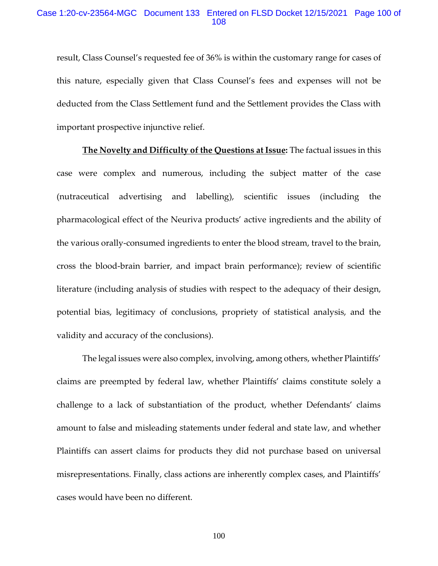## Case 1:20-cv-23564-MGC Document 133 Entered on FLSD Docket 12/15/2021 Page 100 of 108

result, Class Counsel's requested fee of 36% is within the customary range for cases of this nature, especially given that Class Counsel's fees and expenses will not be deducted from the Class Settlement fund and the Settlement provides the Class with important prospective injunctive relief.

**The Novelty and Difficulty of the Questions at Issue:** The factual issues in this case were complex and numerous, including the subject matter of the case (nutraceutical advertising and labelling), scientific issues (including the pharmacological effect of the Neuriva products' active ingredients and the ability of the various orally-consumed ingredients to enter the blood stream, travel to the brain, cross the blood-brain barrier, and impact brain performance); review of scientific literature (including analysis of studies with respect to the adequacy of their design, potential bias, legitimacy of conclusions, propriety of statistical analysis, and the validity and accuracy of the conclusions).

The legal issues were also complex, involving, among others, whether Plaintiffs' claims are preempted by federal law, whether Plaintiffs' claims constitute solely a challenge to a lack of substantiation of the product, whether Defendants' claims amount to false and misleading statements under federal and state law, and whether Plaintiffs can assert claims for products they did not purchase based on universal misrepresentations. Finally, class actions are inherently complex cases, and Plaintiffs' cases would have been no different.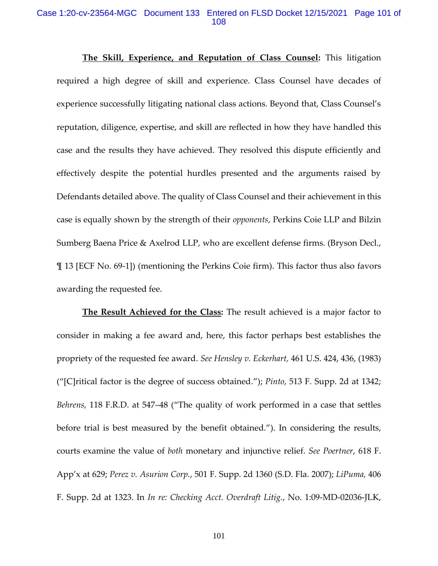### Case 1:20-cv-23564-MGC Document 133 Entered on FLSD Docket 12/15/2021 Page 101 of 108

**The Skill, Experience, and Reputation of Class Counsel:** This litigation required a high degree of skill and experience. Class Counsel have decades of experience successfully litigating national class actions. Beyond that, Class Counsel's reputation, diligence, expertise, and skill are reflected in how they have handled this case and the results they have achieved. They resolved this dispute efficiently and effectively despite the potential hurdles presented and the arguments raised by Defendants detailed above. The quality of Class Counsel and their achievement in this case is equally shown by the strength of their *opponents*, Perkins Coie LLP and Bilzin Sumberg Baena Price & Axelrod LLP, who are excellent defense firms. (Bryson Decl., ¶ 13 [ECF No. 69-1]) (mentioning the Perkins Coie firm). This factor thus also favors awarding the requested fee.

**The Result Achieved for the Class:** The result achieved is a major factor to consider in making a fee award and, here, this factor perhaps best establishes the propriety of the requested fee award. *See Hensley v. Eckerhart,* 461 U.S. 424, 436, (1983) ("[C]ritical factor is the degree of success obtained."); *Pinto*, 513 F. Supp. 2d at 1342; *Behrens,* 118 F.R.D. at 547–48 ("The quality of work performed in a case that settles before trial is best measured by the benefit obtained."). In considering the results, courts examine the value of *both* monetary and injunctive relief. *See Poertner*, 618 F. App'x at 629; *Perez v. Asurion Corp.*, 501 F. Supp. 2d 1360 (S.D. Fla. 2007); *LiPuma,* 406 F. Supp. 2d at 1323. In *In re: Checking Acct. Overdraft Litig.*, No. 1:09-MD-02036-JLK,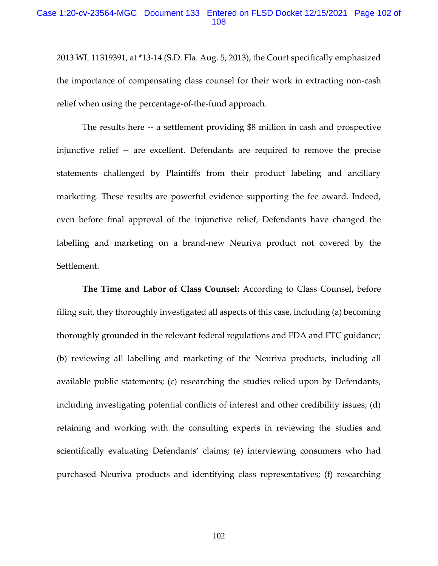## Case 1:20-cv-23564-MGC Document 133 Entered on FLSD Docket 12/15/2021 Page 102 of 108

2013 WL 11319391, at \*13-14 (S.D. Fla. Aug. 5, 2013), the Court specifically emphasized the importance of compensating class counsel for their work in extracting non-cash relief when using the percentage-of-the-fund approach.

The results here -- a settlement providing \$8 million in cash and prospective injunctive relief -- are excellent. Defendants are required to remove the precise statements challenged by Plaintiffs from their product labeling and ancillary marketing. These results are powerful evidence supporting the fee award. Indeed, even before final approval of the injunctive relief, Defendants have changed the labelling and marketing on a brand-new Neuriva product not covered by the Settlement.

**The Time and Labor of Class Counsel:** According to Class Counsel**,** before filing suit, they thoroughly investigated all aspects of this case, including (a) becoming thoroughly grounded in the relevant federal regulations and FDA and FTC guidance; (b) reviewing all labelling and marketing of the Neuriva products, including all available public statements; (c) researching the studies relied upon by Defendants, including investigating potential conflicts of interest and other credibility issues; (d) retaining and working with the consulting experts in reviewing the studies and scientifically evaluating Defendants' claims; (e) interviewing consumers who had purchased Neuriva products and identifying class representatives; (f) researching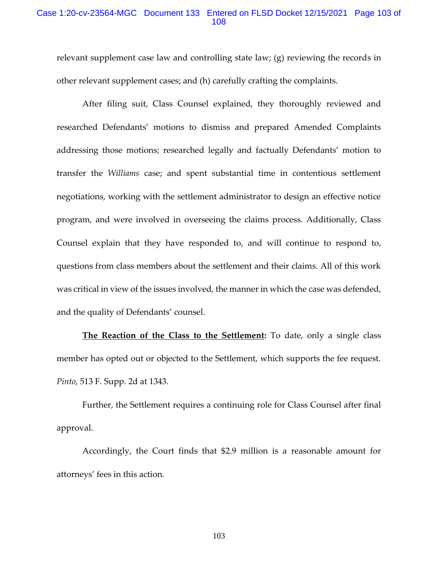## Case 1:20-cv-23564-MGC Document 133 Entered on FLSD Docket 12/15/2021 Page 103 of 108

relevant supplement case law and controlling state law; (g) reviewing the records in other relevant supplement cases; and (h) carefully crafting the complaints.

After filing suit, Class Counsel explained, they thoroughly reviewed and researched Defendants' motions to dismiss and prepared Amended Complaints addressing those motions; researched legally and factually Defendants' motion to transfer the *Williams* case; and spent substantial time in contentious settlement negotiations, working with the settlement administrator to design an effective notice program, and were involved in overseeing the claims process. Additionally, Class Counsel explain that they have responded to, and will continue to respond to, questions from class members about the settlement and their claims. All of this work was critical in view of the issues involved, the manner in which the case was defended, and the quality of Defendants' counsel.

**The Reaction of the Class to the Settlement:** To date, only a single class member has opted out or objected to the Settlement, which supports the fee request. *Pinto*, 513 F. Supp. 2d at 1343.

Further, the Settlement requires a continuing role for Class Counsel after final approval.

Accordingly, the Court finds that \$2.9 million is a reasonable amount for attorneys' fees in this action.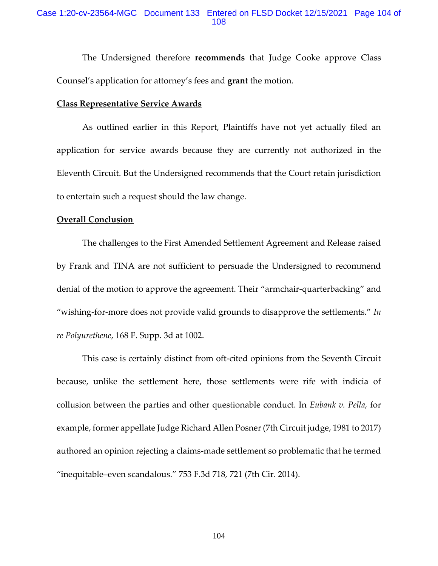## Case 1:20-cv-23564-MGC Document 133 Entered on FLSD Docket 12/15/2021 Page 104 of 108

The Undersigned therefore **recommends** that Judge Cooke approve Class Counsel's application for attorney's fees and **grant** the motion.

#### **Class Representative Service Awards**

As outlined earlier in this Report, Plaintiffs have not yet actually filed an application for service awards because they are currently not authorized in the Eleventh Circuit. But the Undersigned recommends that the Court retain jurisdiction to entertain such a request should the law change.

## **Overall Conclusion**

The challenges to the First Amended Settlement Agreement and Release raised by Frank and TINA are not sufficient to persuade the Undersigned to recommend denial of the motion to approve the agreement. Their "armchair-quarterbacking" and "wishing-for-more does not provide valid grounds to disapprove the settlements." *In re Polyurethene*, 168 F. Supp. 3d at 1002.

This case is certainly distinct from oft-cited opinions from the Seventh Circuit because, unlike the settlement here, those settlements were rife with indicia of collusion between the parties and other questionable conduct. In *Eubank v. Pella,* for example, former appellate Judge Richard Allen Posner (7th Circuit judge, 1981 to 2017) authored an opinion rejecting a claims-made settlement so problematic that he termed "inequitable–even scandalous." [753 F.3d 718, 721 \(7th Cir.](https://1.next.westlaw.com/Link/Document/FullText?findType=Y&serNum=2033497849&pubNum=0000506&originatingDoc=I0709d0b0cb8911e5b10893af99153f48&refType=RP&fi=co_pp_sp_506_721&originationContext=document&transitionType=DocumentItem&ppcid=ed86fb1b0a5e4452a540e89964003db2&contextData=(sc.DocLink)#co_pp_sp_506_721) 2014).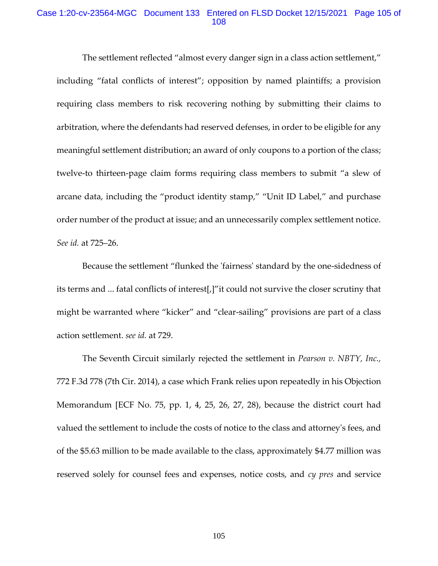## Case 1:20-cv-23564-MGC Document 133 Entered on FLSD Docket 12/15/2021 Page 105 of 108

The settlement reflected "almost every danger sign in a class action settlement," including "fatal conflicts of interest"; opposition by named plaintiffs; a provision requiring class members to risk recovering nothing by submitting their claims to arbitration, where the defendants had reserved defenses, in order to be eligible for any meaningful settlement distribution; an award of only coupons to a portion of the class; twelve-to thirteen-page claim forms requiring class members to submit "a slew of arcane data, including the "product identity stamp," "Unit ID Label," and purchase order number of the product at issue; and an unnecessarily complex settlement notice. *See id.* [at 725](https://1.next.westlaw.com/Link/Document/FullText?findType=Y&serNum=2033497849&pubNum=0000506&originatingDoc=I0709d0b0cb8911e5b10893af99153f48&refType=RP&fi=co_pp_sp_506_725&originationContext=document&transitionType=DocumentItem&ppcid=ed86fb1b0a5e4452a540e89964003db2&contextData=(sc.DocLink)#co_pp_sp_506_725)–26.

Because the settlement "flunked the 'fairness' standard by the one-sidedness of its terms and ... fatal conflicts of interest[,]"it could not survive the closer scrutiny that might be warranted where "kicker" and "clear-sailing" provisions are part of a class action settlement. *see id.* [at 729.](https://1.next.westlaw.com/Link/Document/FullText?findType=Y&serNum=2033497849&pubNum=0000506&originatingDoc=I0709d0b0cb8911e5b10893af99153f48&refType=RP&fi=co_pp_sp_506_729&originationContext=document&transitionType=DocumentItem&ppcid=ed86fb1b0a5e4452a540e89964003db2&contextData=(sc.DocLink)#co_pp_sp_506_729)

The Seventh Circuit similarly rejected the settlement in *[Pearson v. NBTY, Inc.,](https://1.next.westlaw.com/Link/Document/FullText?findType=Y&serNum=2034823458&pubNum=0000506&originatingDoc=I0709d0b0cb8911e5b10893af99153f48&refType=RP&originationContext=document&transitionType=DocumentItem&ppcid=ed86fb1b0a5e4452a540e89964003db2&contextData=(sc.DocLink))* [772 F.3d 778 \(7th Cir.](https://1.next.westlaw.com/Link/Document/FullText?findType=Y&serNum=2034823458&pubNum=0000506&originatingDoc=I0709d0b0cb8911e5b10893af99153f48&refType=RP&originationContext=document&transitionType=DocumentItem&ppcid=ed86fb1b0a5e4452a540e89964003db2&contextData=(sc.DocLink)) 2014), a case which Frank relies upon repeatedly in his Objection Memorandum [ECF No. 75, pp. 1, 4, 25, 26, 27, 28), because the district court had valued the settlement to include the costs of notice to the class and attorney's fees, and of the \$5.63 million to be made available to the class, approximately \$4.77 million was reserved solely for counsel fees and expenses, notice costs, and *cy pres* and service

105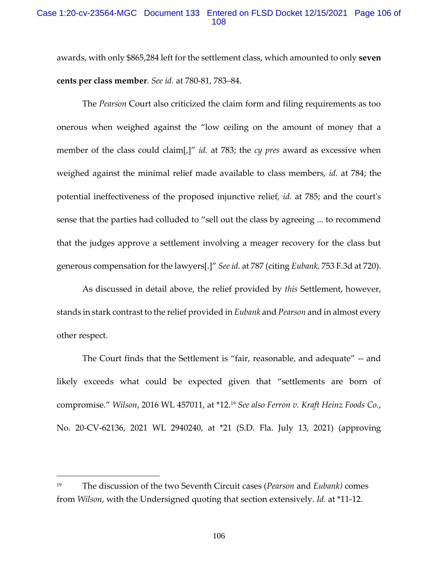## Case 1:20-cv-23564-MGC Document 133 Entered on FLSD Docket 12/15/2021 Page 106 of 108

awards, with only \$865,284 left for the settlement class, which amounted to only **seven cents per class member**. *See id.* [at 780-81, 783](https://1.next.westlaw.com/Link/Document/FullText?findType=Y&serNum=2034823458&pubNum=0000506&originatingDoc=I0709d0b0cb8911e5b10893af99153f48&refType=RP&fi=co_pp_sp_506_780&originationContext=document&transitionType=DocumentItem&ppcid=ed86fb1b0a5e4452a540e89964003db2&contextData=(sc.DocLink)#co_pp_sp_506_780)–84.

The *Pearson* Court also criticized the claim form and filing requirements as too onerous when weighed against the "low ceiling on the amount of money that a member of the class could claim[,]" *id.* [at 783;](https://1.next.westlaw.com/Link/Document/FullText?findType=Y&serNum=2034823458&pubNum=0000506&originatingDoc=I0709d0b0cb8911e5b10893af99153f48&refType=RP&fi=co_pp_sp_506_783&originationContext=document&transitionType=DocumentItem&ppcid=ed86fb1b0a5e4452a540e89964003db2&contextData=(sc.DocLink)#co_pp_sp_506_783) the *cy pres* award as excessive when weighed against the minimal relief made available to class members, *id.* [at 784;](https://1.next.westlaw.com/Link/Document/FullText?findType=Y&serNum=2034823458&pubNum=0000506&originatingDoc=I0709d0b0cb8911e5b10893af99153f48&refType=RP&fi=co_pp_sp_506_784&originationContext=document&transitionType=DocumentItem&ppcid=ed86fb1b0a5e4452a540e89964003db2&contextData=(sc.DocLink)#co_pp_sp_506_784) the potential ineffectiveness of the proposed injunctive relief, *id.* [at 785;](https://1.next.westlaw.com/Link/Document/FullText?findType=Y&serNum=2034823458&pubNum=0000506&originatingDoc=I0709d0b0cb8911e5b10893af99153f48&refType=RP&fi=co_pp_sp_506_785&originationContext=document&transitionType=DocumentItem&ppcid=ed86fb1b0a5e4452a540e89964003db2&contextData=(sc.DocLink)#co_pp_sp_506_785) and the court's sense that the parties had colluded to "sell out the class by agreeing ... to recommend that the judges approve a settlement involving a meager recovery for the class but generous compensation for the lawyers[.]" *See id.* [at 787](https://1.next.westlaw.com/Link/Document/FullText?findType=Y&serNum=2034823458&pubNum=0000506&originatingDoc=I0709d0b0cb8911e5b10893af99153f48&refType=RP&fi=co_pp_sp_506_787&originationContext=document&transitionType=DocumentItem&ppcid=ed86fb1b0a5e4452a540e89964003db2&contextData=(sc.DocLink)#co_pp_sp_506_787) (citing *Eubank,* [753 F.3d at 720\)](https://1.next.westlaw.com/Link/Document/FullText?findType=Y&serNum=2033497849&pubNum=0000506&originatingDoc=I0709d0b0cb8911e5b10893af99153f48&refType=RP&fi=co_pp_sp_506_720&originationContext=document&transitionType=DocumentItem&ppcid=ed86fb1b0a5e4452a540e89964003db2&contextData=(sc.DocLink)#co_pp_sp_506_720).

As discussed in detail above, the relief provided by *this* Settlement, however, stands in stark contrast to the relief provided in *Eubank* and *Pearson* and in almost every other respect.

The Court finds that the Settlement is "fair, reasonable, and adequate" -- and likely exceeds what could be expected given that "settlements are born of compromise." *Wilson*, 2016 WL 457011, at \*12.<sup>19</sup> *See also Ferron v. Kraft Heinz Foods Co.*, No. 20-CV-62136, 2021 WL 2940240, at \*21 (S.D. Fla. July 13, 2021) (approving

<sup>19</sup> The discussion of the two Seventh Circuit cases (*Pearson* and *Eubank)* comes from *Wilson*, with the Undersigned quoting that section extensively. *Id.* at \*11-12.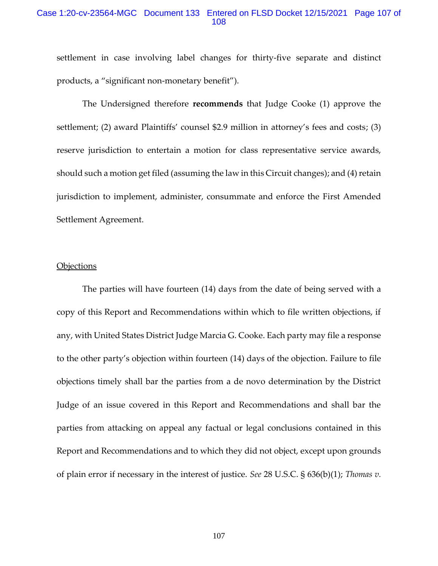## Case 1:20-cv-23564-MGC Document 133 Entered on FLSD Docket 12/15/2021 Page 107 of 108

settlement in case involving label changes for thirty-five separate and distinct products, a "significant non-monetary benefit").

The Undersigned therefore **recommends** that Judge Cooke (1) approve the settlement; (2) award Plaintiffs' counsel \$2.9 million in attorney's fees and costs; (3) reserve jurisdiction to entertain a motion for class representative service awards, should such a motion get filed (assuming the law in this Circuit changes); and (4) retain jurisdiction to implement, administer, consummate and enforce the First Amended Settlement Agreement.

### **Objections**

The parties will have fourteen (14) days from the date of being served with a copy of this Report and Recommendations within which to file written objections, if any, with United States District Judge Marcia G. Cooke. Each party may file a response to the other party's objection within fourteen (14) days of the objection. Failure to file objections timely shall bar the parties from a de novo determination by the District Judge of an issue covered in this Report and Recommendations and shall bar the parties from attacking on appeal any factual or legal conclusions contained in this Report and Recommendations and to which they did not object, except upon grounds of plain error if necessary in the interest of justice. *See* 28 U.S.C. § 636(b)(1); *Thomas v.*